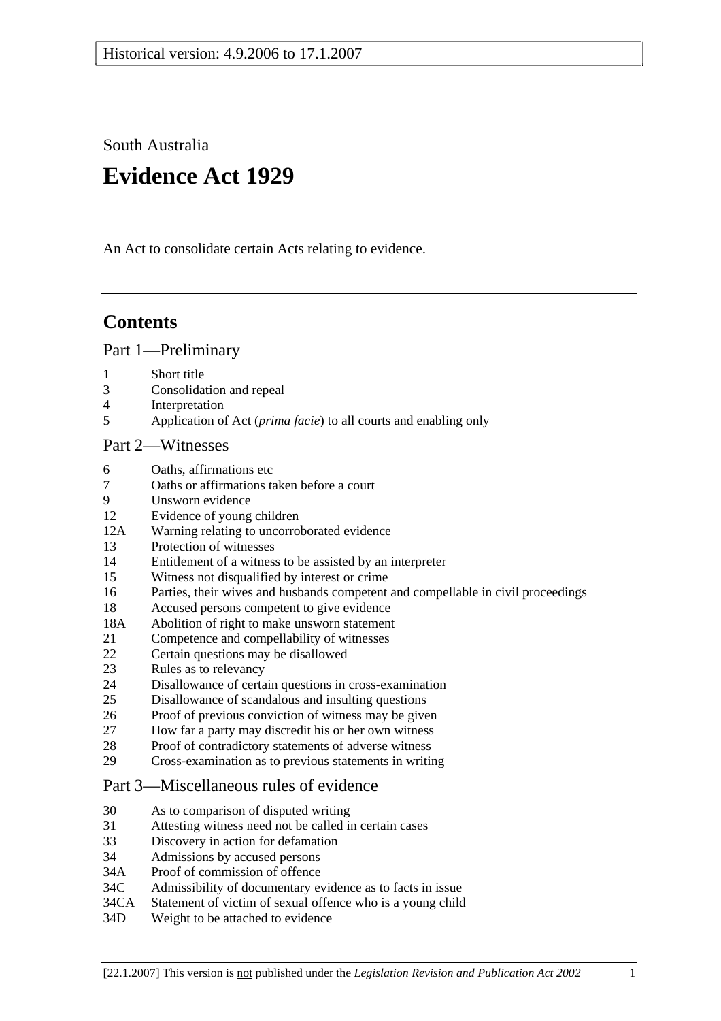South Australia

# **Evidence Act 1929**

An Act to consolidate certain Acts relating to evidence.

## **Contents**

Part 1—Preliminary

- 1 Short title
- 3 Consolidation and repeal
- 4 Interpretation
- 5 Application of Act (*prima facie*) to all courts and enabling only

## Part 2—Witnesses

- 6 Oaths, affirmations etc
- 7 Oaths or affirmations taken before a court
- 9 Unsworn evidence
- 12 Evidence of young children
- 12A Warning relating to uncorroborated evidence
- 13 Protection of witnesses
- 14 Entitlement of a witness to be assisted by an interpreter
- 15 Witness not disqualified by interest or crime
- 16 Parties, their wives and husbands competent and compellable in civil proceedings
- 18 Accused persons competent to give evidence
- 18A Abolition of right to make unsworn statement
- 21 Competence and compellability of witnesses
- 22 Certain questions may be disallowed
- 23 Rules as to relevancy
- 24 Disallowance of certain questions in cross-examination
- 25 Disallowance of scandalous and insulting questions
- 26 Proof of previous conviction of witness may be given
- 27 How far a party may discredit his or her own witness
- 28 Proof of contradictory statements of adverse witness
- 29 Cross-examination as to previous statements in writing

## Part 3—Miscellaneous rules of evidence

- 30 As to comparison of disputed writing
- 31 Attesting witness need not be called in certain cases
- 33 Discovery in action for defamation
- 34 Admissions by accused persons
- 34A Proof of commission of offence
- 34C Admissibility of documentary evidence as to facts in issue
- 34CA Statement of victim of sexual offence who is a young child
- 34D Weight to be attached to evidence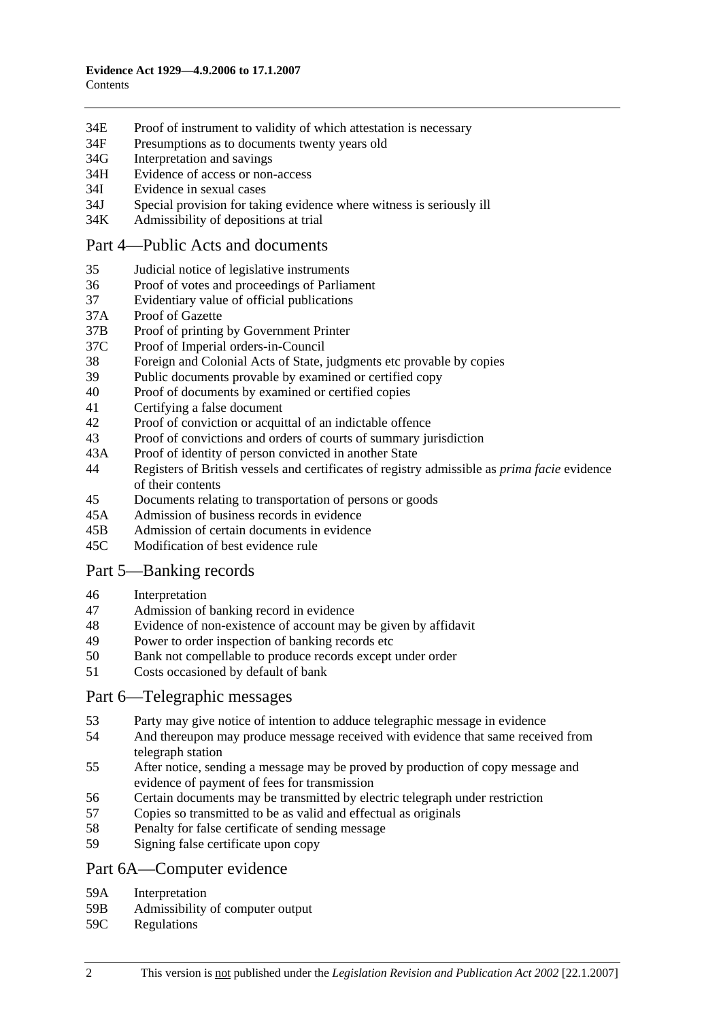- 34E Proof of instrument to validity of which attestation is necessary
- 34F Presumptions as to documents twenty years old
- 34G Interpretation and savings
- 34H Evidence of access or non-access
- 34I Evidence in sexual cases
- 34J Special provision for taking evidence where witness is seriously ill
- 34K Admissibility of depositions at trial

#### Part 4—Public Acts and documents

- 35 Judicial notice of legislative instruments
- 36 Proof of votes and proceedings of Parliament
- 37 Evidentiary value of official publications
- 37A Proof of Gazette
- 37B Proof of printing by Government Printer
- 37C Proof of Imperial orders-in-Council
- 38 Foreign and Colonial Acts of State, judgments etc provable by copies
- 39 Public documents provable by examined or certified copy
- 40 Proof of documents by examined or certified copies
- 41 Certifying a false document
- 42 Proof of conviction or acquittal of an indictable offence
- 43 Proof of convictions and orders of courts of summary jurisdiction
- 43A Proof of identity of person convicted in another State
- 44 Registers of British vessels and certificates of registry admissible as *prima facie* evidence of their contents
- 45 Documents relating to transportation of persons or goods
- 45A Admission of business records in evidence
- 45B Admission of certain documents in evidence
- 45C Modification of best evidence rule

## Part 5—Banking records

- 46 Interpretation
- 47 Admission of banking record in evidence
- 48 Evidence of non-existence of account may be given by affidavit
- 49 Power to order inspection of banking records etc
- 50 Bank not compellable to produce records except under order
- 51 Costs occasioned by default of bank

#### Part 6—Telegraphic messages

- 53 Party may give notice of intention to adduce telegraphic message in evidence
- 54 And thereupon may produce message received with evidence that same received from telegraph station
- 55 After notice, sending a message may be proved by production of copy message and evidence of payment of fees for transmission
- 56 Certain documents may be transmitted by electric telegraph under restriction
- 57 Copies so transmitted to be as valid and effectual as originals
- 58 Penalty for false certificate of sending message
- 59 Signing false certificate upon copy

#### Part 6A—Computer evidence

- 59A Interpretation
- 59B Admissibility of computer output
- 59C Regulations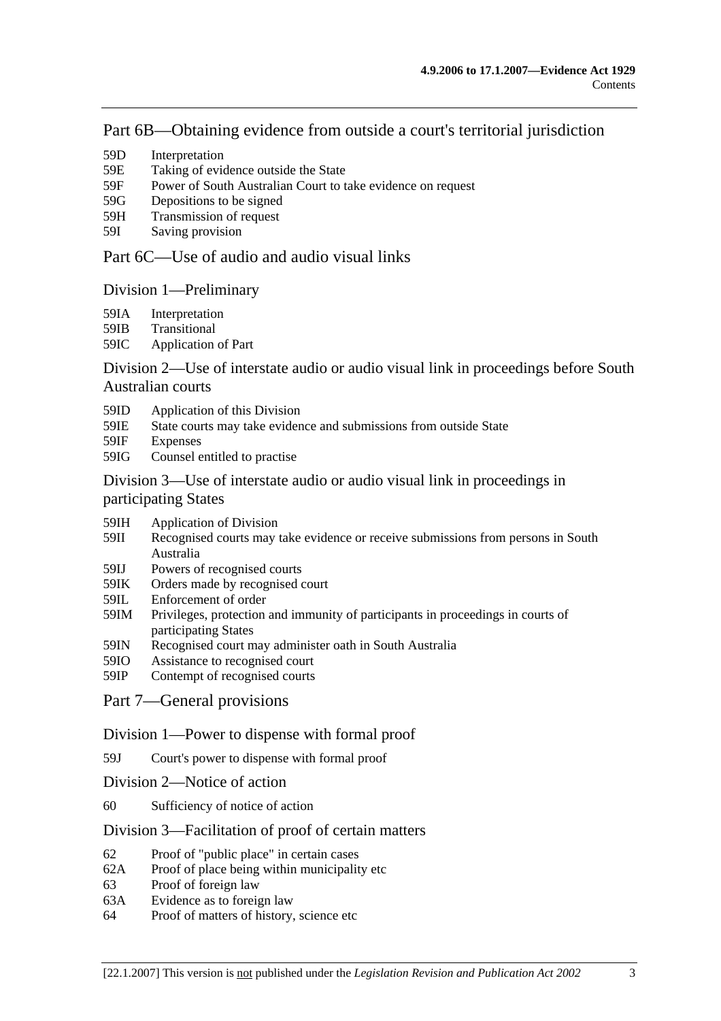## Part 6B—Obtaining evidence from outside a court's territorial jurisdiction

- 59D Interpretation
- 59E Taking of evidence outside the State
- 59F Power of South Australian Court to take evidence on request
- 59G Depositions to be signed
- 59H Transmission of request
- 59I Saving provision

## Part 6C—Use of audio and audio visual links

## Division 1—Preliminary

- 59IA Interpretation
- 59IB Transitional
- 59IC Application of Part

## Division 2—Use of interstate audio or audio visual link in proceedings before South Australian courts

- 59ID Application of this Division
- 59IE State courts may take evidence and submissions from outside State
- 59IF Expenses
- 59IG Counsel entitled to practise

## Division 3—Use of interstate audio or audio visual link in proceedings in participating States

- 59IH Application of Division
- 59II Recognised courts may take evidence or receive submissions from persons in South Australia
- 59IJ Powers of recognised courts<br>59IK Orders made by recognised
- Orders made by recognised court
- 59IL Enforcement of order
- 59IM Privileges, protection and immunity of participants in proceedings in courts of participating States
- 59IN Recognised court may administer oath in South Australia
- 59IO Assistance to recognised court
- 59IP Contempt of recognised courts
- Part 7—General provisions

#### Division 1—Power to dispense with formal proof

- 59J Court's power to dispense with formal proof
- Division 2—Notice of action
- 60 Sufficiency of notice of action

#### Division 3—Facilitation of proof of certain matters

- 62 Proof of "public place" in certain cases
- 62A Proof of place being within municipality etc
- 63 Proof of foreign law
- 63A Evidence as to foreign law
- 64 Proof of matters of history, science etc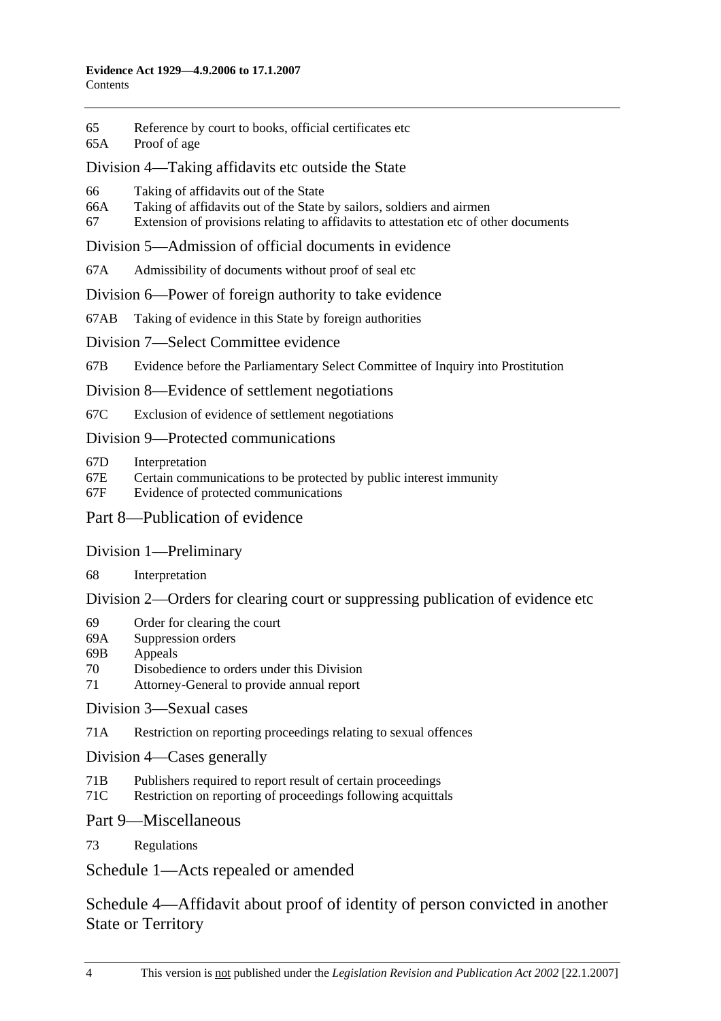- 65 Reference by court to books, official certificates etc
- 65A Proof of age

## Division 4—Taking affidavits etc outside the State

- 66 Taking of affidavits out of the State
- 66A Taking of affidavits out of the State by sailors, soldiers and airmen
- 67 Extension of provisions relating to affidavits to attestation etc of other documents

## Division 5—Admission of official documents in evidence

67A Admissibility of documents without proof of seal etc

## Division 6—Power of foreign authority to take evidence

- 67AB Taking of evidence in this State by foreign authorities
- Division 7—Select Committee evidence

67B Evidence before the Parliamentary Select Committee of Inquiry into Prostitution

Division 8—Evidence of settlement negotiations

67C Exclusion of evidence of settlement negotiations

## Division 9—Protected communications

- 67D Interpretation
- 67E Certain communications to be protected by public interest immunity
- 67F Evidence of protected communications

## Part 8—Publication of evidence

## Division 1—Preliminary

68 Interpretation

## Division 2—Orders for clearing court or suppressing publication of evidence etc

- 69 Order for clearing the court
- 69A Suppression orders
- 69B Appeals
- 70 Disobedience to orders under this Division
- 71 Attorney-General to provide annual report

## Division 3—Sexual cases

71A Restriction on reporting proceedings relating to sexual offences

Division 4—Cases generally

- 71B Publishers required to report result of certain proceedings
- 71C Restriction on reporting of proceedings following acquittals

## Part 9—Miscellaneous

73 Regulations

Schedule 1—Acts repealed or amended

Schedule 4—Affidavit about proof of identity of person convicted in another State or Territory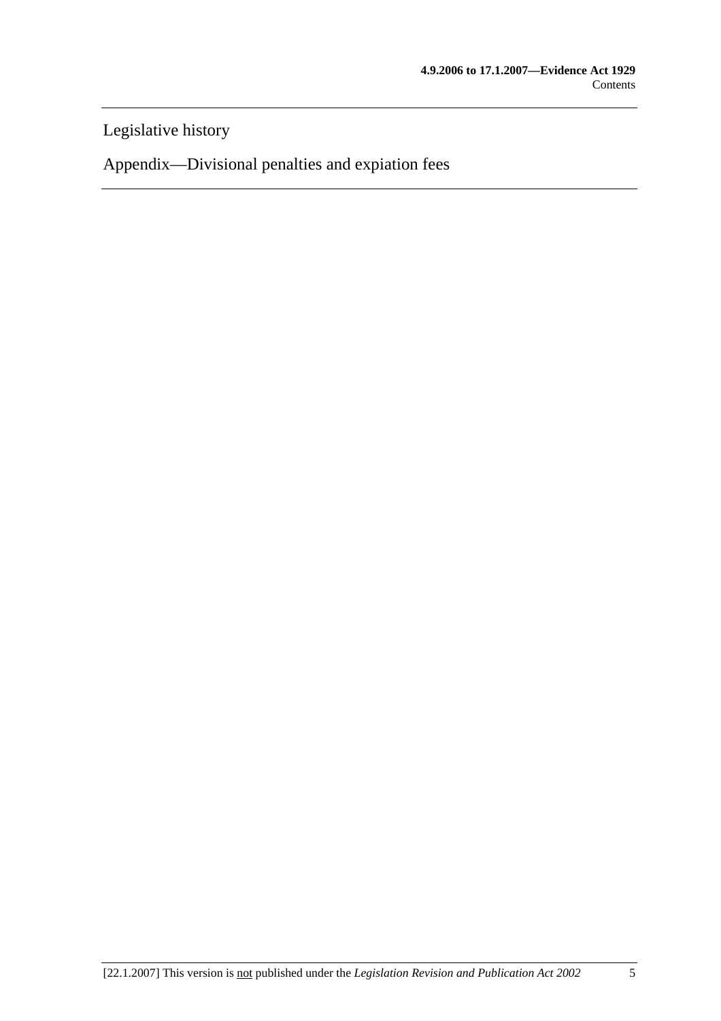Legislative history

Appendix—Divisional penalties and expiation fees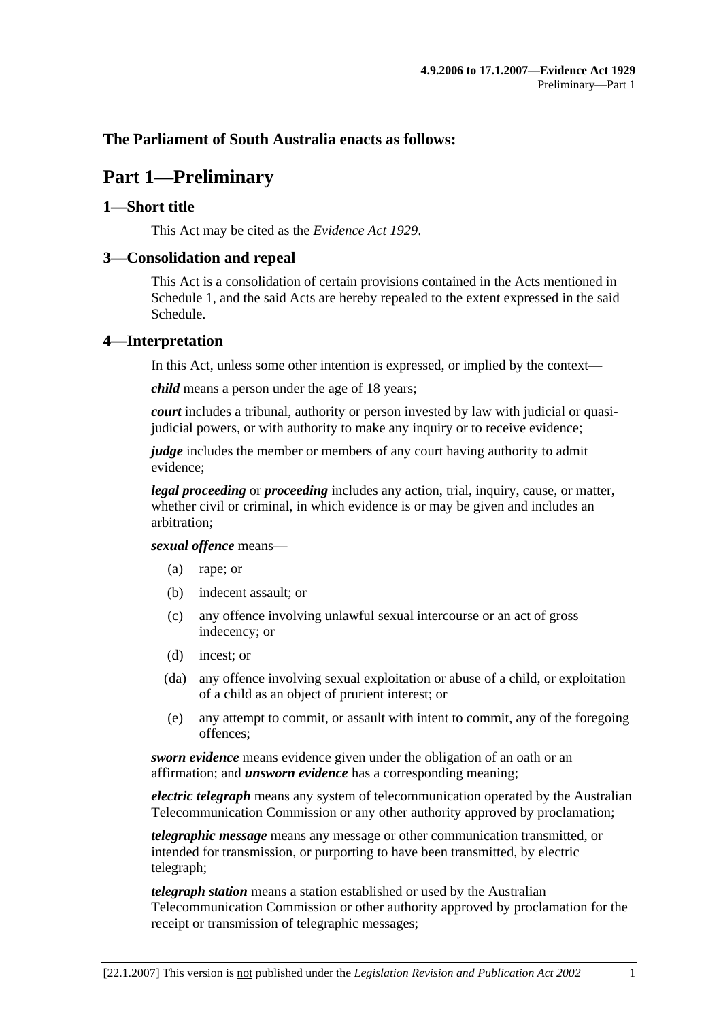## **The Parliament of South Australia enacts as follows:**

## **Part 1—Preliminary**

#### **1—Short title**

This Act may be cited as the *Evidence Act 1929*.

#### **3—Consolidation and repeal**

This Act is a consolidation of certain provisions contained in the Acts mentioned in Schedule 1, and the said Acts are hereby repealed to the extent expressed in the said Schedule.

#### **4—Interpretation**

In this Act, unless some other intention is expressed, or implied by the context—

*child* means a person under the age of 18 years;

*court* includes a tribunal, authority or person invested by law with judicial or quasijudicial powers, or with authority to make any inquiry or to receive evidence;

*judge* includes the member or members of any court having authority to admit evidence;

*legal proceeding* or *proceeding* includes any action, trial, inquiry, cause, or matter, whether civil or criminal, in which evidence is or may be given and includes an arbitration;

#### *sexual offence* means—

- (a) rape; or
- (b) indecent assault; or
- (c) any offence involving unlawful sexual intercourse or an act of gross indecency; or
- (d) incest; or
- (da) any offence involving sexual exploitation or abuse of a child, or exploitation of a child as an object of prurient interest; or
- (e) any attempt to commit, or assault with intent to commit, any of the foregoing offences;

*sworn evidence* means evidence given under the obligation of an oath or an affirmation; and *unsworn evidence* has a corresponding meaning;

*electric telegraph* means any system of telecommunication operated by the Australian Telecommunication Commission or any other authority approved by proclamation;

*telegraphic message* means any message or other communication transmitted, or intended for transmission, or purporting to have been transmitted, by electric telegraph;

*telegraph station* means a station established or used by the Australian Telecommunication Commission or other authority approved by proclamation for the receipt or transmission of telegraphic messages;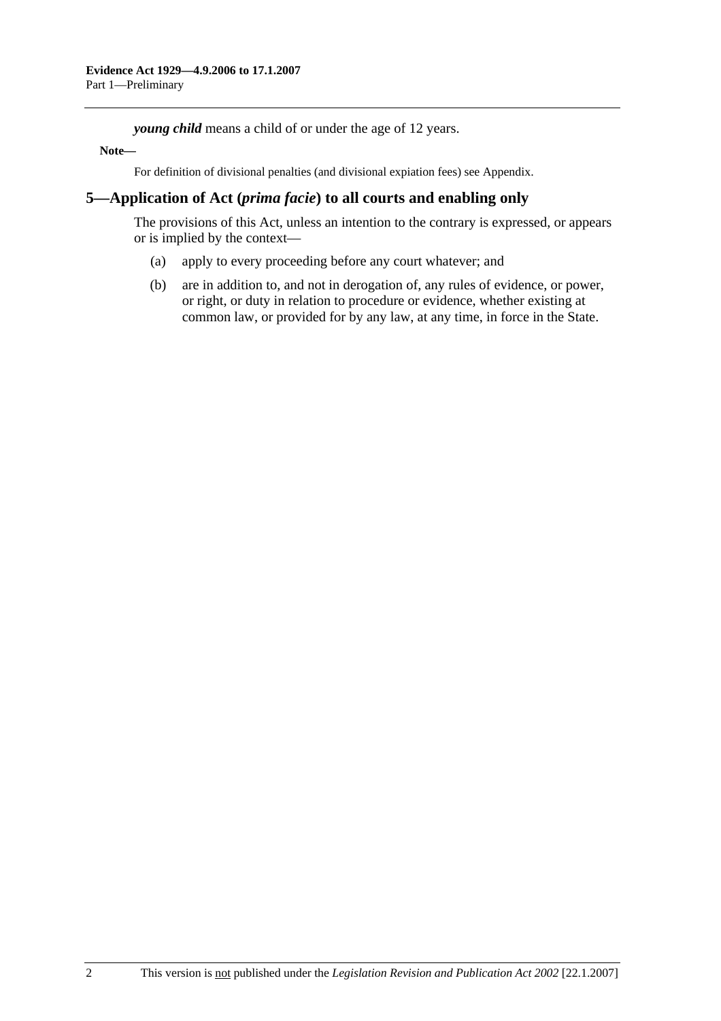*young child* means a child of or under the age of 12 years.

#### **Note—**

For definition of divisional penalties (and divisional expiation fees) see Appendix.

## **5—Application of Act (***prima facie***) to all courts and enabling only**

The provisions of this Act, unless an intention to the contrary is expressed, or appears or is implied by the context—

- (a) apply to every proceeding before any court whatever; and
- (b) are in addition to, and not in derogation of, any rules of evidence, or power, or right, or duty in relation to procedure or evidence, whether existing at common law, or provided for by any law, at any time, in force in the State.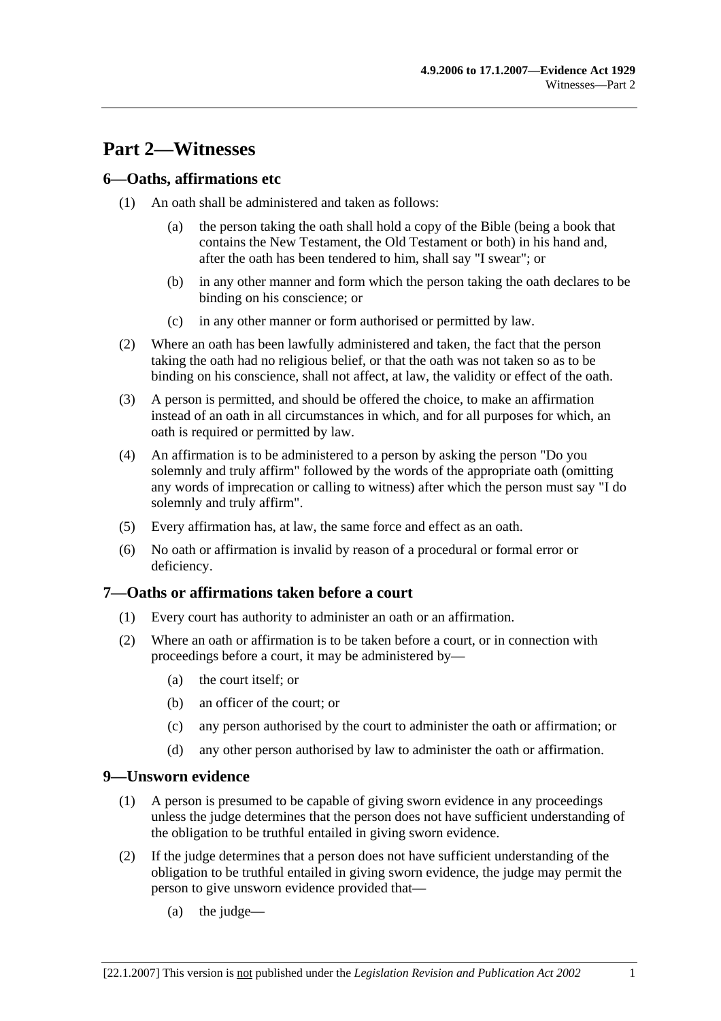## **Part 2—Witnesses**

## **6—Oaths, affirmations etc**

- (1) An oath shall be administered and taken as follows:
	- (a) the person taking the oath shall hold a copy of the Bible (being a book that contains the New Testament, the Old Testament or both) in his hand and, after the oath has been tendered to him, shall say "I swear"; or
	- (b) in any other manner and form which the person taking the oath declares to be binding on his conscience; or
	- (c) in any other manner or form authorised or permitted by law.
- (2) Where an oath has been lawfully administered and taken, the fact that the person taking the oath had no religious belief, or that the oath was not taken so as to be binding on his conscience, shall not affect, at law, the validity or effect of the oath.
- (3) A person is permitted, and should be offered the choice, to make an affirmation instead of an oath in all circumstances in which, and for all purposes for which, an oath is required or permitted by law.
- (4) An affirmation is to be administered to a person by asking the person "Do you solemnly and truly affirm" followed by the words of the appropriate oath (omitting any words of imprecation or calling to witness) after which the person must say "I do solemnly and truly affirm".
- (5) Every affirmation has, at law, the same force and effect as an oath.
- (6) No oath or affirmation is invalid by reason of a procedural or formal error or deficiency.

## **7—Oaths or affirmations taken before a court**

- (1) Every court has authority to administer an oath or an affirmation.
- (2) Where an oath or affirmation is to be taken before a court, or in connection with proceedings before a court, it may be administered by—
	- (a) the court itself; or
	- (b) an officer of the court; or
	- (c) any person authorised by the court to administer the oath or affirmation; or
	- (d) any other person authorised by law to administer the oath or affirmation.

#### **9—Unsworn evidence**

- (1) A person is presumed to be capable of giving sworn evidence in any proceedings unless the judge determines that the person does not have sufficient understanding of the obligation to be truthful entailed in giving sworn evidence.
- (2) If the judge determines that a person does not have sufficient understanding of the obligation to be truthful entailed in giving sworn evidence, the judge may permit the person to give unsworn evidence provided that—
	- (a) the judge—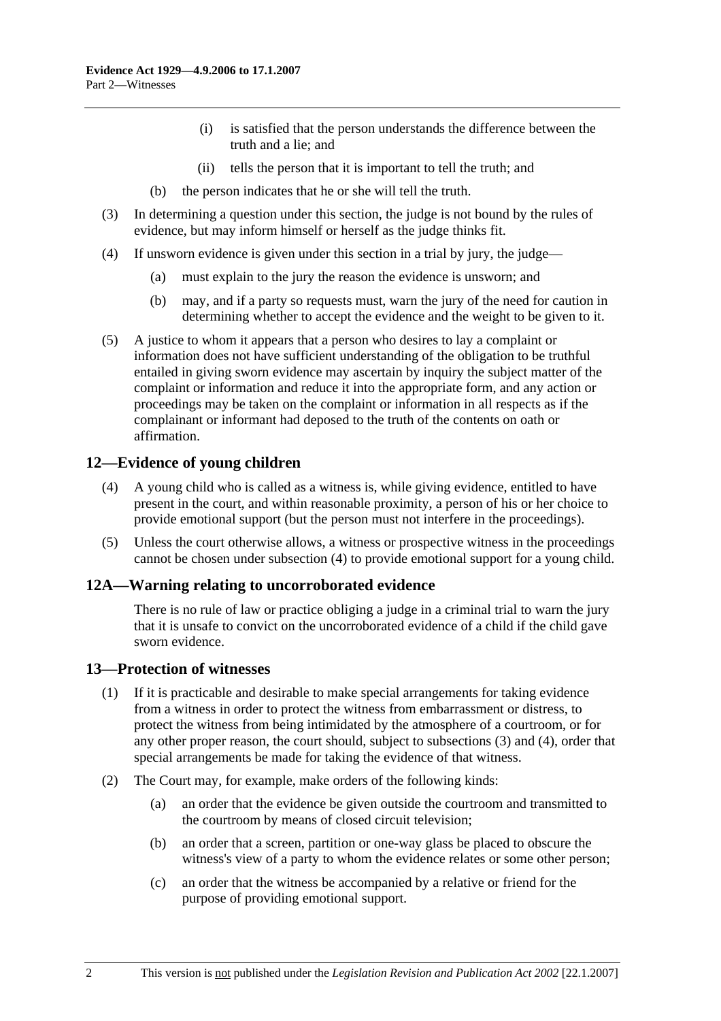- (i) is satisfied that the person understands the difference between the truth and a lie; and
- (ii) tells the person that it is important to tell the truth; and
- (b) the person indicates that he or she will tell the truth.
- (3) In determining a question under this section, the judge is not bound by the rules of evidence, but may inform himself or herself as the judge thinks fit.
- (4) If unsworn evidence is given under this section in a trial by jury, the judge—
	- (a) must explain to the jury the reason the evidence is unsworn; and
	- (b) may, and if a party so requests must, warn the jury of the need for caution in determining whether to accept the evidence and the weight to be given to it.
- (5) A justice to whom it appears that a person who desires to lay a complaint or information does not have sufficient understanding of the obligation to be truthful entailed in giving sworn evidence may ascertain by inquiry the subject matter of the complaint or information and reduce it into the appropriate form, and any action or proceedings may be taken on the complaint or information in all respects as if the complainant or informant had deposed to the truth of the contents on oath or affirmation.

## **12—Evidence of young children**

- (4) A young child who is called as a witness is, while giving evidence, entitled to have present in the court, and within reasonable proximity, a person of his or her choice to provide emotional support (but the person must not interfere in the proceedings).
- (5) Unless the court otherwise allows, a witness or prospective witness in the proceedings cannot be chosen under subsection (4) to provide emotional support for a young child.

## **12A—Warning relating to uncorroborated evidence**

There is no rule of law or practice obliging a judge in a criminal trial to warn the jury that it is unsafe to convict on the uncorroborated evidence of a child if the child gave sworn evidence.

#### **13—Protection of witnesses**

- (1) If it is practicable and desirable to make special arrangements for taking evidence from a witness in order to protect the witness from embarrassment or distress, to protect the witness from being intimidated by the atmosphere of a courtroom, or for any other proper reason, the court should, subject to subsections (3) and (4), order that special arrangements be made for taking the evidence of that witness.
- (2) The Court may, for example, make orders of the following kinds:
	- (a) an order that the evidence be given outside the courtroom and transmitted to the courtroom by means of closed circuit television;
	- (b) an order that a screen, partition or one-way glass be placed to obscure the witness's view of a party to whom the evidence relates or some other person;
	- (c) an order that the witness be accompanied by a relative or friend for the purpose of providing emotional support.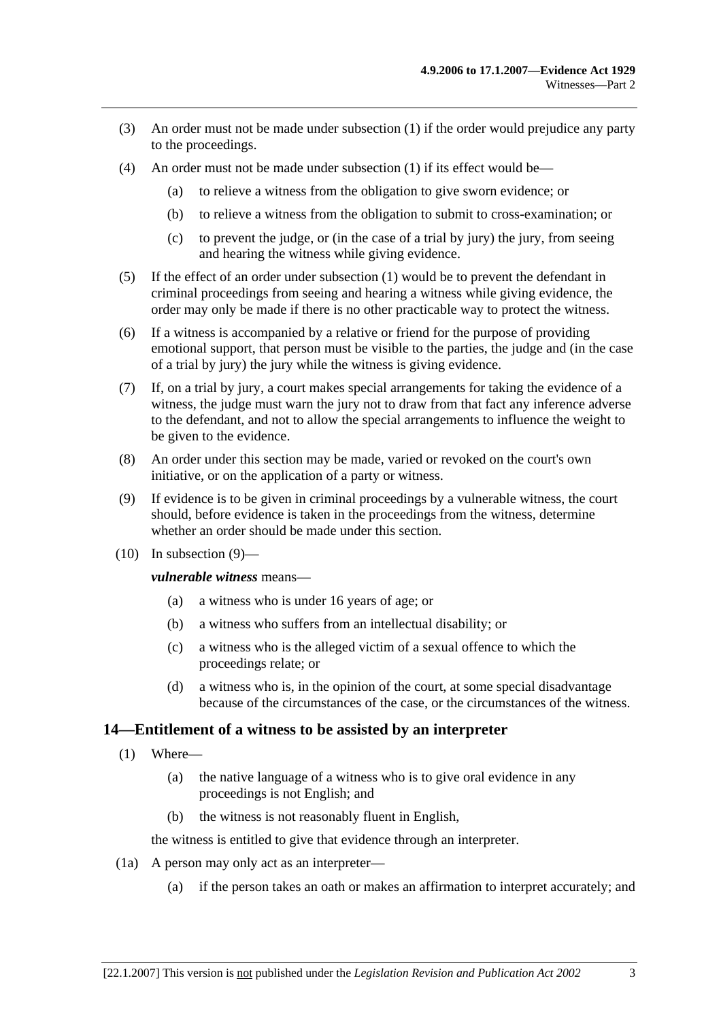- (3) An order must not be made under subsection (1) if the order would prejudice any party to the proceedings.
- (4) An order must not be made under subsection (1) if its effect would be—
	- (a) to relieve a witness from the obligation to give sworn evidence; or
	- (b) to relieve a witness from the obligation to submit to cross-examination; or
	- (c) to prevent the judge, or (in the case of a trial by jury) the jury, from seeing and hearing the witness while giving evidence.
- (5) If the effect of an order under subsection (1) would be to prevent the defendant in criminal proceedings from seeing and hearing a witness while giving evidence, the order may only be made if there is no other practicable way to protect the witness.
- (6) If a witness is accompanied by a relative or friend for the purpose of providing emotional support, that person must be visible to the parties, the judge and (in the case of a trial by jury) the jury while the witness is giving evidence.
- (7) If, on a trial by jury, a court makes special arrangements for taking the evidence of a witness, the judge must warn the jury not to draw from that fact any inference adverse to the defendant, and not to allow the special arrangements to influence the weight to be given to the evidence.
- (8) An order under this section may be made, varied or revoked on the court's own initiative, or on the application of a party or witness.
- (9) If evidence is to be given in criminal proceedings by a vulnerable witness, the court should, before evidence is taken in the proceedings from the witness, determine whether an order should be made under this section.
- $(10)$  In subsection  $(9)$ —

*vulnerable witness* means—

- (a) a witness who is under 16 years of age; or
- (b) a witness who suffers from an intellectual disability; or
- (c) a witness who is the alleged victim of a sexual offence to which the proceedings relate; or
- (d) a witness who is, in the opinion of the court, at some special disadvantage because of the circumstances of the case, or the circumstances of the witness.

## **14—Entitlement of a witness to be assisted by an interpreter**

- (1) Where—
	- (a) the native language of a witness who is to give oral evidence in any proceedings is not English; and
	- (b) the witness is not reasonably fluent in English,

the witness is entitled to give that evidence through an interpreter.

- (1a) A person may only act as an interpreter—
	- (a) if the person takes an oath or makes an affirmation to interpret accurately; and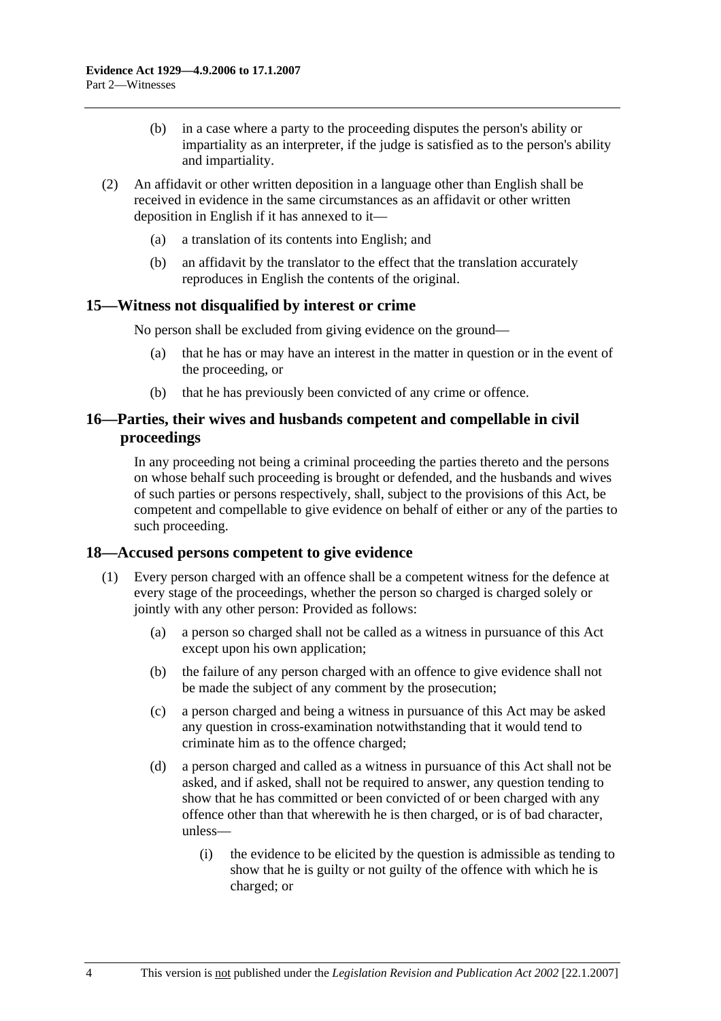- (b) in a case where a party to the proceeding disputes the person's ability or impartiality as an interpreter, if the judge is satisfied as to the person's ability and impartiality.
- (2) An affidavit or other written deposition in a language other than English shall be received in evidence in the same circumstances as an affidavit or other written deposition in English if it has annexed to it—
	- (a) a translation of its contents into English; and
	- (b) an affidavit by the translator to the effect that the translation accurately reproduces in English the contents of the original.

## **15—Witness not disqualified by interest or crime**

No person shall be excluded from giving evidence on the ground—

- (a) that he has or may have an interest in the matter in question or in the event of the proceeding, or
- (b) that he has previously been convicted of any crime or offence.

#### **16—Parties, their wives and husbands competent and compellable in civil proceedings**

In any proceeding not being a criminal proceeding the parties thereto and the persons on whose behalf such proceeding is brought or defended, and the husbands and wives of such parties or persons respectively, shall, subject to the provisions of this Act, be competent and compellable to give evidence on behalf of either or any of the parties to such proceeding.

#### **18—Accused persons competent to give evidence**

- (1) Every person charged with an offence shall be a competent witness for the defence at every stage of the proceedings, whether the person so charged is charged solely or jointly with any other person: Provided as follows:
	- (a) a person so charged shall not be called as a witness in pursuance of this Act except upon his own application;
	- (b) the failure of any person charged with an offence to give evidence shall not be made the subject of any comment by the prosecution;
	- (c) a person charged and being a witness in pursuance of this Act may be asked any question in cross-examination notwithstanding that it would tend to criminate him as to the offence charged;
	- (d) a person charged and called as a witness in pursuance of this Act shall not be asked, and if asked, shall not be required to answer, any question tending to show that he has committed or been convicted of or been charged with any offence other than that wherewith he is then charged, or is of bad character, unless—
		- (i) the evidence to be elicited by the question is admissible as tending to show that he is guilty or not guilty of the offence with which he is charged; or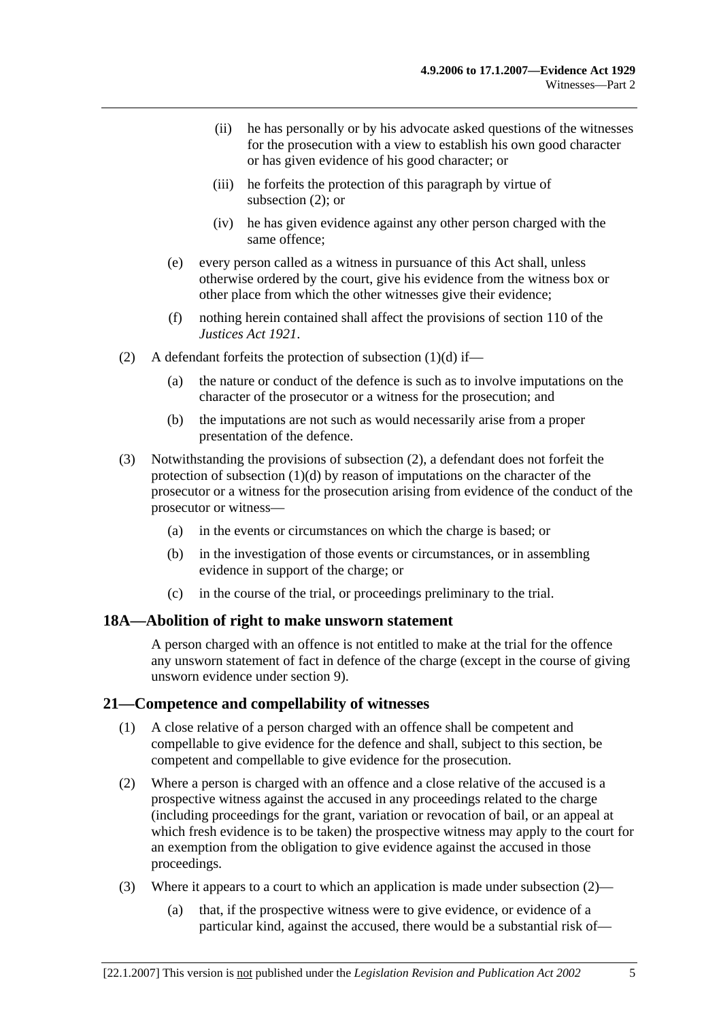- (ii) he has personally or by his advocate asked questions of the witnesses for the prosecution with a view to establish his own good character or has given evidence of his good character; or
- (iii) he forfeits the protection of this paragraph by virtue of subsection (2); or
- (iv) he has given evidence against any other person charged with the same offence;
- (e) every person called as a witness in pursuance of this Act shall, unless otherwise ordered by the court, give his evidence from the witness box or other place from which the other witnesses give their evidence;
- (f) nothing herein contained shall affect the provisions of section 110 of the *Justices Act 1921*.
- (2) A defendant forfeits the protection of subsection  $(1)(d)$  if—
	- (a) the nature or conduct of the defence is such as to involve imputations on the character of the prosecutor or a witness for the prosecution; and
	- (b) the imputations are not such as would necessarily arise from a proper presentation of the defence.
- (3) Notwithstanding the provisions of subsection (2), a defendant does not forfeit the protection of subsection (1)(d) by reason of imputations on the character of the prosecutor or a witness for the prosecution arising from evidence of the conduct of the prosecutor or witness—
	- (a) in the events or circumstances on which the charge is based; or
	- (b) in the investigation of those events or circumstances, or in assembling evidence in support of the charge; or
	- (c) in the course of the trial, or proceedings preliminary to the trial.

#### **18A—Abolition of right to make unsworn statement**

A person charged with an offence is not entitled to make at the trial for the offence any unsworn statement of fact in defence of the charge (except in the course of giving unsworn evidence under section 9).

## **21—Competence and compellability of witnesses**

- (1) A close relative of a person charged with an offence shall be competent and compellable to give evidence for the defence and shall, subject to this section, be competent and compellable to give evidence for the prosecution.
- (2) Where a person is charged with an offence and a close relative of the accused is a prospective witness against the accused in any proceedings related to the charge (including proceedings for the grant, variation or revocation of bail, or an appeal at which fresh evidence is to be taken) the prospective witness may apply to the court for an exemption from the obligation to give evidence against the accused in those proceedings.
- (3) Where it appears to a court to which an application is made under subsection (2)—
	- (a) that, if the prospective witness were to give evidence, or evidence of a particular kind, against the accused, there would be a substantial risk of—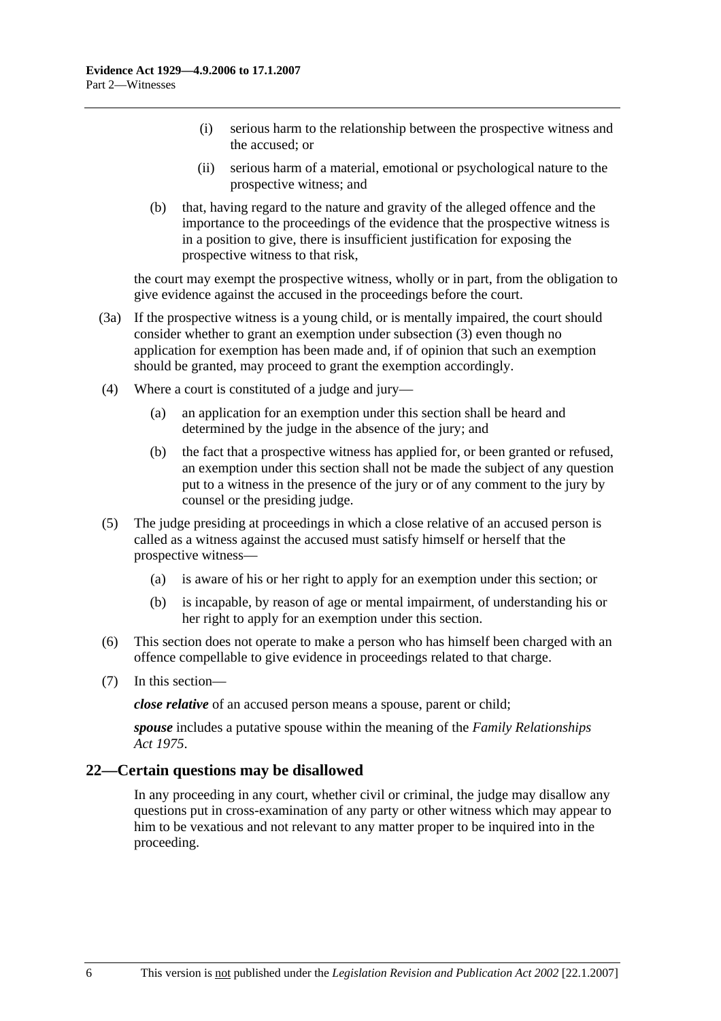- (i) serious harm to the relationship between the prospective witness and the accused; or
- (ii) serious harm of a material, emotional or psychological nature to the prospective witness; and
- (b) that, having regard to the nature and gravity of the alleged offence and the importance to the proceedings of the evidence that the prospective witness is in a position to give, there is insufficient justification for exposing the prospective witness to that risk,

the court may exempt the prospective witness, wholly or in part, from the obligation to give evidence against the accused in the proceedings before the court.

- (3a) If the prospective witness is a young child, or is mentally impaired, the court should consider whether to grant an exemption under subsection (3) even though no application for exemption has been made and, if of opinion that such an exemption should be granted, may proceed to grant the exemption accordingly.
- (4) Where a court is constituted of a judge and jury—
	- (a) an application for an exemption under this section shall be heard and determined by the judge in the absence of the jury; and
	- (b) the fact that a prospective witness has applied for, or been granted or refused, an exemption under this section shall not be made the subject of any question put to a witness in the presence of the jury or of any comment to the jury by counsel or the presiding judge.
- (5) The judge presiding at proceedings in which a close relative of an accused person is called as a witness against the accused must satisfy himself or herself that the prospective witness—
	- (a) is aware of his or her right to apply for an exemption under this section; or
	- (b) is incapable, by reason of age or mental impairment, of understanding his or her right to apply for an exemption under this section.
- (6) This section does not operate to make a person who has himself been charged with an offence compellable to give evidence in proceedings related to that charge.
- (7) In this section—

*close relative* of an accused person means a spouse, parent or child;

*spouse* includes a putative spouse within the meaning of the *Family Relationships Act 1975*.

#### **22—Certain questions may be disallowed**

In any proceeding in any court, whether civil or criminal, the judge may disallow any questions put in cross-examination of any party or other witness which may appear to him to be vexatious and not relevant to any matter proper to be inquired into in the proceeding.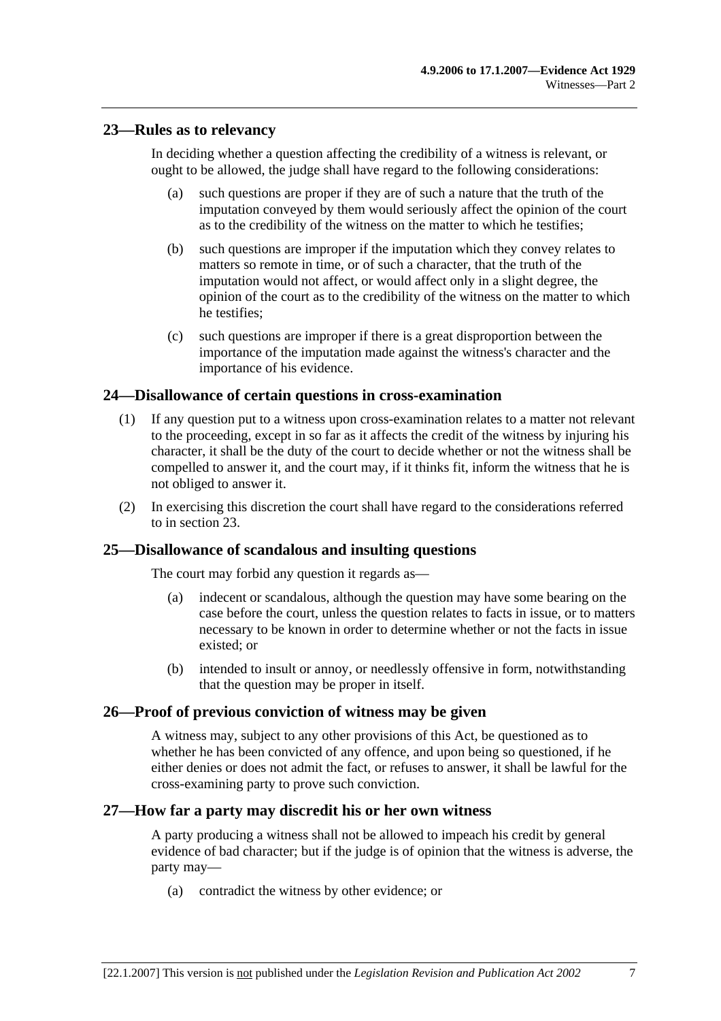## **23—Rules as to relevancy**

In deciding whether a question affecting the credibility of a witness is relevant, or ought to be allowed, the judge shall have regard to the following considerations:

- (a) such questions are proper if they are of such a nature that the truth of the imputation conveyed by them would seriously affect the opinion of the court as to the credibility of the witness on the matter to which he testifies;
- (b) such questions are improper if the imputation which they convey relates to matters so remote in time, or of such a character, that the truth of the imputation would not affect, or would affect only in a slight degree, the opinion of the court as to the credibility of the witness on the matter to which he testifies;
- (c) such questions are improper if there is a great disproportion between the importance of the imputation made against the witness's character and the importance of his evidence.

## **24—Disallowance of certain questions in cross-examination**

- (1) If any question put to a witness upon cross-examination relates to a matter not relevant to the proceeding, except in so far as it affects the credit of the witness by injuring his character, it shall be the duty of the court to decide whether or not the witness shall be compelled to answer it, and the court may, if it thinks fit, inform the witness that he is not obliged to answer it.
- (2) In exercising this discretion the court shall have regard to the considerations referred to in section 23.

## **25—Disallowance of scandalous and insulting questions**

The court may forbid any question it regards as—

- (a) indecent or scandalous, although the question may have some bearing on the case before the court, unless the question relates to facts in issue, or to matters necessary to be known in order to determine whether or not the facts in issue existed; or
- (b) intended to insult or annoy, or needlessly offensive in form, notwithstanding that the question may be proper in itself.

## **26—Proof of previous conviction of witness may be given**

A witness may, subject to any other provisions of this Act, be questioned as to whether he has been convicted of any offence, and upon being so questioned, if he either denies or does not admit the fact, or refuses to answer, it shall be lawful for the cross-examining party to prove such conviction.

#### **27—How far a party may discredit his or her own witness**

A party producing a witness shall not be allowed to impeach his credit by general evidence of bad character; but if the judge is of opinion that the witness is adverse, the party may—

(a) contradict the witness by other evidence; or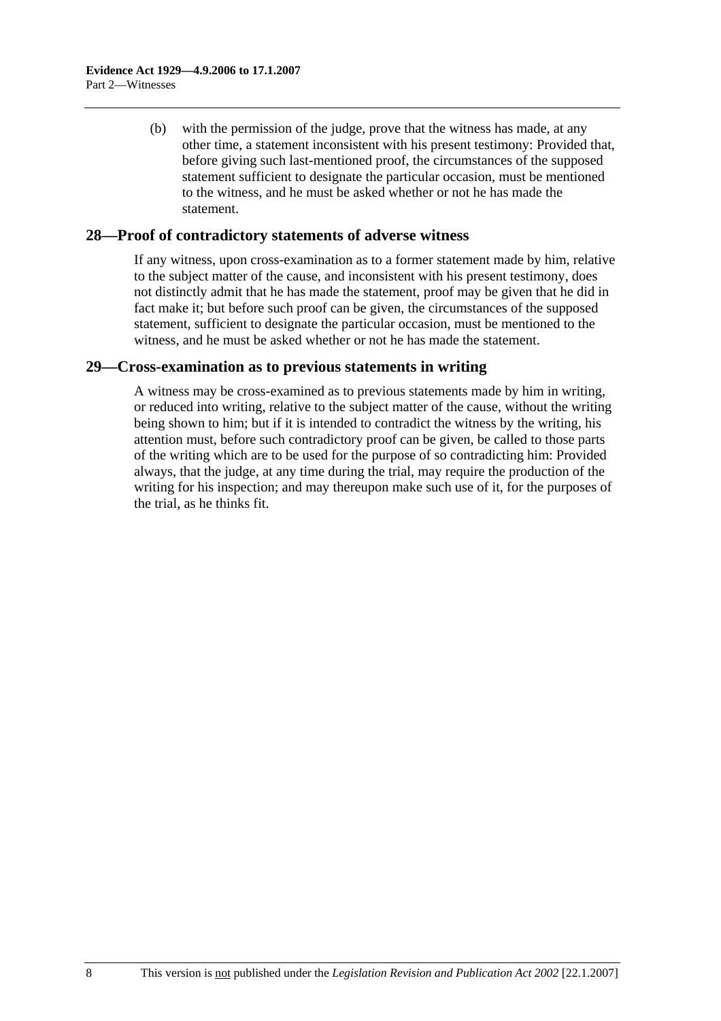(b) with the permission of the judge, prove that the witness has made, at any other time, a statement inconsistent with his present testimony: Provided that, before giving such last-mentioned proof, the circumstances of the supposed statement sufficient to designate the particular occasion, must be mentioned to the witness, and he must be asked whether or not he has made the statement.

#### **28—Proof of contradictory statements of adverse witness**

If any witness, upon cross-examination as to a former statement made by him, relative to the subject matter of the cause, and inconsistent with his present testimony, does not distinctly admit that he has made the statement, proof may be given that he did in fact make it; but before such proof can be given, the circumstances of the supposed statement, sufficient to designate the particular occasion, must be mentioned to the witness, and he must be asked whether or not he has made the statement.

#### **29—Cross-examination as to previous statements in writing**

A witness may be cross-examined as to previous statements made by him in writing, or reduced into writing, relative to the subject matter of the cause, without the writing being shown to him; but if it is intended to contradict the witness by the writing, his attention must, before such contradictory proof can be given, be called to those parts of the writing which are to be used for the purpose of so contradicting him: Provided always, that the judge, at any time during the trial, may require the production of the writing for his inspection; and may thereupon make such use of it, for the purposes of the trial, as he thinks fit.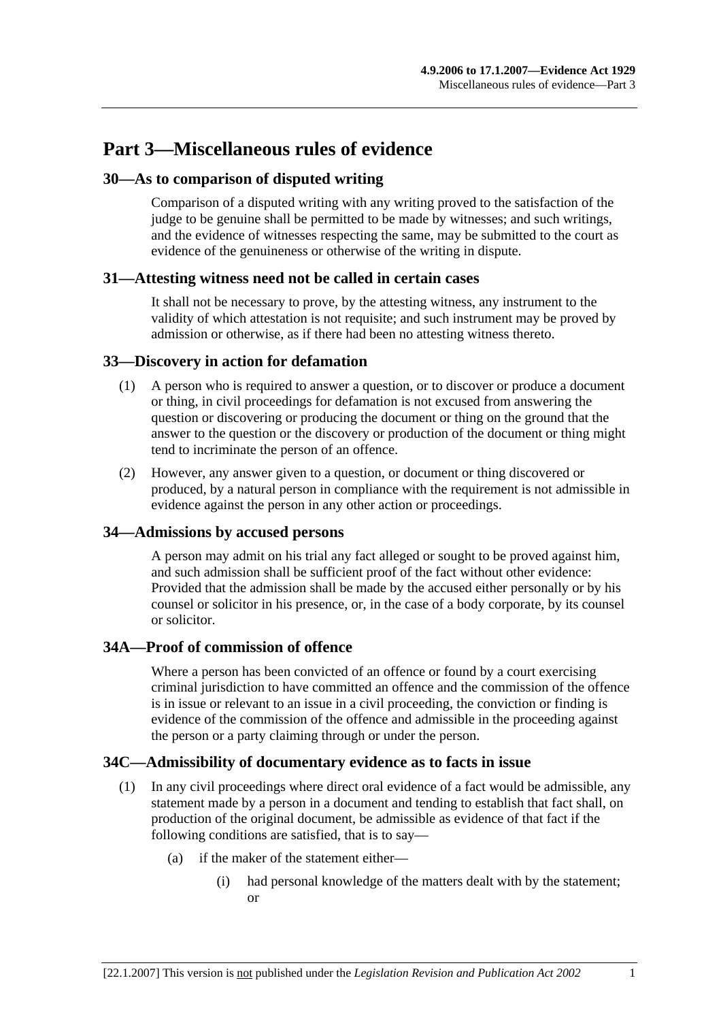## **Part 3—Miscellaneous rules of evidence**

## **30—As to comparison of disputed writing**

Comparison of a disputed writing with any writing proved to the satisfaction of the judge to be genuine shall be permitted to be made by witnesses; and such writings, and the evidence of witnesses respecting the same, may be submitted to the court as evidence of the genuineness or otherwise of the writing in dispute.

## **31—Attesting witness need not be called in certain cases**

It shall not be necessary to prove, by the attesting witness, any instrument to the validity of which attestation is not requisite; and such instrument may be proved by admission or otherwise, as if there had been no attesting witness thereto.

## **33—Discovery in action for defamation**

- (1) A person who is required to answer a question, or to discover or produce a document or thing, in civil proceedings for defamation is not excused from answering the question or discovering or producing the document or thing on the ground that the answer to the question or the discovery or production of the document or thing might tend to incriminate the person of an offence.
- (2) However, any answer given to a question, or document or thing discovered or produced, by a natural person in compliance with the requirement is not admissible in evidence against the person in any other action or proceedings.

## **34—Admissions by accused persons**

A person may admit on his trial any fact alleged or sought to be proved against him, and such admission shall be sufficient proof of the fact without other evidence: Provided that the admission shall be made by the accused either personally or by his counsel or solicitor in his presence, or, in the case of a body corporate, by its counsel or solicitor.

## **34A—Proof of commission of offence**

Where a person has been convicted of an offence or found by a court exercising criminal jurisdiction to have committed an offence and the commission of the offence is in issue or relevant to an issue in a civil proceeding, the conviction or finding is evidence of the commission of the offence and admissible in the proceeding against the person or a party claiming through or under the person.

## **34C—Admissibility of documentary evidence as to facts in issue**

- (1) In any civil proceedings where direct oral evidence of a fact would be admissible, any statement made by a person in a document and tending to establish that fact shall, on production of the original document, be admissible as evidence of that fact if the following conditions are satisfied, that is to say—
	- (a) if the maker of the statement either—
		- (i) had personal knowledge of the matters dealt with by the statement; or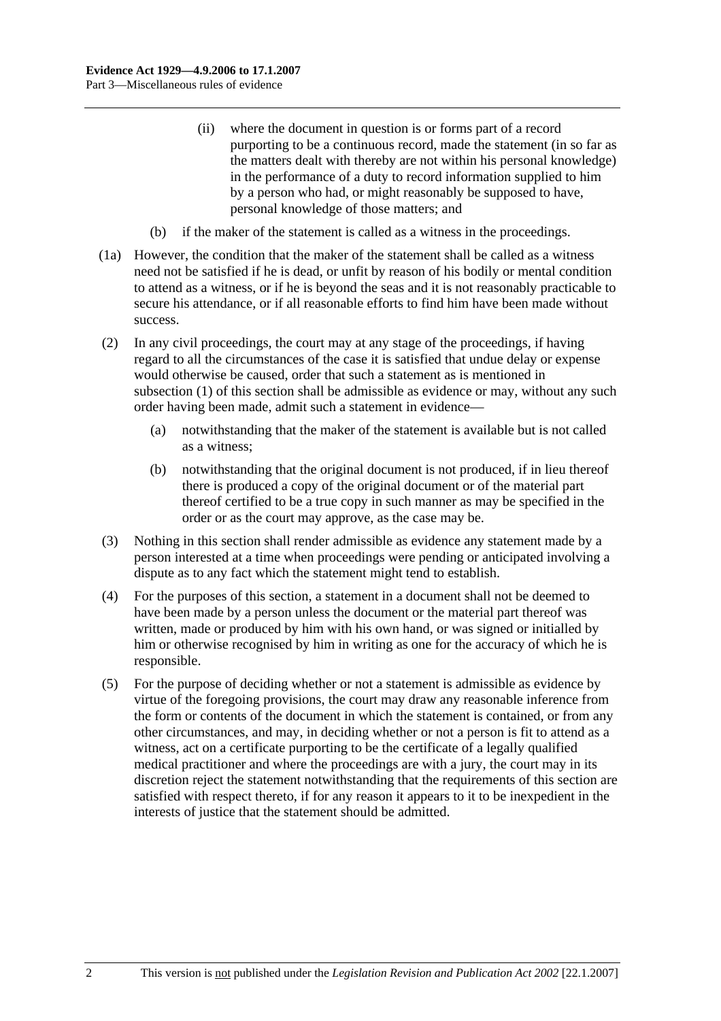- (ii) where the document in question is or forms part of a record purporting to be a continuous record, made the statement (in so far as the matters dealt with thereby are not within his personal knowledge) in the performance of a duty to record information supplied to him by a person who had, or might reasonably be supposed to have, personal knowledge of those matters; and
- (b) if the maker of the statement is called as a witness in the proceedings.
- (1a) However, the condition that the maker of the statement shall be called as a witness need not be satisfied if he is dead, or unfit by reason of his bodily or mental condition to attend as a witness, or if he is beyond the seas and it is not reasonably practicable to secure his attendance, or if all reasonable efforts to find him have been made without success.
- (2) In any civil proceedings, the court may at any stage of the proceedings, if having regard to all the circumstances of the case it is satisfied that undue delay or expense would otherwise be caused, order that such a statement as is mentioned in subsection (1) of this section shall be admissible as evidence or may, without any such order having been made, admit such a statement in evidence—
	- (a) notwithstanding that the maker of the statement is available but is not called as a witness;
	- (b) notwithstanding that the original document is not produced, if in lieu thereof there is produced a copy of the original document or of the material part thereof certified to be a true copy in such manner as may be specified in the order or as the court may approve, as the case may be.
- (3) Nothing in this section shall render admissible as evidence any statement made by a person interested at a time when proceedings were pending or anticipated involving a dispute as to any fact which the statement might tend to establish.
- (4) For the purposes of this section, a statement in a document shall not be deemed to have been made by a person unless the document or the material part thereof was written, made or produced by him with his own hand, or was signed or initialled by him or otherwise recognised by him in writing as one for the accuracy of which he is responsible.
- (5) For the purpose of deciding whether or not a statement is admissible as evidence by virtue of the foregoing provisions, the court may draw any reasonable inference from the form or contents of the document in which the statement is contained, or from any other circumstances, and may, in deciding whether or not a person is fit to attend as a witness, act on a certificate purporting to be the certificate of a legally qualified medical practitioner and where the proceedings are with a jury, the court may in its discretion reject the statement notwithstanding that the requirements of this section are satisfied with respect thereto, if for any reason it appears to it to be inexpedient in the interests of justice that the statement should be admitted.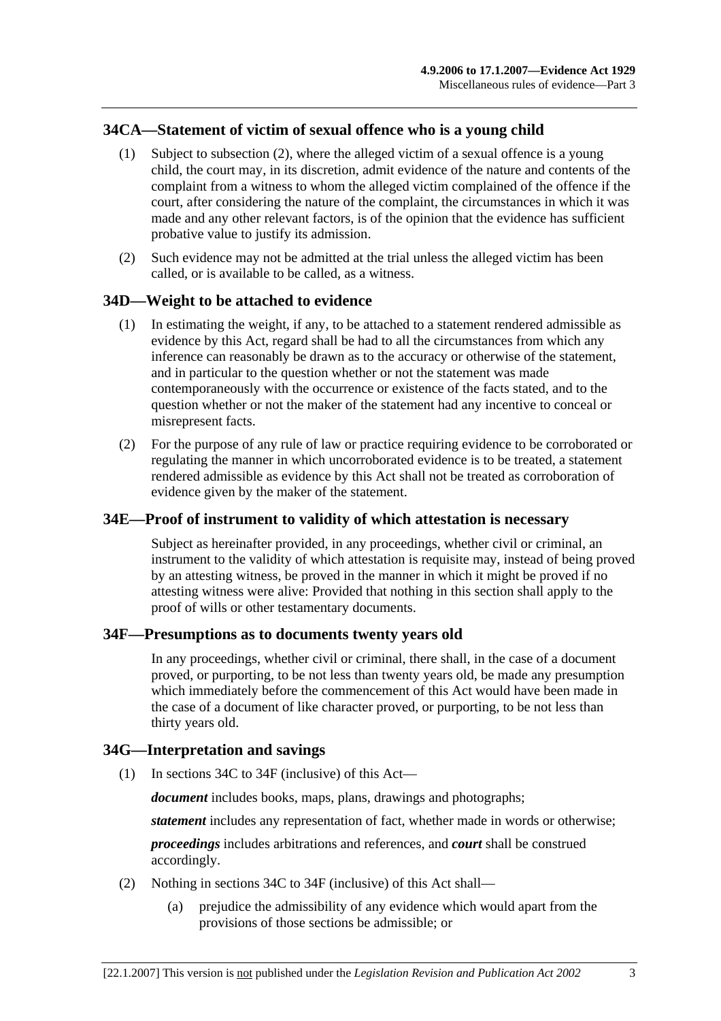## **34CA—Statement of victim of sexual offence who is a young child**

- (1) Subject to subsection (2), where the alleged victim of a sexual offence is a young child, the court may, in its discretion, admit evidence of the nature and contents of the complaint from a witness to whom the alleged victim complained of the offence if the court, after considering the nature of the complaint, the circumstances in which it was made and any other relevant factors, is of the opinion that the evidence has sufficient probative value to justify its admission.
- (2) Such evidence may not be admitted at the trial unless the alleged victim has been called, or is available to be called, as a witness.

## **34D—Weight to be attached to evidence**

- (1) In estimating the weight, if any, to be attached to a statement rendered admissible as evidence by this Act, regard shall be had to all the circumstances from which any inference can reasonably be drawn as to the accuracy or otherwise of the statement, and in particular to the question whether or not the statement was made contemporaneously with the occurrence or existence of the facts stated, and to the question whether or not the maker of the statement had any incentive to conceal or misrepresent facts.
- (2) For the purpose of any rule of law or practice requiring evidence to be corroborated or regulating the manner in which uncorroborated evidence is to be treated, a statement rendered admissible as evidence by this Act shall not be treated as corroboration of evidence given by the maker of the statement.

## **34E—Proof of instrument to validity of which attestation is necessary**

Subject as hereinafter provided, in any proceedings, whether civil or criminal, an instrument to the validity of which attestation is requisite may, instead of being proved by an attesting witness, be proved in the manner in which it might be proved if no attesting witness were alive: Provided that nothing in this section shall apply to the proof of wills or other testamentary documents.

#### **34F—Presumptions as to documents twenty years old**

In any proceedings, whether civil or criminal, there shall, in the case of a document proved, or purporting, to be not less than twenty years old, be made any presumption which immediately before the commencement of this Act would have been made in the case of a document of like character proved, or purporting, to be not less than thirty years old.

#### **34G—Interpretation and savings**

(1) In sections 34C to 34F (inclusive) of this Act—

*document* includes books, maps, plans, drawings and photographs;

*statement* includes any representation of fact, whether made in words or otherwise;

*proceedings* includes arbitrations and references, and *court* shall be construed accordingly.

- (2) Nothing in sections 34C to 34F (inclusive) of this Act shall—
	- (a) prejudice the admissibility of any evidence which would apart from the provisions of those sections be admissible; or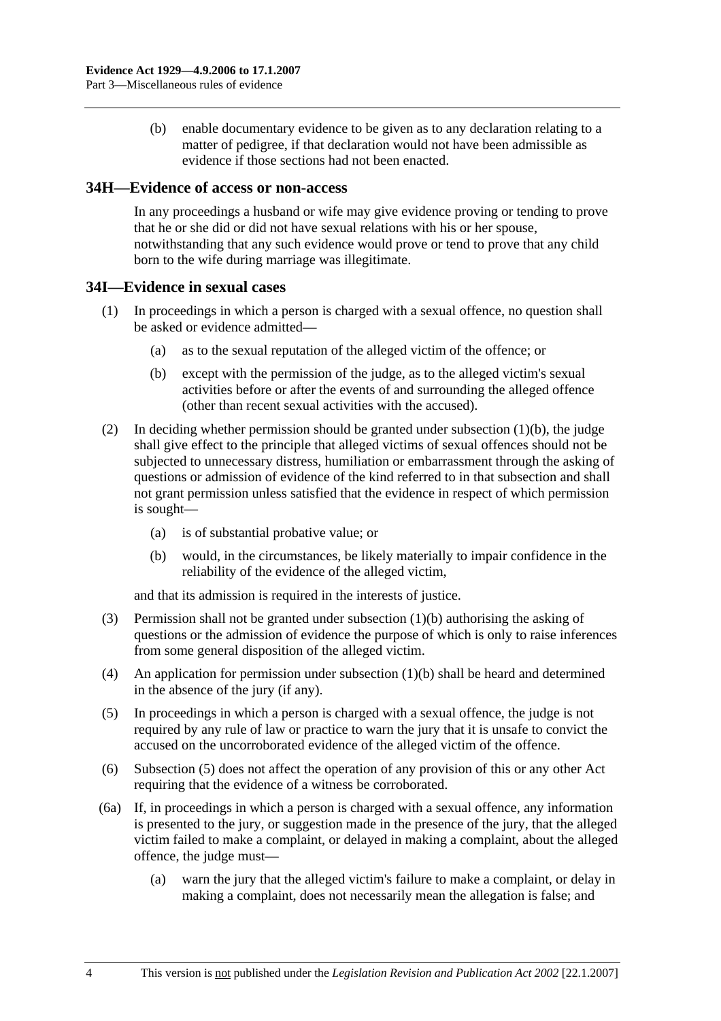(b) enable documentary evidence to be given as to any declaration relating to a matter of pedigree, if that declaration would not have been admissible as evidence if those sections had not been enacted.

#### **34H—Evidence of access or non-access**

In any proceedings a husband or wife may give evidence proving or tending to prove that he or she did or did not have sexual relations with his or her spouse, notwithstanding that any such evidence would prove or tend to prove that any child born to the wife during marriage was illegitimate.

## **34I—Evidence in sexual cases**

- (1) In proceedings in which a person is charged with a sexual offence, no question shall be asked or evidence admitted—
	- (a) as to the sexual reputation of the alleged victim of the offence; or
	- (b) except with the permission of the judge, as to the alleged victim's sexual activities before or after the events of and surrounding the alleged offence (other than recent sexual activities with the accused).
- (2) In deciding whether permission should be granted under subsection  $(1)(b)$ , the judge shall give effect to the principle that alleged victims of sexual offences should not be subjected to unnecessary distress, humiliation or embarrassment through the asking of questions or admission of evidence of the kind referred to in that subsection and shall not grant permission unless satisfied that the evidence in respect of which permission is sought—
	- (a) is of substantial probative value; or
	- (b) would, in the circumstances, be likely materially to impair confidence in the reliability of the evidence of the alleged victim,

and that its admission is required in the interests of justice.

- (3) Permission shall not be granted under subsection (1)(b) authorising the asking of questions or the admission of evidence the purpose of which is only to raise inferences from some general disposition of the alleged victim.
- (4) An application for permission under subsection (1)(b) shall be heard and determined in the absence of the jury (if any).
- (5) In proceedings in which a person is charged with a sexual offence, the judge is not required by any rule of law or practice to warn the jury that it is unsafe to convict the accused on the uncorroborated evidence of the alleged victim of the offence.
- (6) Subsection (5) does not affect the operation of any provision of this or any other Act requiring that the evidence of a witness be corroborated.
- (6a) If, in proceedings in which a person is charged with a sexual offence, any information is presented to the jury, or suggestion made in the presence of the jury, that the alleged victim failed to make a complaint, or delayed in making a complaint, about the alleged offence, the judge must—
	- (a) warn the jury that the alleged victim's failure to make a complaint, or delay in making a complaint, does not necessarily mean the allegation is false; and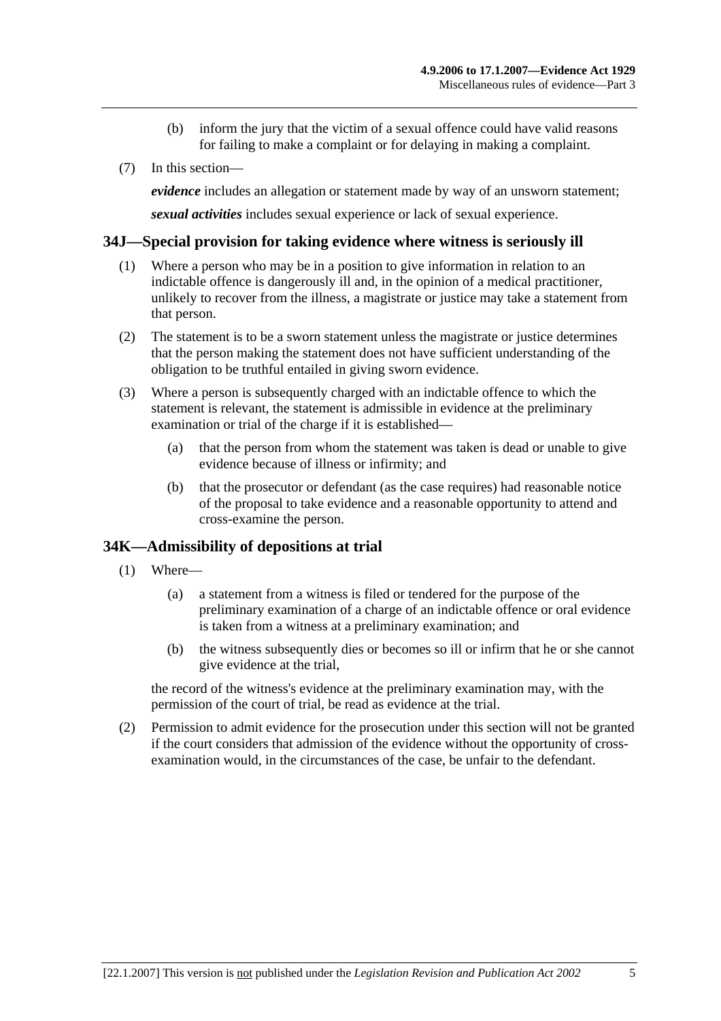- (b) inform the jury that the victim of a sexual offence could have valid reasons for failing to make a complaint or for delaying in making a complaint.
- (7) In this section—

*evidence* includes an allegation or statement made by way of an unsworn statement;

*sexual activities* includes sexual experience or lack of sexual experience.

#### **34J—Special provision for taking evidence where witness is seriously ill**

- (1) Where a person who may be in a position to give information in relation to an indictable offence is dangerously ill and, in the opinion of a medical practitioner, unlikely to recover from the illness, a magistrate or justice may take a statement from that person.
- (2) The statement is to be a sworn statement unless the magistrate or justice determines that the person making the statement does not have sufficient understanding of the obligation to be truthful entailed in giving sworn evidence.
- (3) Where a person is subsequently charged with an indictable offence to which the statement is relevant, the statement is admissible in evidence at the preliminary examination or trial of the charge if it is established—
	- (a) that the person from whom the statement was taken is dead or unable to give evidence because of illness or infirmity; and
	- (b) that the prosecutor or defendant (as the case requires) had reasonable notice of the proposal to take evidence and a reasonable opportunity to attend and cross-examine the person.

## **34K—Admissibility of depositions at trial**

- (1) Where—
	- (a) a statement from a witness is filed or tendered for the purpose of the preliminary examination of a charge of an indictable offence or oral evidence is taken from a witness at a preliminary examination; and
	- (b) the witness subsequently dies or becomes so ill or infirm that he or she cannot give evidence at the trial,

the record of the witness's evidence at the preliminary examination may, with the permission of the court of trial, be read as evidence at the trial.

 (2) Permission to admit evidence for the prosecution under this section will not be granted if the court considers that admission of the evidence without the opportunity of crossexamination would, in the circumstances of the case, be unfair to the defendant.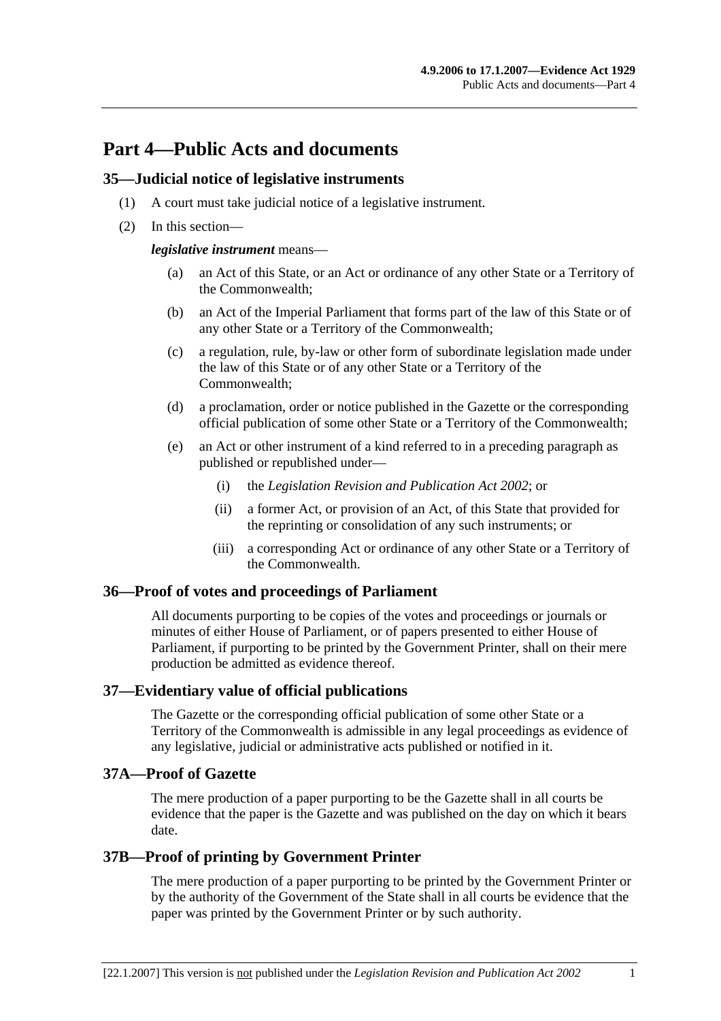## **Part 4—Public Acts and documents**

#### **35—Judicial notice of legislative instruments**

- (1) A court must take judicial notice of a legislative instrument.
- (2) In this section—

#### *legislative instrument* means—

- (a) an Act of this State, or an Act or ordinance of any other State or a Territory of the Commonwealth;
- (b) an Act of the Imperial Parliament that forms part of the law of this State or of any other State or a Territory of the Commonwealth;
- (c) a regulation, rule, by-law or other form of subordinate legislation made under the law of this State or of any other State or a Territory of the Commonwealth;
- (d) a proclamation, order or notice published in the Gazette or the corresponding official publication of some other State or a Territory of the Commonwealth;
- (e) an Act or other instrument of a kind referred to in a preceding paragraph as published or republished under—
	- (i) the *Legislation Revision and Publication Act 2002*; or
	- (ii) a former Act, or provision of an Act, of this State that provided for the reprinting or consolidation of any such instruments; or
	- (iii) a corresponding Act or ordinance of any other State or a Territory of the Commonwealth.

## **36—Proof of votes and proceedings of Parliament**

All documents purporting to be copies of the votes and proceedings or journals or minutes of either House of Parliament, or of papers presented to either House of Parliament, if purporting to be printed by the Government Printer, shall on their mere production be admitted as evidence thereof.

## **37—Evidentiary value of official publications**

The Gazette or the corresponding official publication of some other State or a Territory of the Commonwealth is admissible in any legal proceedings as evidence of any legislative, judicial or administrative acts published or notified in it.

## **37A—Proof of Gazette**

The mere production of a paper purporting to be the Gazette shall in all courts be evidence that the paper is the Gazette and was published on the day on which it bears date.

## **37B—Proof of printing by Government Printer**

The mere production of a paper purporting to be printed by the Government Printer or by the authority of the Government of the State shall in all courts be evidence that the paper was printed by the Government Printer or by such authority.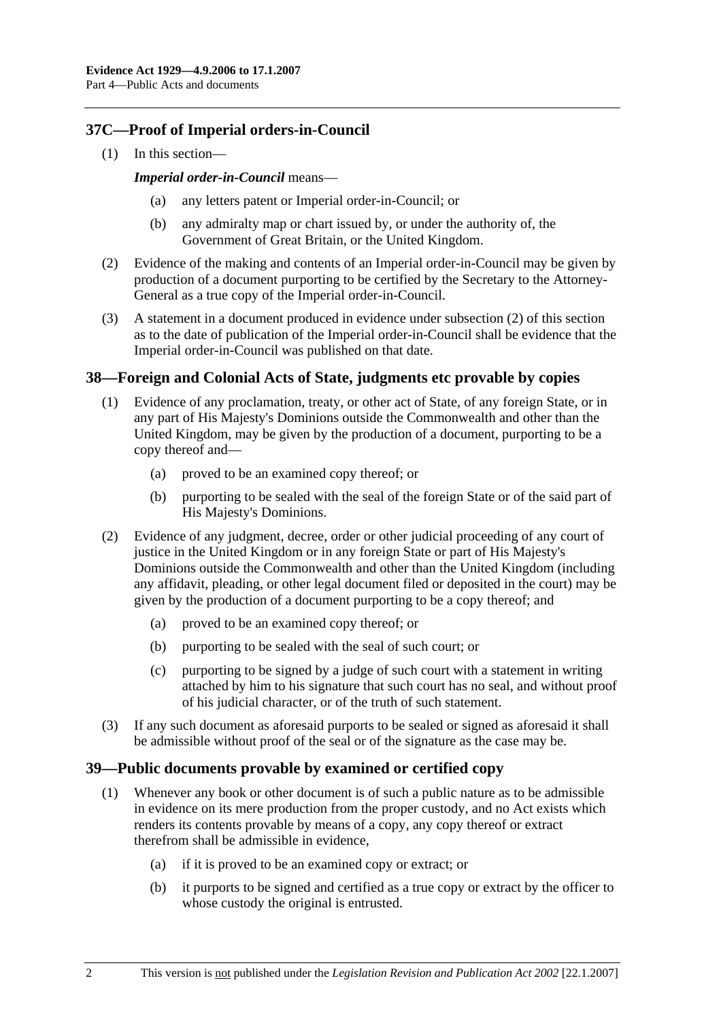## **37C—Proof of Imperial orders-in-Council**

(1) In this section—

#### *Imperial order-in-Council* means—

- any letters patent or Imperial order-in-Council; or
- (b) any admiralty map or chart issued by, or under the authority of, the Government of Great Britain, or the United Kingdom.
- (2) Evidence of the making and contents of an Imperial order-in-Council may be given by production of a document purporting to be certified by the Secretary to the Attorney-General as a true copy of the Imperial order-in-Council.
- (3) A statement in a document produced in evidence under subsection (2) of this section as to the date of publication of the Imperial order-in-Council shall be evidence that the Imperial order-in-Council was published on that date.

## **38—Foreign and Colonial Acts of State, judgments etc provable by copies**

- (1) Evidence of any proclamation, treaty, or other act of State, of any foreign State, or in any part of His Majesty's Dominions outside the Commonwealth and other than the United Kingdom, may be given by the production of a document, purporting to be a copy thereof and—
	- (a) proved to be an examined copy thereof; or
	- (b) purporting to be sealed with the seal of the foreign State or of the said part of His Majesty's Dominions.
- (2) Evidence of any judgment, decree, order or other judicial proceeding of any court of justice in the United Kingdom or in any foreign State or part of His Majesty's Dominions outside the Commonwealth and other than the United Kingdom (including any affidavit, pleading, or other legal document filed or deposited in the court) may be given by the production of a document purporting to be a copy thereof; and
	- (a) proved to be an examined copy thereof; or
	- (b) purporting to be sealed with the seal of such court; or
	- (c) purporting to be signed by a judge of such court with a statement in writing attached by him to his signature that such court has no seal, and without proof of his judicial character, or of the truth of such statement.
- (3) If any such document as aforesaid purports to be sealed or signed as aforesaid it shall be admissible without proof of the seal or of the signature as the case may be.

## **39—Public documents provable by examined or certified copy**

- (1) Whenever any book or other document is of such a public nature as to be admissible in evidence on its mere production from the proper custody, and no Act exists which renders its contents provable by means of a copy, any copy thereof or extract therefrom shall be admissible in evidence,
	- (a) if it is proved to be an examined copy or extract; or
	- (b) it purports to be signed and certified as a true copy or extract by the officer to whose custody the original is entrusted.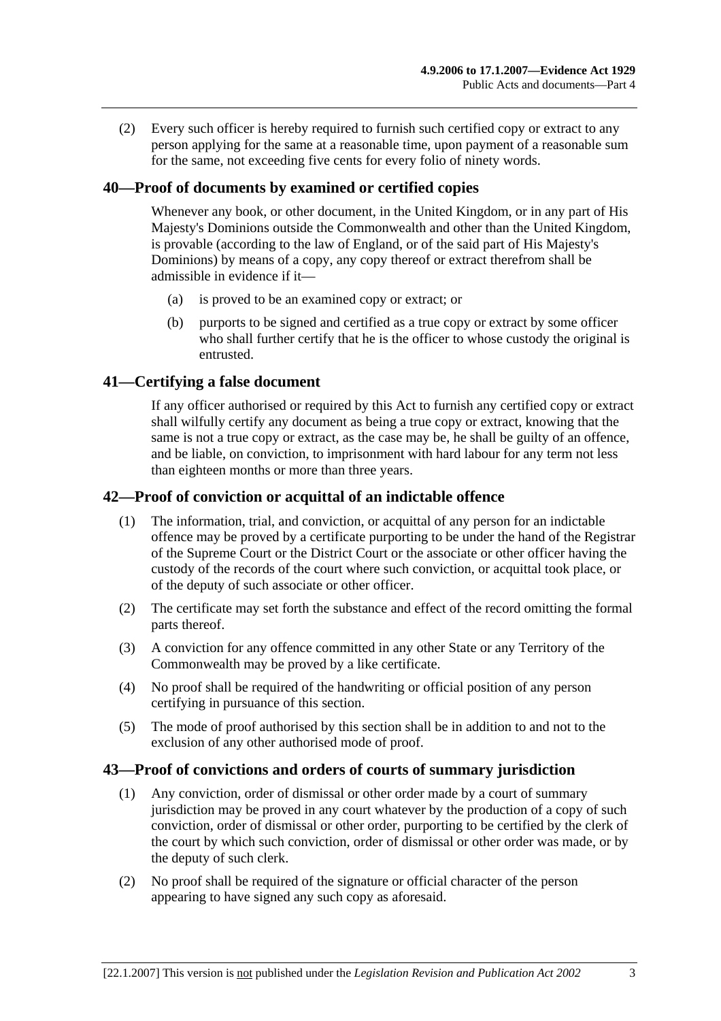(2) Every such officer is hereby required to furnish such certified copy or extract to any person applying for the same at a reasonable time, upon payment of a reasonable sum for the same, not exceeding five cents for every folio of ninety words.

## **40—Proof of documents by examined or certified copies**

Whenever any book, or other document, in the United Kingdom, or in any part of His Majesty's Dominions outside the Commonwealth and other than the United Kingdom, is provable (according to the law of England, or of the said part of His Majesty's Dominions) by means of a copy, any copy thereof or extract therefrom shall be admissible in evidence if it—

- (a) is proved to be an examined copy or extract; or
- (b) purports to be signed and certified as a true copy or extract by some officer who shall further certify that he is the officer to whose custody the original is entrusted.

#### **41—Certifying a false document**

If any officer authorised or required by this Act to furnish any certified copy or extract shall wilfully certify any document as being a true copy or extract, knowing that the same is not a true copy or extract, as the case may be, he shall be guilty of an offence, and be liable, on conviction, to imprisonment with hard labour for any term not less than eighteen months or more than three years.

## **42—Proof of conviction or acquittal of an indictable offence**

- (1) The information, trial, and conviction, or acquittal of any person for an indictable offence may be proved by a certificate purporting to be under the hand of the Registrar of the Supreme Court or the District Court or the associate or other officer having the custody of the records of the court where such conviction, or acquittal took place, or of the deputy of such associate or other officer.
- (2) The certificate may set forth the substance and effect of the record omitting the formal parts thereof.
- (3) A conviction for any offence committed in any other State or any Territory of the Commonwealth may be proved by a like certificate.
- (4) No proof shall be required of the handwriting or official position of any person certifying in pursuance of this section.
- (5) The mode of proof authorised by this section shall be in addition to and not to the exclusion of any other authorised mode of proof.

#### **43—Proof of convictions and orders of courts of summary jurisdiction**

- (1) Any conviction, order of dismissal or other order made by a court of summary jurisdiction may be proved in any court whatever by the production of a copy of such conviction, order of dismissal or other order, purporting to be certified by the clerk of the court by which such conviction, order of dismissal or other order was made, or by the deputy of such clerk.
- (2) No proof shall be required of the signature or official character of the person appearing to have signed any such copy as aforesaid.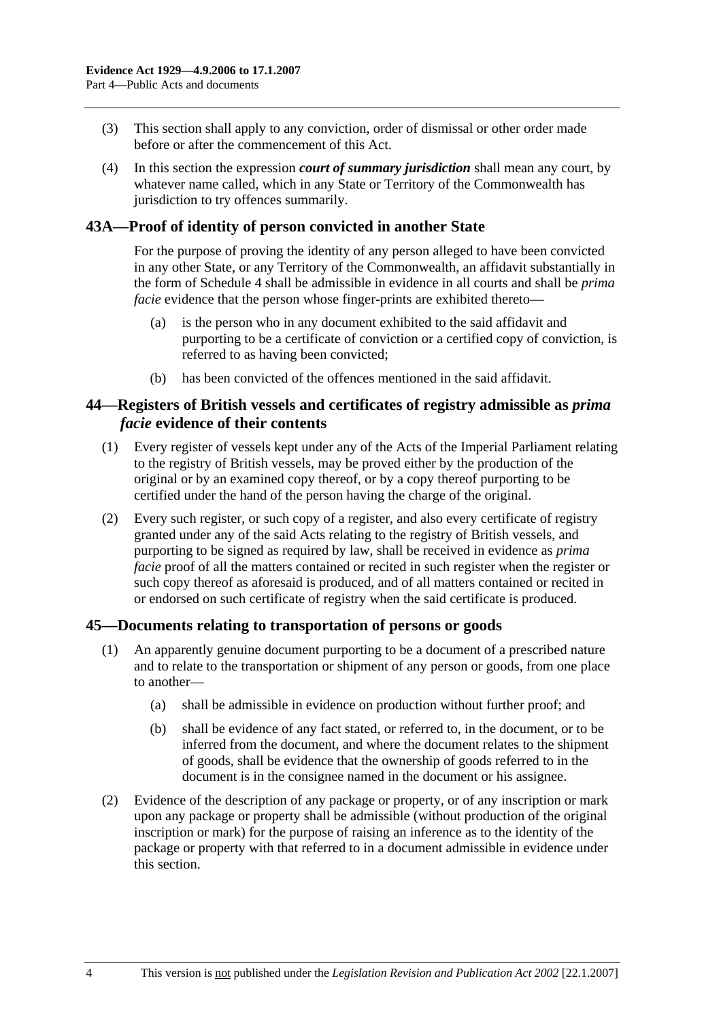- (3) This section shall apply to any conviction, order of dismissal or other order made before or after the commencement of this Act.
- (4) In this section the expression *court of summary jurisdiction* shall mean any court, by whatever name called, which in any State or Territory of the Commonwealth has jurisdiction to try offences summarily.

## **43A—Proof of identity of person convicted in another State**

For the purpose of proving the identity of any person alleged to have been convicted in any other State, or any Territory of the Commonwealth, an affidavit substantially in the form of Schedule 4 shall be admissible in evidence in all courts and shall be *prima facie* evidence that the person whose finger-prints are exhibited thereto—

- (a) is the person who in any document exhibited to the said affidavit and purporting to be a certificate of conviction or a certified copy of conviction, is referred to as having been convicted;
- (b) has been convicted of the offences mentioned in the said affidavit.

## **44—Registers of British vessels and certificates of registry admissible as** *prima facie* **evidence of their contents**

- (1) Every register of vessels kept under any of the Acts of the Imperial Parliament relating to the registry of British vessels, may be proved either by the production of the original or by an examined copy thereof, or by a copy thereof purporting to be certified under the hand of the person having the charge of the original.
- (2) Every such register, or such copy of a register, and also every certificate of registry granted under any of the said Acts relating to the registry of British vessels, and purporting to be signed as required by law, shall be received in evidence as *prima facie* proof of all the matters contained or recited in such register when the register or such copy thereof as aforesaid is produced, and of all matters contained or recited in or endorsed on such certificate of registry when the said certificate is produced.

## **45—Documents relating to transportation of persons or goods**

- (1) An apparently genuine document purporting to be a document of a prescribed nature and to relate to the transportation or shipment of any person or goods, from one place to another—
	- (a) shall be admissible in evidence on production without further proof; and
	- (b) shall be evidence of any fact stated, or referred to, in the document, or to be inferred from the document, and where the document relates to the shipment of goods, shall be evidence that the ownership of goods referred to in the document is in the consignee named in the document or his assignee.
- (2) Evidence of the description of any package or property, or of any inscription or mark upon any package or property shall be admissible (without production of the original inscription or mark) for the purpose of raising an inference as to the identity of the package or property with that referred to in a document admissible in evidence under this section.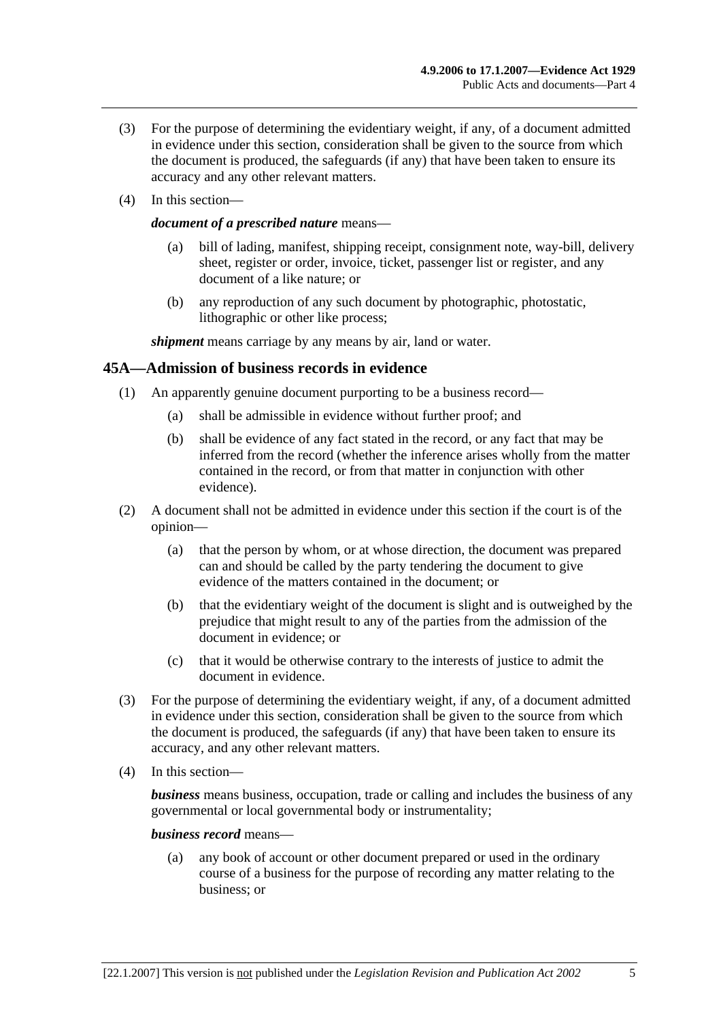- (3) For the purpose of determining the evidentiary weight, if any, of a document admitted in evidence under this section, consideration shall be given to the source from which the document is produced, the safeguards (if any) that have been taken to ensure its accuracy and any other relevant matters.
- (4) In this section—

#### *document of a prescribed nature* means—

- (a) bill of lading, manifest, shipping receipt, consignment note, way-bill, delivery sheet, register or order, invoice, ticket, passenger list or register, and any document of a like nature; or
- (b) any reproduction of any such document by photographic, photostatic, lithographic or other like process;

*shipment* means carriage by any means by air, land or water.

#### **45A—Admission of business records in evidence**

- (1) An apparently genuine document purporting to be a business record—
	- (a) shall be admissible in evidence without further proof; and
	- (b) shall be evidence of any fact stated in the record, or any fact that may be inferred from the record (whether the inference arises wholly from the matter contained in the record, or from that matter in conjunction with other evidence).
- (2) A document shall not be admitted in evidence under this section if the court is of the opinion—
	- (a) that the person by whom, or at whose direction, the document was prepared can and should be called by the party tendering the document to give evidence of the matters contained in the document; or
	- (b) that the evidentiary weight of the document is slight and is outweighed by the prejudice that might result to any of the parties from the admission of the document in evidence; or
	- (c) that it would be otherwise contrary to the interests of justice to admit the document in evidence.
- (3) For the purpose of determining the evidentiary weight, if any, of a document admitted in evidence under this section, consideration shall be given to the source from which the document is produced, the safeguards (if any) that have been taken to ensure its accuracy, and any other relevant matters.
- (4) In this section—

*business* means business, occupation, trade or calling and includes the business of any governmental or local governmental body or instrumentality;

*business record* means—

 (a) any book of account or other document prepared or used in the ordinary course of a business for the purpose of recording any matter relating to the business; or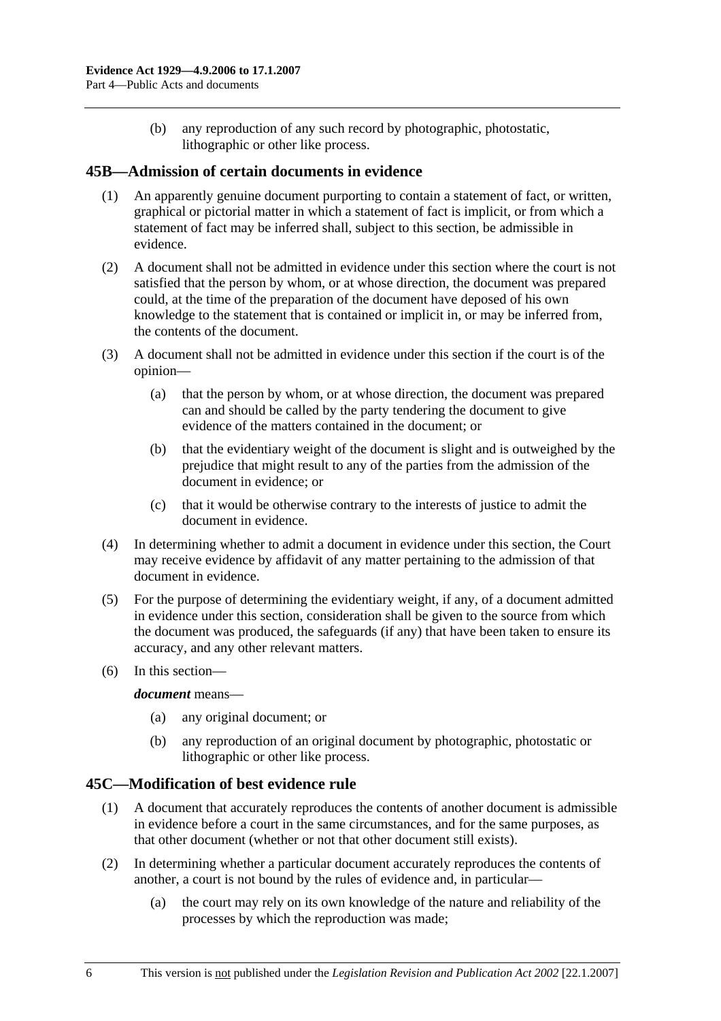(b) any reproduction of any such record by photographic, photostatic, lithographic or other like process.

## **45B—Admission of certain documents in evidence**

- (1) An apparently genuine document purporting to contain a statement of fact, or written, graphical or pictorial matter in which a statement of fact is implicit, or from which a statement of fact may be inferred shall, subject to this section, be admissible in evidence.
- (2) A document shall not be admitted in evidence under this section where the court is not satisfied that the person by whom, or at whose direction, the document was prepared could, at the time of the preparation of the document have deposed of his own knowledge to the statement that is contained or implicit in, or may be inferred from, the contents of the document.
- (3) A document shall not be admitted in evidence under this section if the court is of the opinion—
	- (a) that the person by whom, or at whose direction, the document was prepared can and should be called by the party tendering the document to give evidence of the matters contained in the document; or
	- (b) that the evidentiary weight of the document is slight and is outweighed by the prejudice that might result to any of the parties from the admission of the document in evidence; or
	- (c) that it would be otherwise contrary to the interests of justice to admit the document in evidence.
- (4) In determining whether to admit a document in evidence under this section, the Court may receive evidence by affidavit of any matter pertaining to the admission of that document in evidence.
- (5) For the purpose of determining the evidentiary weight, if any, of a document admitted in evidence under this section, consideration shall be given to the source from which the document was produced, the safeguards (if any) that have been taken to ensure its accuracy, and any other relevant matters.
- (6) In this section—

#### *document* means—

- (a) any original document; or
- (b) any reproduction of an original document by photographic, photostatic or lithographic or other like process.

## **45C—Modification of best evidence rule**

- (1) A document that accurately reproduces the contents of another document is admissible in evidence before a court in the same circumstances, and for the same purposes, as that other document (whether or not that other document still exists).
- (2) In determining whether a particular document accurately reproduces the contents of another, a court is not bound by the rules of evidence and, in particular—
	- (a) the court may rely on its own knowledge of the nature and reliability of the processes by which the reproduction was made;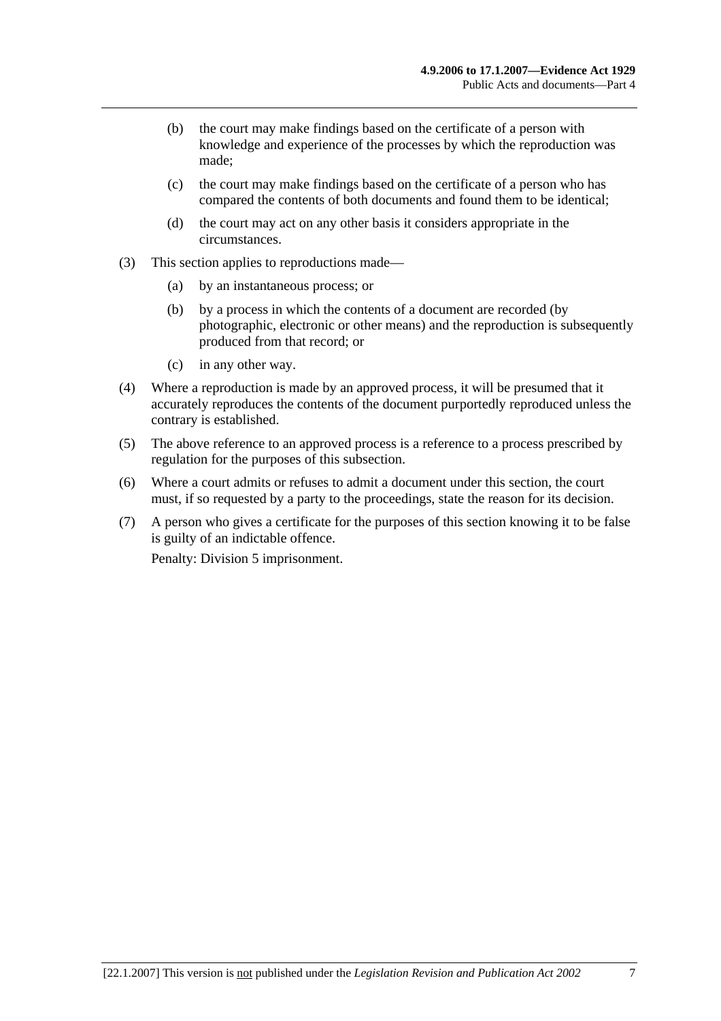- (b) the court may make findings based on the certificate of a person with knowledge and experience of the processes by which the reproduction was made;
- (c) the court may make findings based on the certificate of a person who has compared the contents of both documents and found them to be identical;
- (d) the court may act on any other basis it considers appropriate in the circumstances.
- (3) This section applies to reproductions made—
	- (a) by an instantaneous process; or
	- (b) by a process in which the contents of a document are recorded (by photographic, electronic or other means) and the reproduction is subsequently produced from that record; or
	- (c) in any other way.
- (4) Where a reproduction is made by an approved process, it will be presumed that it accurately reproduces the contents of the document purportedly reproduced unless the contrary is established.
- (5) The above reference to an approved process is a reference to a process prescribed by regulation for the purposes of this subsection.
- (6) Where a court admits or refuses to admit a document under this section, the court must, if so requested by a party to the proceedings, state the reason for its decision.
- (7) A person who gives a certificate for the purposes of this section knowing it to be false is guilty of an indictable offence.

Penalty: Division 5 imprisonment.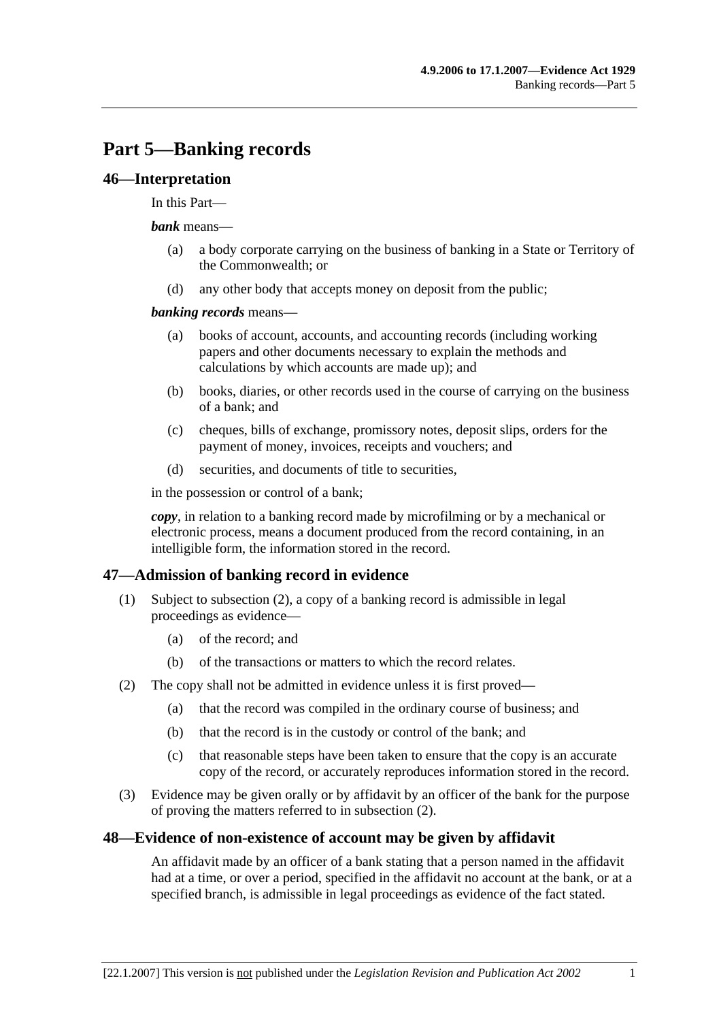## **Part 5—Banking records**

#### **46—Interpretation**

#### In this Part—

#### *bank* means—

- (a) a body corporate carrying on the business of banking in a State or Territory of the Commonwealth; or
- (d) any other body that accepts money on deposit from the public;

#### *banking records* means—

- (a) books of account, accounts, and accounting records (including working papers and other documents necessary to explain the methods and calculations by which accounts are made up); and
- (b) books, diaries, or other records used in the course of carrying on the business of a bank; and
- (c) cheques, bills of exchange, promissory notes, deposit slips, orders for the payment of money, invoices, receipts and vouchers; and
- (d) securities, and documents of title to securities,

in the possession or control of a bank;

*copy*, in relation to a banking record made by microfilming or by a mechanical or electronic process, means a document produced from the record containing, in an intelligible form, the information stored in the record.

## **47—Admission of banking record in evidence**

- (1) Subject to subsection (2), a copy of a banking record is admissible in legal proceedings as evidence—
	- (a) of the record; and
	- (b) of the transactions or matters to which the record relates.
- (2) The copy shall not be admitted in evidence unless it is first proved—
	- (a) that the record was compiled in the ordinary course of business; and
	- (b) that the record is in the custody or control of the bank; and
	- (c) that reasonable steps have been taken to ensure that the copy is an accurate copy of the record, or accurately reproduces information stored in the record.
- (3) Evidence may be given orally or by affidavit by an officer of the bank for the purpose of proving the matters referred to in subsection (2).

## **48—Evidence of non-existence of account may be given by affidavit**

An affidavit made by an officer of a bank stating that a person named in the affidavit had at a time, or over a period, specified in the affidavit no account at the bank, or at a specified branch, is admissible in legal proceedings as evidence of the fact stated.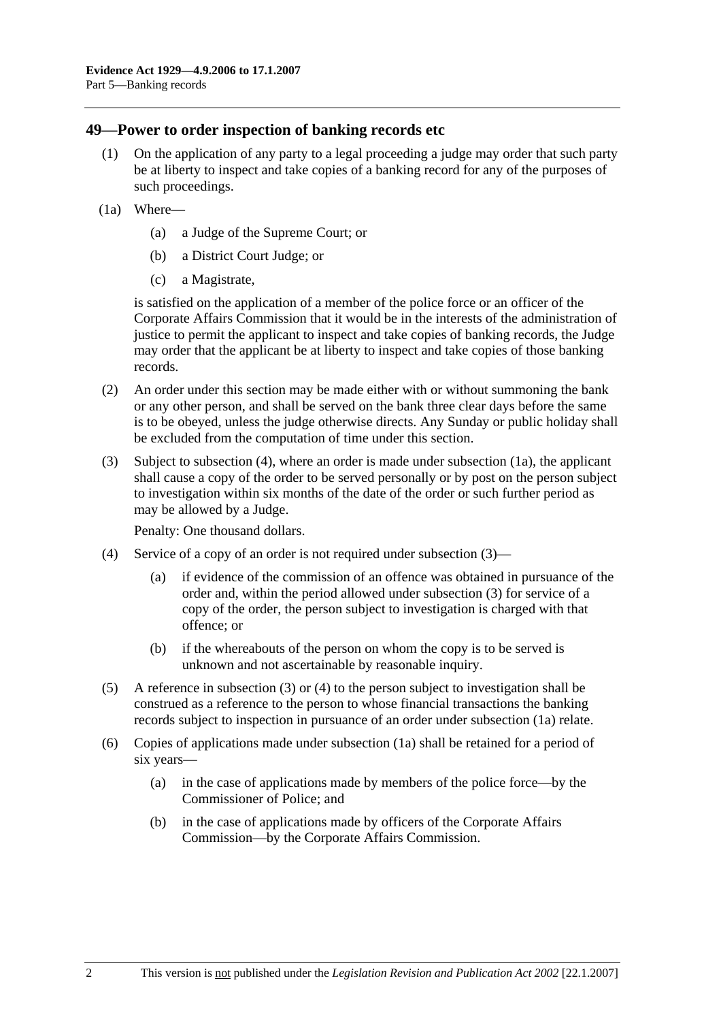#### **49—Power to order inspection of banking records etc**

- (1) On the application of any party to a legal proceeding a judge may order that such party be at liberty to inspect and take copies of a banking record for any of the purposes of such proceedings.
- (1a) Where—
	- (a) a Judge of the Supreme Court; or
	- (b) a District Court Judge; or
	- (c) a Magistrate,

is satisfied on the application of a member of the police force or an officer of the Corporate Affairs Commission that it would be in the interests of the administration of justice to permit the applicant to inspect and take copies of banking records, the Judge may order that the applicant be at liberty to inspect and take copies of those banking records.

- (2) An order under this section may be made either with or without summoning the bank or any other person, and shall be served on the bank three clear days before the same is to be obeyed, unless the judge otherwise directs. Any Sunday or public holiday shall be excluded from the computation of time under this section.
- (3) Subject to subsection (4), where an order is made under subsection (1a), the applicant shall cause a copy of the order to be served personally or by post on the person subject to investigation within six months of the date of the order or such further period as may be allowed by a Judge.

Penalty: One thousand dollars.

- (4) Service of a copy of an order is not required under subsection (3)—
	- (a) if evidence of the commission of an offence was obtained in pursuance of the order and, within the period allowed under subsection (3) for service of a copy of the order, the person subject to investigation is charged with that offence; or
	- (b) if the whereabouts of the person on whom the copy is to be served is unknown and not ascertainable by reasonable inquiry.
- (5) A reference in subsection (3) or (4) to the person subject to investigation shall be construed as a reference to the person to whose financial transactions the banking records subject to inspection in pursuance of an order under subsection (1a) relate.
- (6) Copies of applications made under subsection (1a) shall be retained for a period of six years—
	- (a) in the case of applications made by members of the police force—by the Commissioner of Police; and
	- (b) in the case of applications made by officers of the Corporate Affairs Commission—by the Corporate Affairs Commission.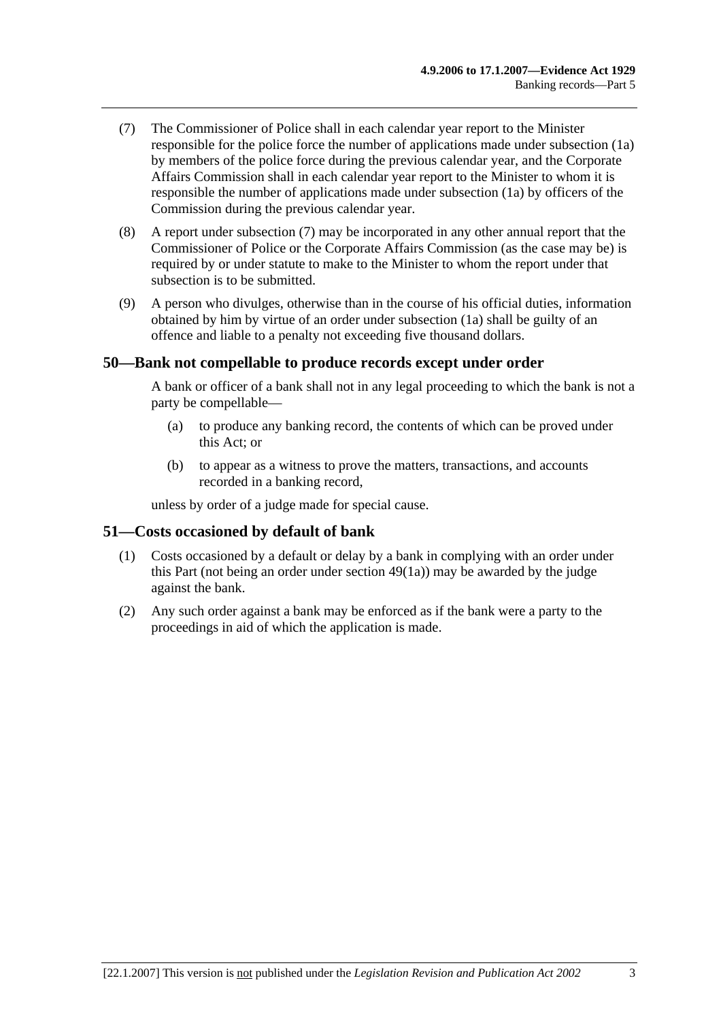- (7) The Commissioner of Police shall in each calendar year report to the Minister responsible for the police force the number of applications made under subsection (1a) by members of the police force during the previous calendar year, and the Corporate Affairs Commission shall in each calendar year report to the Minister to whom it is responsible the number of applications made under subsection (1a) by officers of the Commission during the previous calendar year.
- (8) A report under subsection (7) may be incorporated in any other annual report that the Commissioner of Police or the Corporate Affairs Commission (as the case may be) is required by or under statute to make to the Minister to whom the report under that subsection is to be submitted.
- (9) A person who divulges, otherwise than in the course of his official duties, information obtained by him by virtue of an order under subsection (1a) shall be guilty of an offence and liable to a penalty not exceeding five thousand dollars.

#### **50—Bank not compellable to produce records except under order**

A bank or officer of a bank shall not in any legal proceeding to which the bank is not a party be compellable—

- (a) to produce any banking record, the contents of which can be proved under this Act; or
- (b) to appear as a witness to prove the matters, transactions, and accounts recorded in a banking record,

unless by order of a judge made for special cause.

#### **51—Costs occasioned by default of bank**

- (1) Costs occasioned by a default or delay by a bank in complying with an order under this Part (not being an order under section 49(1a)) may be awarded by the judge against the bank.
- (2) Any such order against a bank may be enforced as if the bank were a party to the proceedings in aid of which the application is made.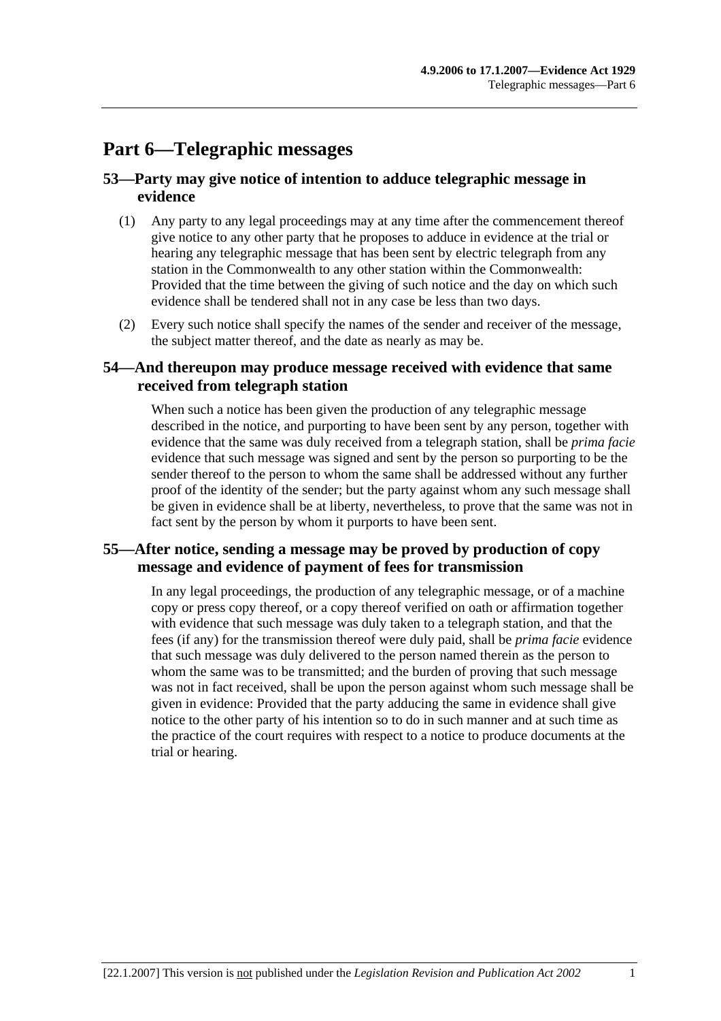## **Part 6—Telegraphic messages**

## **53—Party may give notice of intention to adduce telegraphic message in evidence**

- (1) Any party to any legal proceedings may at any time after the commencement thereof give notice to any other party that he proposes to adduce in evidence at the trial or hearing any telegraphic message that has been sent by electric telegraph from any station in the Commonwealth to any other station within the Commonwealth: Provided that the time between the giving of such notice and the day on which such evidence shall be tendered shall not in any case be less than two days.
- (2) Every such notice shall specify the names of the sender and receiver of the message, the subject matter thereof, and the date as nearly as may be.

## **54—And thereupon may produce message received with evidence that same received from telegraph station**

When such a notice has been given the production of any telegraphic message described in the notice, and purporting to have been sent by any person, together with evidence that the same was duly received from a telegraph station, shall be *prima facie* evidence that such message was signed and sent by the person so purporting to be the sender thereof to the person to whom the same shall be addressed without any further proof of the identity of the sender; but the party against whom any such message shall be given in evidence shall be at liberty, nevertheless, to prove that the same was not in fact sent by the person by whom it purports to have been sent.

## **55—After notice, sending a message may be proved by production of copy message and evidence of payment of fees for transmission**

In any legal proceedings, the production of any telegraphic message, or of a machine copy or press copy thereof, or a copy thereof verified on oath or affirmation together with evidence that such message was duly taken to a telegraph station, and that the fees (if any) for the transmission thereof were duly paid, shall be *prima facie* evidence that such message was duly delivered to the person named therein as the person to whom the same was to be transmitted; and the burden of proving that such message was not in fact received, shall be upon the person against whom such message shall be given in evidence: Provided that the party adducing the same in evidence shall give notice to the other party of his intention so to do in such manner and at such time as the practice of the court requires with respect to a notice to produce documents at the trial or hearing.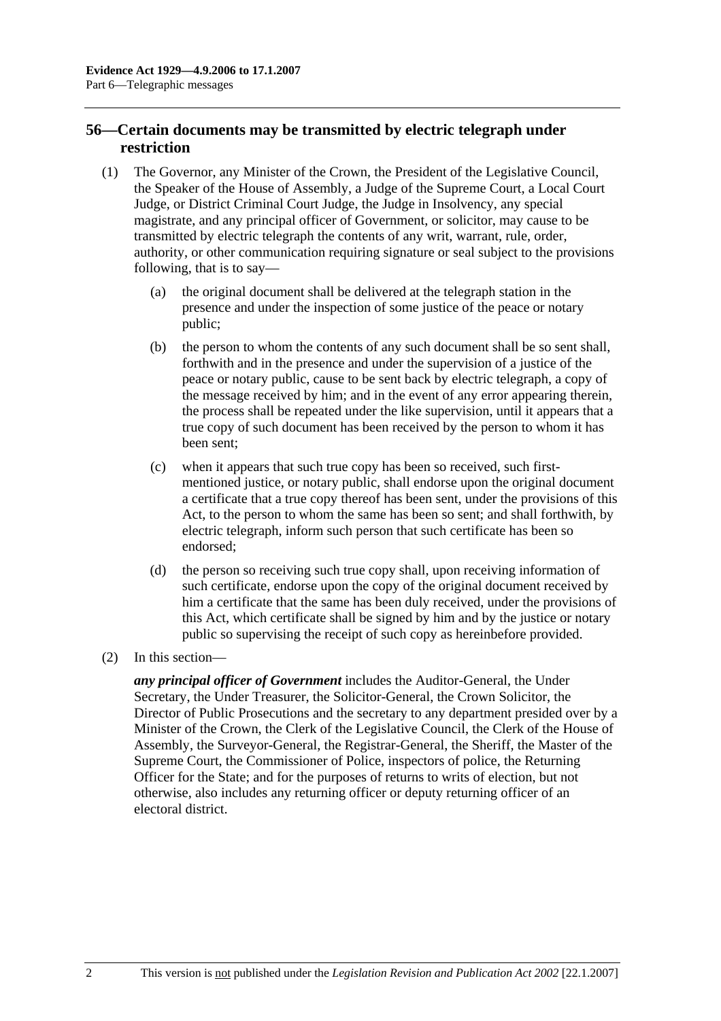## **56—Certain documents may be transmitted by electric telegraph under restriction**

- (1) The Governor, any Minister of the Crown, the President of the Legislative Council, the Speaker of the House of Assembly, a Judge of the Supreme Court, a Local Court Judge, or District Criminal Court Judge, the Judge in Insolvency, any special magistrate, and any principal officer of Government, or solicitor, may cause to be transmitted by electric telegraph the contents of any writ, warrant, rule, order, authority, or other communication requiring signature or seal subject to the provisions following, that is to say—
	- (a) the original document shall be delivered at the telegraph station in the presence and under the inspection of some justice of the peace or notary public;
	- (b) the person to whom the contents of any such document shall be so sent shall, forthwith and in the presence and under the supervision of a justice of the peace or notary public, cause to be sent back by electric telegraph, a copy of the message received by him; and in the event of any error appearing therein, the process shall be repeated under the like supervision, until it appears that a true copy of such document has been received by the person to whom it has been sent;
	- (c) when it appears that such true copy has been so received, such firstmentioned justice, or notary public, shall endorse upon the original document a certificate that a true copy thereof has been sent, under the provisions of this Act, to the person to whom the same has been so sent; and shall forthwith, by electric telegraph, inform such person that such certificate has been so endorsed;
	- (d) the person so receiving such true copy shall, upon receiving information of such certificate, endorse upon the copy of the original document received by him a certificate that the same has been duly received, under the provisions of this Act, which certificate shall be signed by him and by the justice or notary public so supervising the receipt of such copy as hereinbefore provided.
- (2) In this section—

*any principal officer of Government* includes the Auditor-General, the Under Secretary, the Under Treasurer, the Solicitor-General, the Crown Solicitor, the Director of Public Prosecutions and the secretary to any department presided over by a Minister of the Crown, the Clerk of the Legislative Council, the Clerk of the House of Assembly, the Surveyor-General, the Registrar-General, the Sheriff, the Master of the Supreme Court, the Commissioner of Police, inspectors of police, the Returning Officer for the State; and for the purposes of returns to writs of election, but not otherwise, also includes any returning officer or deputy returning officer of an electoral district.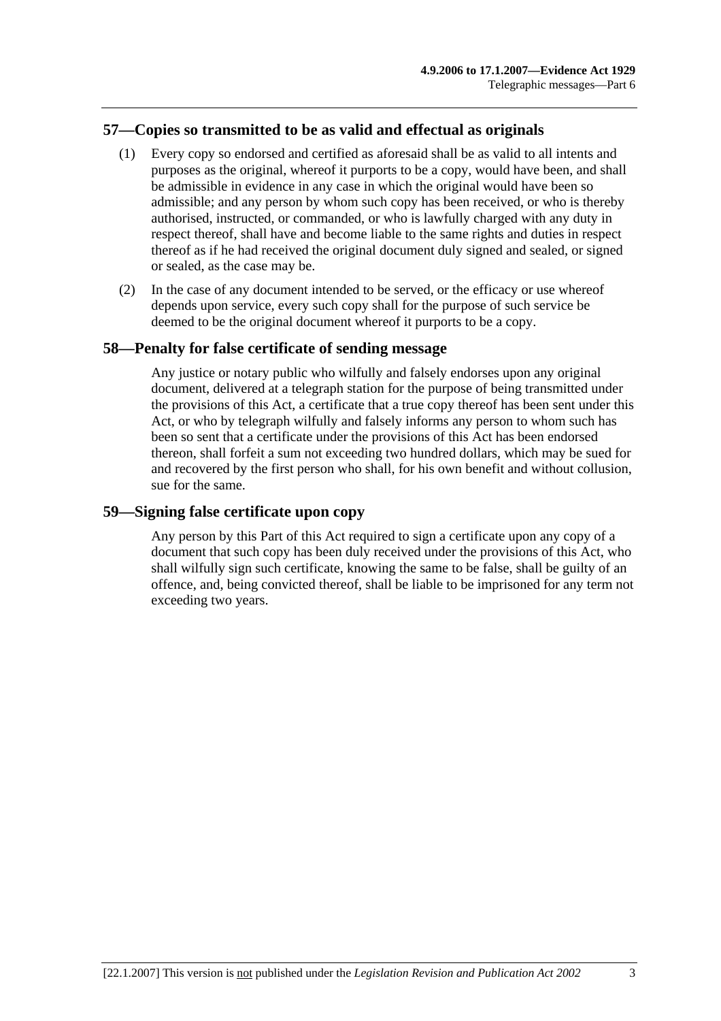## **57—Copies so transmitted to be as valid and effectual as originals**

- (1) Every copy so endorsed and certified as aforesaid shall be as valid to all intents and purposes as the original, whereof it purports to be a copy, would have been, and shall be admissible in evidence in any case in which the original would have been so admissible; and any person by whom such copy has been received, or who is thereby authorised, instructed, or commanded, or who is lawfully charged with any duty in respect thereof, shall have and become liable to the same rights and duties in respect thereof as if he had received the original document duly signed and sealed, or signed or sealed, as the case may be.
- (2) In the case of any document intended to be served, or the efficacy or use whereof depends upon service, every such copy shall for the purpose of such service be deemed to be the original document whereof it purports to be a copy.

#### **58—Penalty for false certificate of sending message**

Any justice or notary public who wilfully and falsely endorses upon any original document, delivered at a telegraph station for the purpose of being transmitted under the provisions of this Act, a certificate that a true copy thereof has been sent under this Act, or who by telegraph wilfully and falsely informs any person to whom such has been so sent that a certificate under the provisions of this Act has been endorsed thereon, shall forfeit a sum not exceeding two hundred dollars, which may be sued for and recovered by the first person who shall, for his own benefit and without collusion, sue for the same.

#### **59—Signing false certificate upon copy**

Any person by this Part of this Act required to sign a certificate upon any copy of a document that such copy has been duly received under the provisions of this Act, who shall wilfully sign such certificate, knowing the same to be false, shall be guilty of an offence, and, being convicted thereof, shall be liable to be imprisoned for any term not exceeding two years.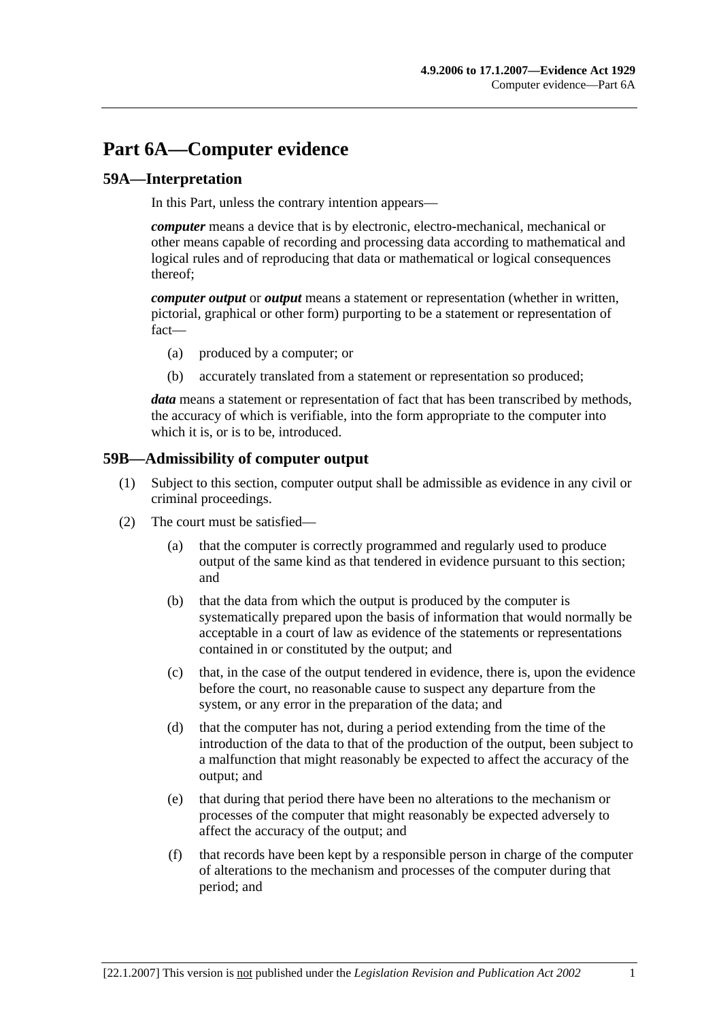# **Part 6A—Computer evidence**

## **59A—Interpretation**

In this Part, unless the contrary intention appears—

*computer* means a device that is by electronic, electro-mechanical, mechanical or other means capable of recording and processing data according to mathematical and logical rules and of reproducing that data or mathematical or logical consequences thereof;

*computer output* or *output* means a statement or representation (whether in written, pictorial, graphical or other form) purporting to be a statement or representation of fact—

- (a) produced by a computer; or
- (b) accurately translated from a statement or representation so produced;

*data* means a statement or representation of fact that has been transcribed by methods, the accuracy of which is verifiable, into the form appropriate to the computer into which it is, or is to be, introduced.

#### **59B—Admissibility of computer output**

- (1) Subject to this section, computer output shall be admissible as evidence in any civil or criminal proceedings.
- (2) The court must be satisfied—
	- (a) that the computer is correctly programmed and regularly used to produce output of the same kind as that tendered in evidence pursuant to this section; and
	- (b) that the data from which the output is produced by the computer is systematically prepared upon the basis of information that would normally be acceptable in a court of law as evidence of the statements or representations contained in or constituted by the output; and
	- (c) that, in the case of the output tendered in evidence, there is, upon the evidence before the court, no reasonable cause to suspect any departure from the system, or any error in the preparation of the data; and
	- (d) that the computer has not, during a period extending from the time of the introduction of the data to that of the production of the output, been subject to a malfunction that might reasonably be expected to affect the accuracy of the output; and
	- (e) that during that period there have been no alterations to the mechanism or processes of the computer that might reasonably be expected adversely to affect the accuracy of the output; and
	- (f) that records have been kept by a responsible person in charge of the computer of alterations to the mechanism and processes of the computer during that period; and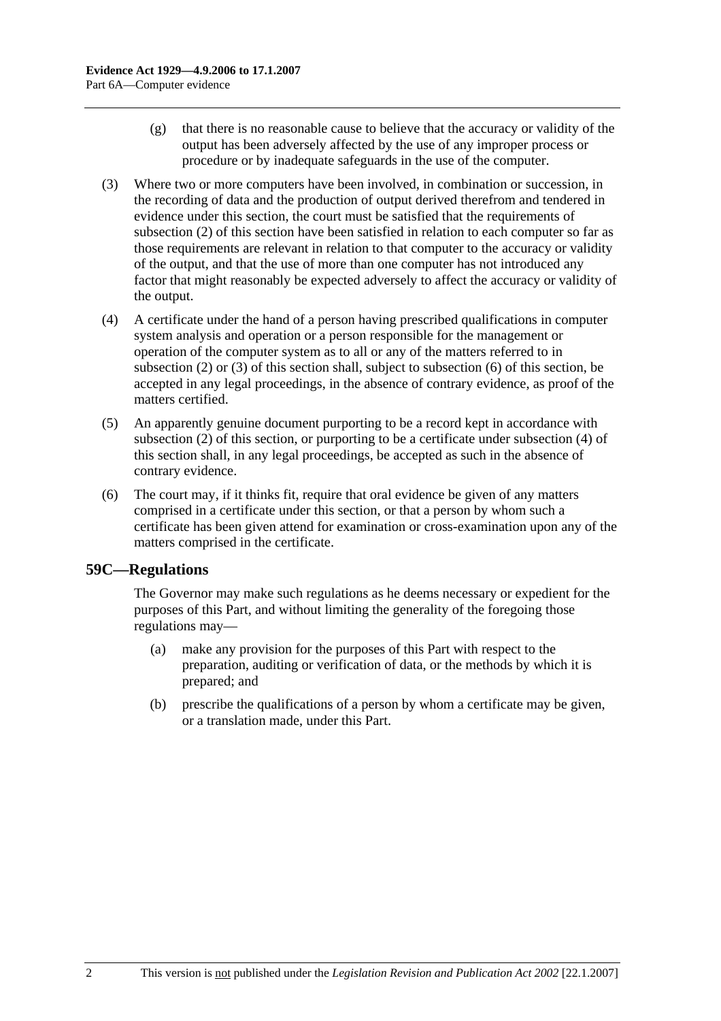- (g) that there is no reasonable cause to believe that the accuracy or validity of the output has been adversely affected by the use of any improper process or procedure or by inadequate safeguards in the use of the computer.
- (3) Where two or more computers have been involved, in combination or succession, in the recording of data and the production of output derived therefrom and tendered in evidence under this section, the court must be satisfied that the requirements of subsection (2) of this section have been satisfied in relation to each computer so far as those requirements are relevant in relation to that computer to the accuracy or validity of the output, and that the use of more than one computer has not introduced any factor that might reasonably be expected adversely to affect the accuracy or validity of the output.
- (4) A certificate under the hand of a person having prescribed qualifications in computer system analysis and operation or a person responsible for the management or operation of the computer system as to all or any of the matters referred to in subsection (2) or (3) of this section shall, subject to subsection (6) of this section, be accepted in any legal proceedings, in the absence of contrary evidence, as proof of the matters certified.
- (5) An apparently genuine document purporting to be a record kept in accordance with subsection (2) of this section, or purporting to be a certificate under subsection (4) of this section shall, in any legal proceedings, be accepted as such in the absence of contrary evidence.
- (6) The court may, if it thinks fit, require that oral evidence be given of any matters comprised in a certificate under this section, or that a person by whom such a certificate has been given attend for examination or cross-examination upon any of the matters comprised in the certificate.

#### **59C—Regulations**

The Governor may make such regulations as he deems necessary or expedient for the purposes of this Part, and without limiting the generality of the foregoing those regulations may—

- (a) make any provision for the purposes of this Part with respect to the preparation, auditing or verification of data, or the methods by which it is prepared; and
- (b) prescribe the qualifications of a person by whom a certificate may be given, or a translation made, under this Part.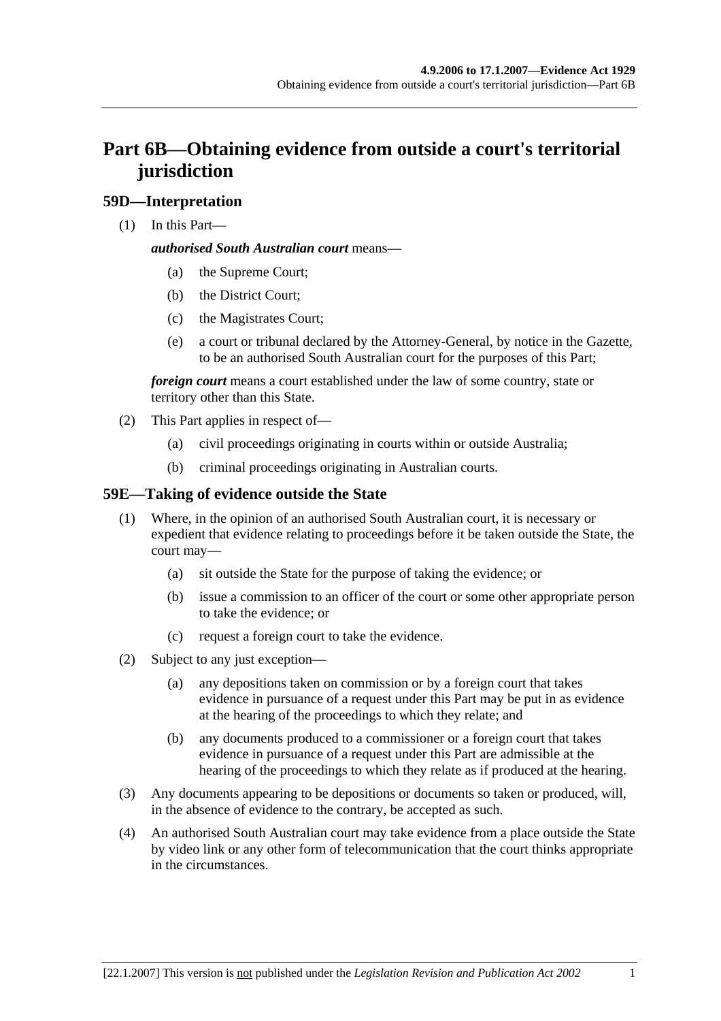# **Part 6B—Obtaining evidence from outside a court's territorial jurisdiction**

## **59D—Interpretation**

(1) In this Part—

#### *authorised South Australian court* means—

- (a) the Supreme Court;
- (b) the District Court;
- (c) the Magistrates Court;
- (e) a court or tribunal declared by the Attorney-General, by notice in the Gazette, to be an authorised South Australian court for the purposes of this Part;

*foreign court* means a court established under the law of some country, state or territory other than this State.

- (2) This Part applies in respect of—
	- (a) civil proceedings originating in courts within or outside Australia;
	- (b) criminal proceedings originating in Australian courts.

## **59E—Taking of evidence outside the State**

- (1) Where, in the opinion of an authorised South Australian court, it is necessary or expedient that evidence relating to proceedings before it be taken outside the State, the court may—
	- (a) sit outside the State for the purpose of taking the evidence; or
	- (b) issue a commission to an officer of the court or some other appropriate person to take the evidence; or
	- (c) request a foreign court to take the evidence.
- (2) Subject to any just exception—
	- (a) any depositions taken on commission or by a foreign court that takes evidence in pursuance of a request under this Part may be put in as evidence at the hearing of the proceedings to which they relate; and
	- (b) any documents produced to a commissioner or a foreign court that takes evidence in pursuance of a request under this Part are admissible at the hearing of the proceedings to which they relate as if produced at the hearing.
- (3) Any documents appearing to be depositions or documents so taken or produced, will, in the absence of evidence to the contrary, be accepted as such.
- (4) An authorised South Australian court may take evidence from a place outside the State by video link or any other form of telecommunication that the court thinks appropriate in the circumstances.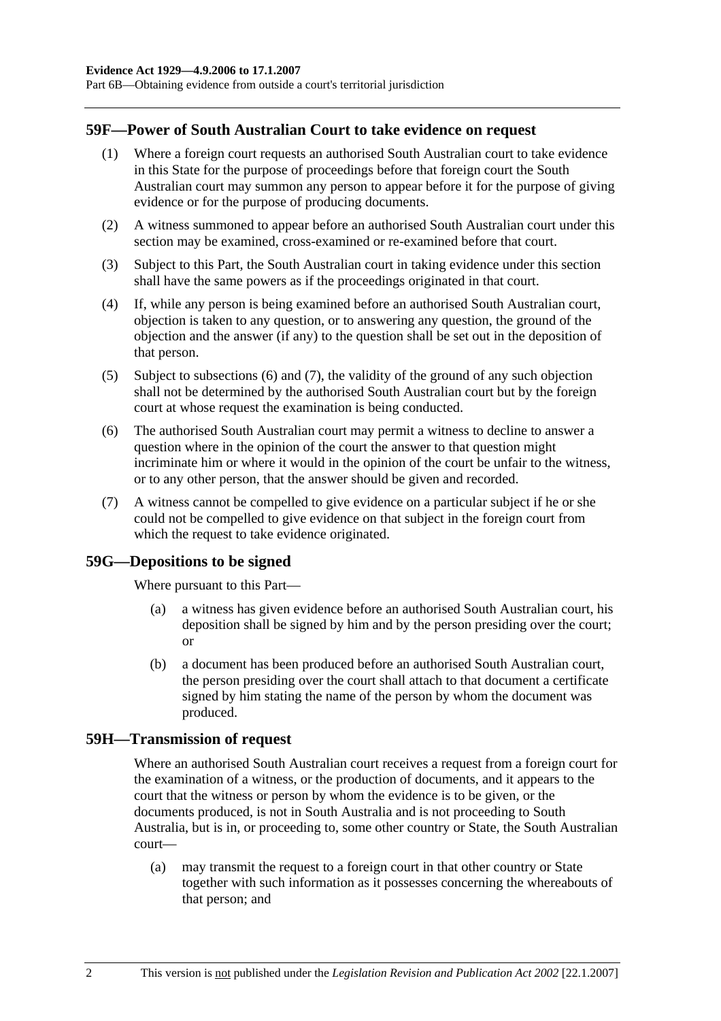Part 6B—Obtaining evidence from outside a court's territorial jurisdiction

#### **59F—Power of South Australian Court to take evidence on request**

- (1) Where a foreign court requests an authorised South Australian court to take evidence in this State for the purpose of proceedings before that foreign court the South Australian court may summon any person to appear before it for the purpose of giving evidence or for the purpose of producing documents.
- (2) A witness summoned to appear before an authorised South Australian court under this section may be examined, cross-examined or re-examined before that court.
- (3) Subject to this Part, the South Australian court in taking evidence under this section shall have the same powers as if the proceedings originated in that court.
- (4) If, while any person is being examined before an authorised South Australian court, objection is taken to any question, or to answering any question, the ground of the objection and the answer (if any) to the question shall be set out in the deposition of that person.
- (5) Subject to subsections (6) and (7), the validity of the ground of any such objection shall not be determined by the authorised South Australian court but by the foreign court at whose request the examination is being conducted.
- (6) The authorised South Australian court may permit a witness to decline to answer a question where in the opinion of the court the answer to that question might incriminate him or where it would in the opinion of the court be unfair to the witness, or to any other person, that the answer should be given and recorded.
- (7) A witness cannot be compelled to give evidence on a particular subject if he or she could not be compelled to give evidence on that subject in the foreign court from which the request to take evidence originated.

#### **59G—Depositions to be signed**

Where pursuant to this Part—

- (a) a witness has given evidence before an authorised South Australian court, his deposition shall be signed by him and by the person presiding over the court; or
- (b) a document has been produced before an authorised South Australian court, the person presiding over the court shall attach to that document a certificate signed by him stating the name of the person by whom the document was produced.

#### **59H—Transmission of request**

Where an authorised South Australian court receives a request from a foreign court for the examination of a witness, or the production of documents, and it appears to the court that the witness or person by whom the evidence is to be given, or the documents produced, is not in South Australia and is not proceeding to South Australia, but is in, or proceeding to, some other country or State, the South Australian court—

 (a) may transmit the request to a foreign court in that other country or State together with such information as it possesses concerning the whereabouts of that person; and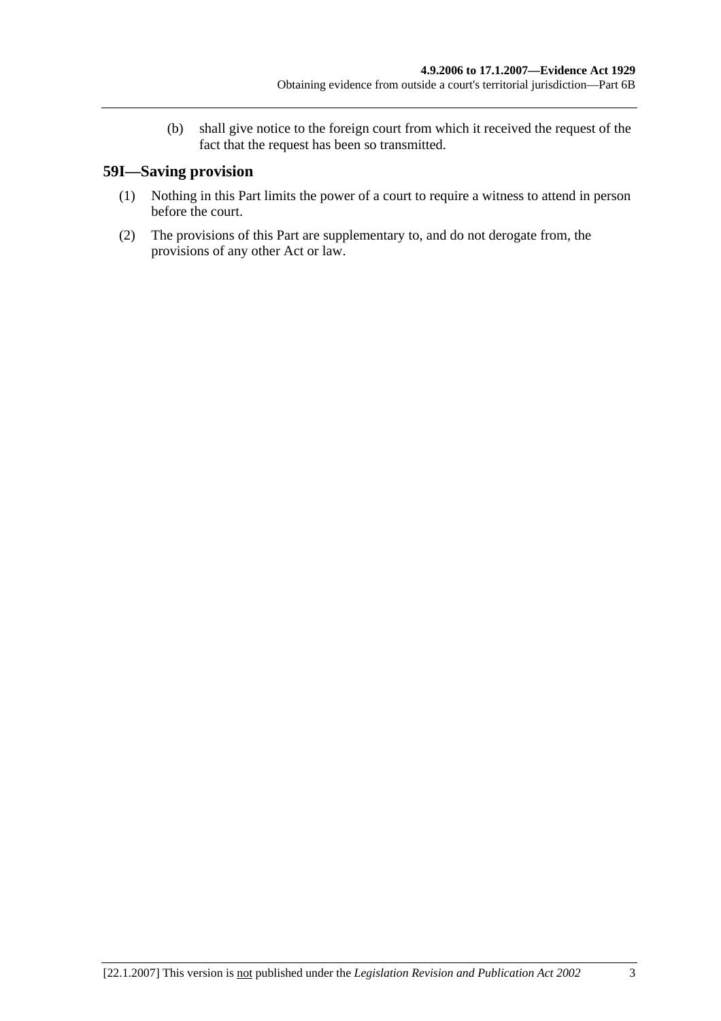(b) shall give notice to the foreign court from which it received the request of the fact that the request has been so transmitted.

## **59I—Saving provision**

- (1) Nothing in this Part limits the power of a court to require a witness to attend in person before the court.
- (2) The provisions of this Part are supplementary to, and do not derogate from, the provisions of any other Act or law.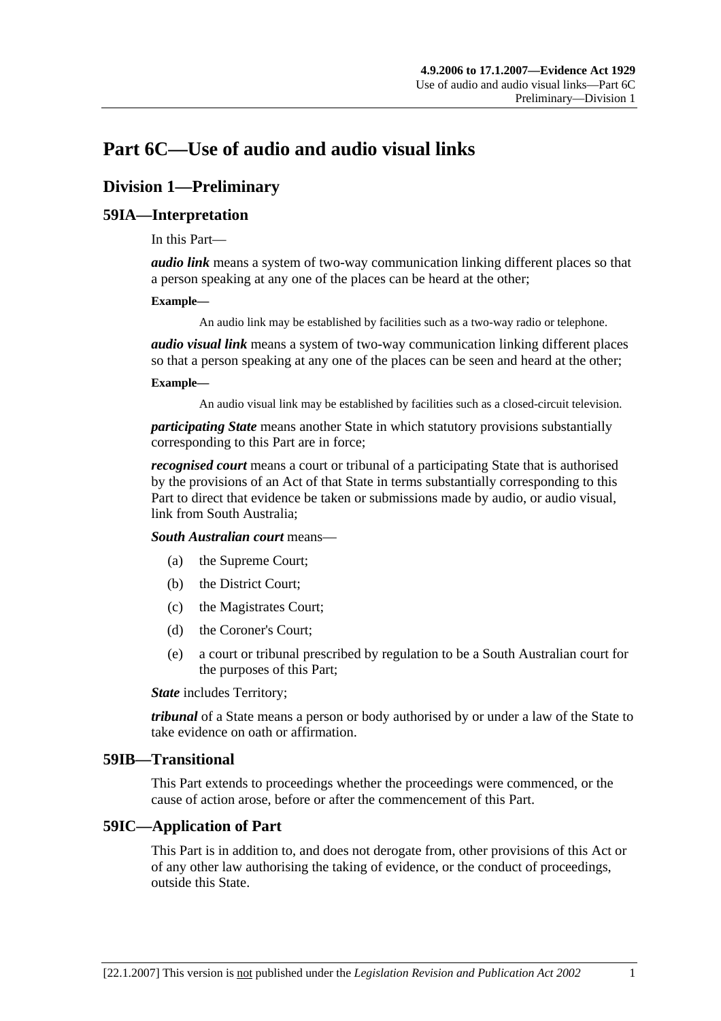# **Part 6C—Use of audio and audio visual links**

# **Division 1—Preliminary**

## **59IA—Interpretation**

In this Part—

*audio link* means a system of two-way communication linking different places so that a person speaking at any one of the places can be heard at the other;

#### **Example—**

An audio link may be established by facilities such as a two-way radio or telephone.

*audio visual link* means a system of two-way communication linking different places so that a person speaking at any one of the places can be seen and heard at the other;

#### **Example—**

An audio visual link may be established by facilities such as a closed-circuit television.

*participating State* means another State in which statutory provisions substantially corresponding to this Part are in force;

*recognised court* means a court or tribunal of a participating State that is authorised by the provisions of an Act of that State in terms substantially corresponding to this Part to direct that evidence be taken or submissions made by audio, or audio visual, link from South Australia;

*South Australian court* means—

- (a) the Supreme Court;
- (b) the District Court;
- (c) the Magistrates Court;
- (d) the Coroner's Court;
- (e) a court or tribunal prescribed by regulation to be a South Australian court for the purposes of this Part;

*State* includes Territory;

*tribunal* of a State means a person or body authorised by or under a law of the State to take evidence on oath or affirmation.

#### **59IB—Transitional**

This Part extends to proceedings whether the proceedings were commenced, or the cause of action arose, before or after the commencement of this Part.

#### **59IC—Application of Part**

This Part is in addition to, and does not derogate from, other provisions of this Act or of any other law authorising the taking of evidence, or the conduct of proceedings, outside this State.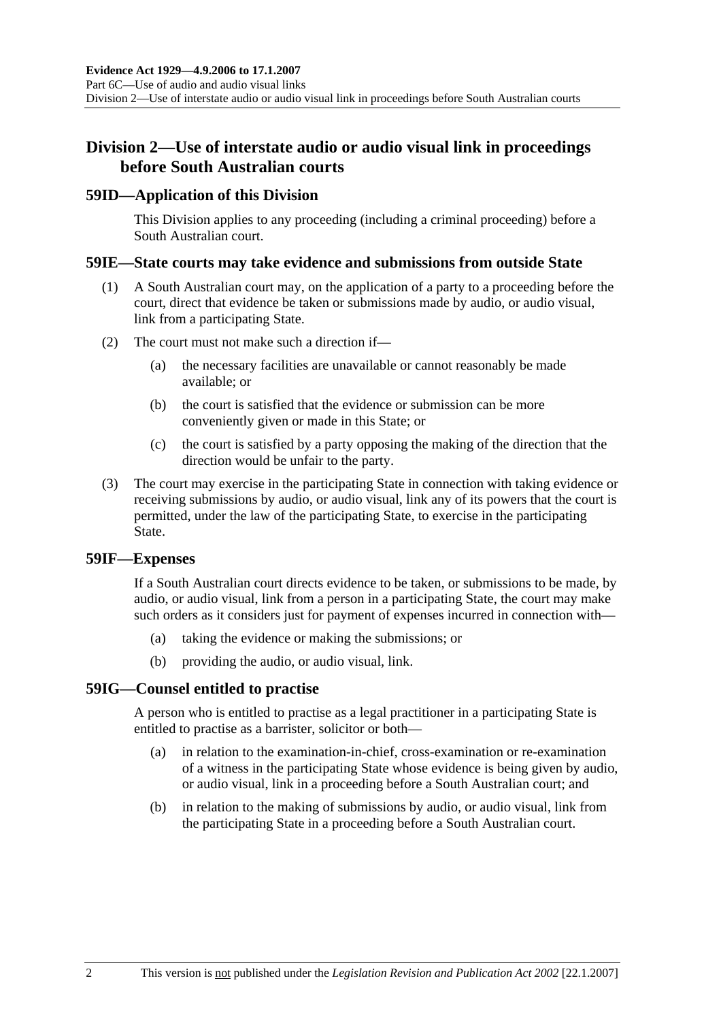## **Division 2—Use of interstate audio or audio visual link in proceedings before South Australian courts**

#### **59ID—Application of this Division**

This Division applies to any proceeding (including a criminal proceeding) before a South Australian court.

#### **59IE—State courts may take evidence and submissions from outside State**

- (1) A South Australian court may, on the application of a party to a proceeding before the court, direct that evidence be taken or submissions made by audio, or audio visual, link from a participating State.
- (2) The court must not make such a direction if—
	- (a) the necessary facilities are unavailable or cannot reasonably be made available; or
	- (b) the court is satisfied that the evidence or submission can be more conveniently given or made in this State; or
	- (c) the court is satisfied by a party opposing the making of the direction that the direction would be unfair to the party.
- (3) The court may exercise in the participating State in connection with taking evidence or receiving submissions by audio, or audio visual, link any of its powers that the court is permitted, under the law of the participating State, to exercise in the participating State.

#### **59IF—Expenses**

If a South Australian court directs evidence to be taken, or submissions to be made, by audio, or audio visual, link from a person in a participating State, the court may make such orders as it considers just for payment of expenses incurred in connection with—

- (a) taking the evidence or making the submissions; or
- (b) providing the audio, or audio visual, link.

#### **59IG—Counsel entitled to practise**

A person who is entitled to practise as a legal practitioner in a participating State is entitled to practise as a barrister, solicitor or both—

- (a) in relation to the examination-in-chief, cross-examination or re-examination of a witness in the participating State whose evidence is being given by audio, or audio visual, link in a proceeding before a South Australian court; and
- (b) in relation to the making of submissions by audio, or audio visual, link from the participating State in a proceeding before a South Australian court.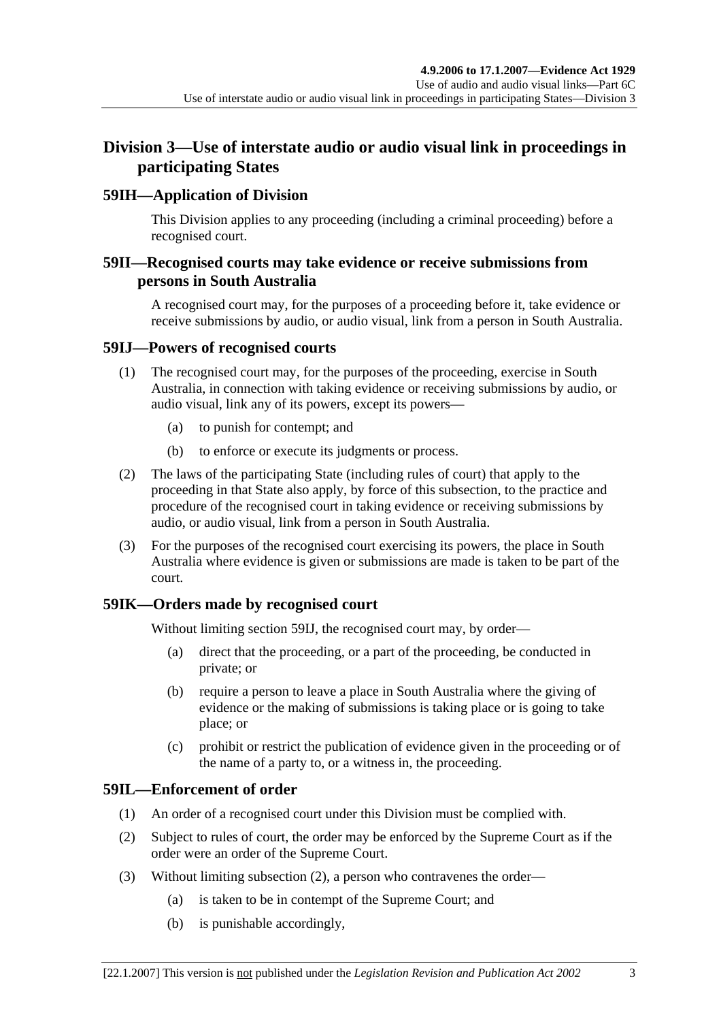## **Division 3—Use of interstate audio or audio visual link in proceedings in participating States**

## **59IH—Application of Division**

This Division applies to any proceeding (including a criminal proceeding) before a recognised court.

## **59II—Recognised courts may take evidence or receive submissions from persons in South Australia**

A recognised court may, for the purposes of a proceeding before it, take evidence or receive submissions by audio, or audio visual, link from a person in South Australia.

#### **59IJ—Powers of recognised courts**

- (1) The recognised court may, for the purposes of the proceeding, exercise in South Australia, in connection with taking evidence or receiving submissions by audio, or audio visual, link any of its powers, except its powers—
	- (a) to punish for contempt; and
	- (b) to enforce or execute its judgments or process.
- (2) The laws of the participating State (including rules of court) that apply to the proceeding in that State also apply, by force of this subsection, to the practice and procedure of the recognised court in taking evidence or receiving submissions by audio, or audio visual, link from a person in South Australia.
- (3) For the purposes of the recognised court exercising its powers, the place in South Australia where evidence is given or submissions are made is taken to be part of the court.

## **59IK—Orders made by recognised court**

Without limiting section 59IJ, the recognised court may, by order—

- (a) direct that the proceeding, or a part of the proceeding, be conducted in private; or
- (b) require a person to leave a place in South Australia where the giving of evidence or the making of submissions is taking place or is going to take place; or
- (c) prohibit or restrict the publication of evidence given in the proceeding or of the name of a party to, or a witness in, the proceeding.

## **59IL—Enforcement of order**

- (1) An order of a recognised court under this Division must be complied with.
- (2) Subject to rules of court, the order may be enforced by the Supreme Court as if the order were an order of the Supreme Court.
- (3) Without limiting subsection (2), a person who contravenes the order—
	- (a) is taken to be in contempt of the Supreme Court; and
	- (b) is punishable accordingly,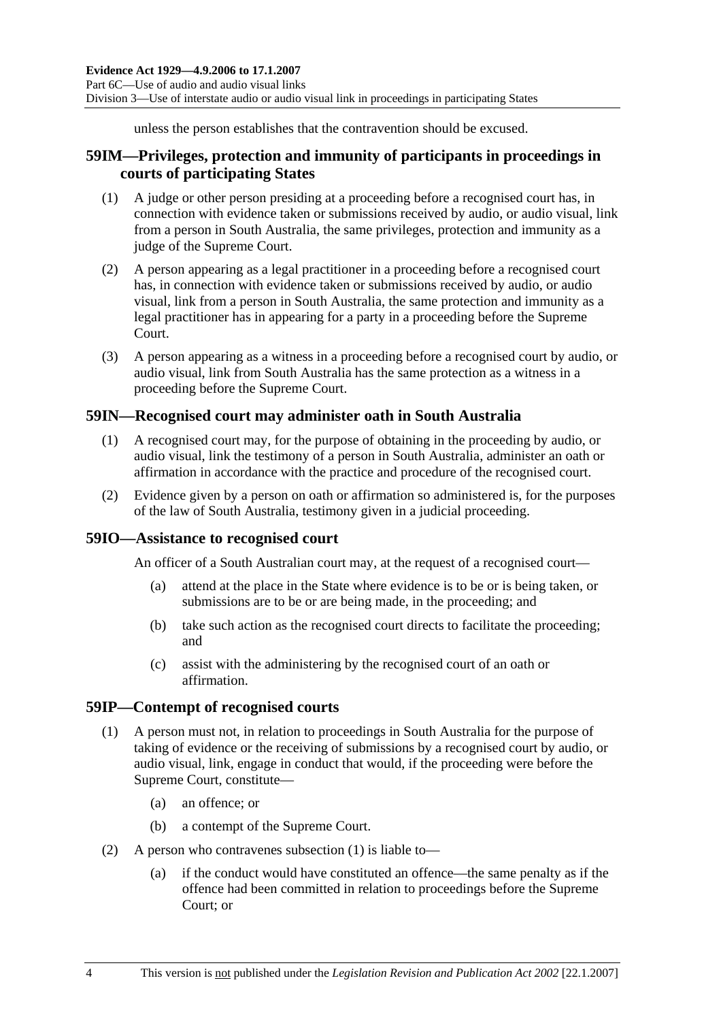unless the person establishes that the contravention should be excused.

## **59IM—Privileges, protection and immunity of participants in proceedings in courts of participating States**

- (1) A judge or other person presiding at a proceeding before a recognised court has, in connection with evidence taken or submissions received by audio, or audio visual, link from a person in South Australia, the same privileges, protection and immunity as a judge of the Supreme Court.
- (2) A person appearing as a legal practitioner in a proceeding before a recognised court has, in connection with evidence taken or submissions received by audio, or audio visual, link from a person in South Australia, the same protection and immunity as a legal practitioner has in appearing for a party in a proceeding before the Supreme Court.
- (3) A person appearing as a witness in a proceeding before a recognised court by audio, or audio visual, link from South Australia has the same protection as a witness in a proceeding before the Supreme Court.

## **59IN—Recognised court may administer oath in South Australia**

- (1) A recognised court may, for the purpose of obtaining in the proceeding by audio, or audio visual, link the testimony of a person in South Australia, administer an oath or affirmation in accordance with the practice and procedure of the recognised court.
- (2) Evidence given by a person on oath or affirmation so administered is, for the purposes of the law of South Australia, testimony given in a judicial proceeding.

#### **59IO—Assistance to recognised court**

An officer of a South Australian court may, at the request of a recognised court—

- (a) attend at the place in the State where evidence is to be or is being taken, or submissions are to be or are being made, in the proceeding; and
- (b) take such action as the recognised court directs to facilitate the proceeding; and
- (c) assist with the administering by the recognised court of an oath or affirmation.

#### **59IP—Contempt of recognised courts**

- (1) A person must not, in relation to proceedings in South Australia for the purpose of taking of evidence or the receiving of submissions by a recognised court by audio, or audio visual, link, engage in conduct that would, if the proceeding were before the Supreme Court, constitute—
	- (a) an offence; or
	- (b) a contempt of the Supreme Court.
- (2) A person who contravenes subsection (1) is liable to—
	- (a) if the conduct would have constituted an offence—the same penalty as if the offence had been committed in relation to proceedings before the Supreme Court; or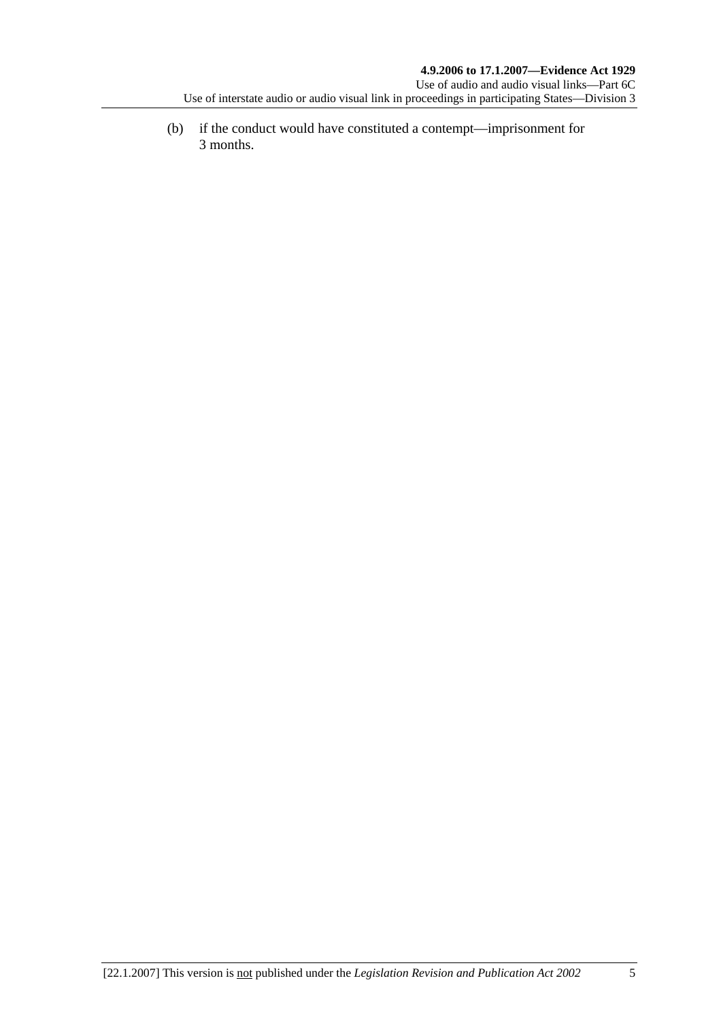(b) if the conduct would have constituted a contempt—imprisonment for 3 months.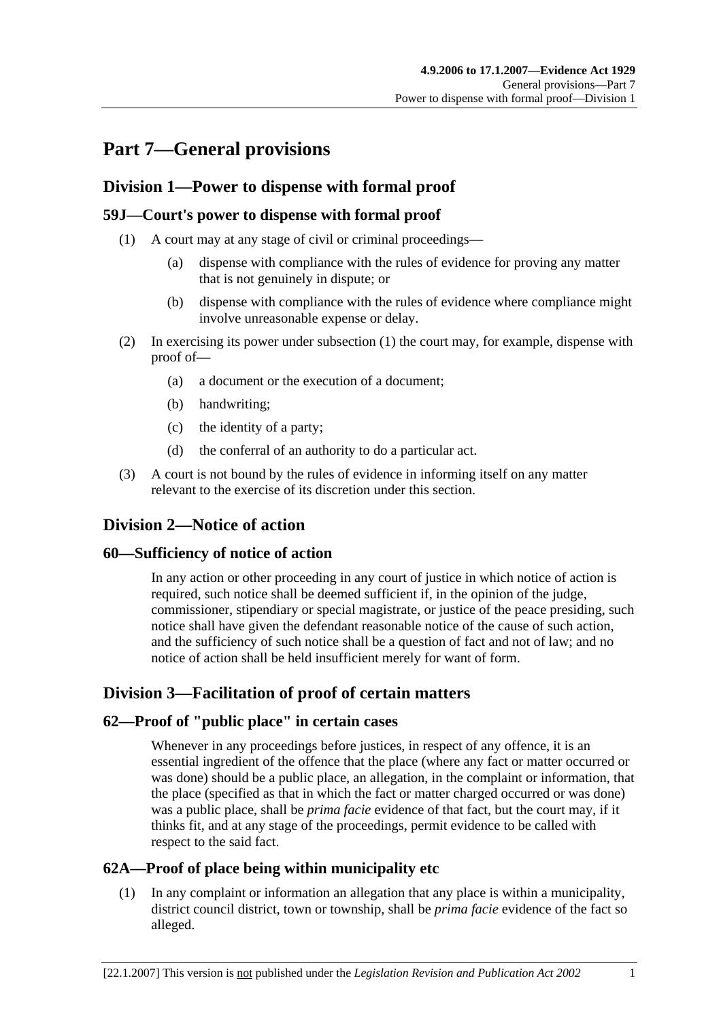# **Part 7—General provisions**

## **Division 1—Power to dispense with formal proof**

## **59J—Court's power to dispense with formal proof**

- (1) A court may at any stage of civil or criminal proceedings—
	- (a) dispense with compliance with the rules of evidence for proving any matter that is not genuinely in dispute; or
	- (b) dispense with compliance with the rules of evidence where compliance might involve unreasonable expense or delay.
- (2) In exercising its power under subsection (1) the court may, for example, dispense with proof of—
	- (a) a document or the execution of a document;
	- (b) handwriting;
	- (c) the identity of a party;
	- (d) the conferral of an authority to do a particular act.
- (3) A court is not bound by the rules of evidence in informing itself on any matter relevant to the exercise of its discretion under this section.

## **Division 2—Notice of action**

#### **60—Sufficiency of notice of action**

In any action or other proceeding in any court of justice in which notice of action is required, such notice shall be deemed sufficient if, in the opinion of the judge, commissioner, stipendiary or special magistrate, or justice of the peace presiding, such notice shall have given the defendant reasonable notice of the cause of such action, and the sufficiency of such notice shall be a question of fact and not of law; and no notice of action shall be held insufficient merely for want of form.

## **Division 3—Facilitation of proof of certain matters**

#### **62—Proof of "public place" in certain cases**

Whenever in any proceedings before justices, in respect of any offence, it is an essential ingredient of the offence that the place (where any fact or matter occurred or was done) should be a public place, an allegation, in the complaint or information, that the place (specified as that in which the fact or matter charged occurred or was done) was a public place, shall be *prima facie* evidence of that fact, but the court may, if it thinks fit, and at any stage of the proceedings, permit evidence to be called with respect to the said fact.

## **62A—Proof of place being within municipality etc**

 (1) In any complaint or information an allegation that any place is within a municipality, district council district, town or township, shall be *prima facie* evidence of the fact so alleged.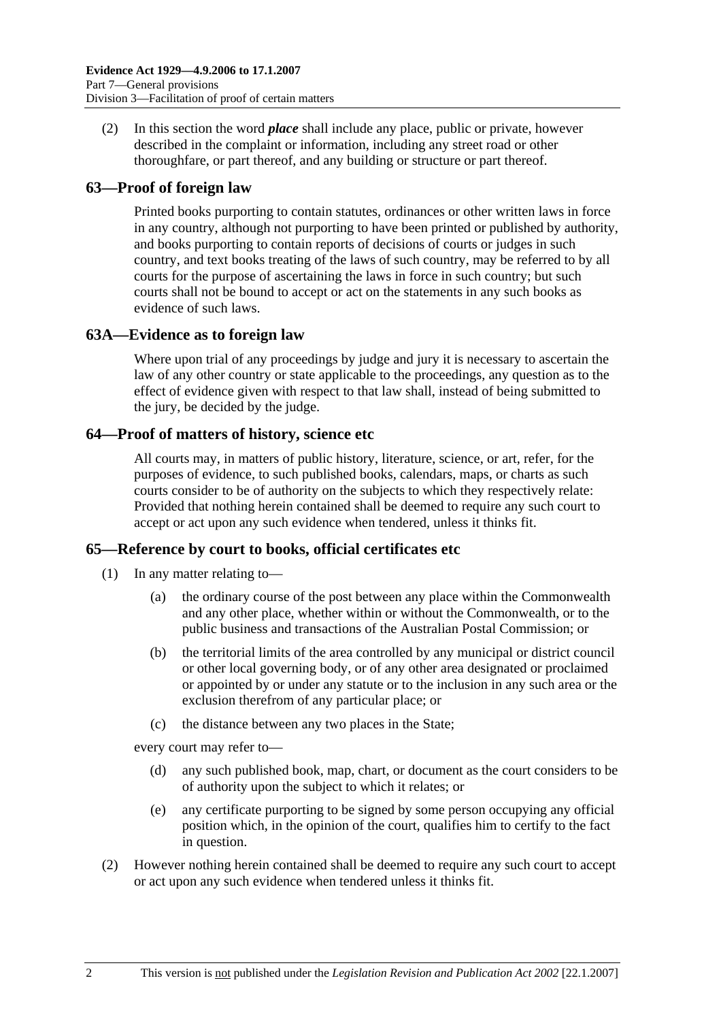(2) In this section the word *place* shall include any place, public or private, however described in the complaint or information, including any street road or other thoroughfare, or part thereof, and any building or structure or part thereof.

#### **63—Proof of foreign law**

Printed books purporting to contain statutes, ordinances or other written laws in force in any country, although not purporting to have been printed or published by authority, and books purporting to contain reports of decisions of courts or judges in such country, and text books treating of the laws of such country, may be referred to by all courts for the purpose of ascertaining the laws in force in such country; but such courts shall not be bound to accept or act on the statements in any such books as evidence of such laws.

#### **63A—Evidence as to foreign law**

Where upon trial of any proceedings by judge and jury it is necessary to ascertain the law of any other country or state applicable to the proceedings, any question as to the effect of evidence given with respect to that law shall, instead of being submitted to the jury, be decided by the judge.

#### **64—Proof of matters of history, science etc**

All courts may, in matters of public history, literature, science, or art, refer, for the purposes of evidence, to such published books, calendars, maps, or charts as such courts consider to be of authority on the subjects to which they respectively relate: Provided that nothing herein contained shall be deemed to require any such court to accept or act upon any such evidence when tendered, unless it thinks fit.

#### **65—Reference by court to books, official certificates etc**

- (1) In any matter relating to—
	- (a) the ordinary course of the post between any place within the Commonwealth and any other place, whether within or without the Commonwealth, or to the public business and transactions of the Australian Postal Commission; or
	- (b) the territorial limits of the area controlled by any municipal or district council or other local governing body, or of any other area designated or proclaimed or appointed by or under any statute or to the inclusion in any such area or the exclusion therefrom of any particular place; or
	- (c) the distance between any two places in the State;

every court may refer to—

- (d) any such published book, map, chart, or document as the court considers to be of authority upon the subject to which it relates; or
- (e) any certificate purporting to be signed by some person occupying any official position which, in the opinion of the court, qualifies him to certify to the fact in question.
- (2) However nothing herein contained shall be deemed to require any such court to accept or act upon any such evidence when tendered unless it thinks fit.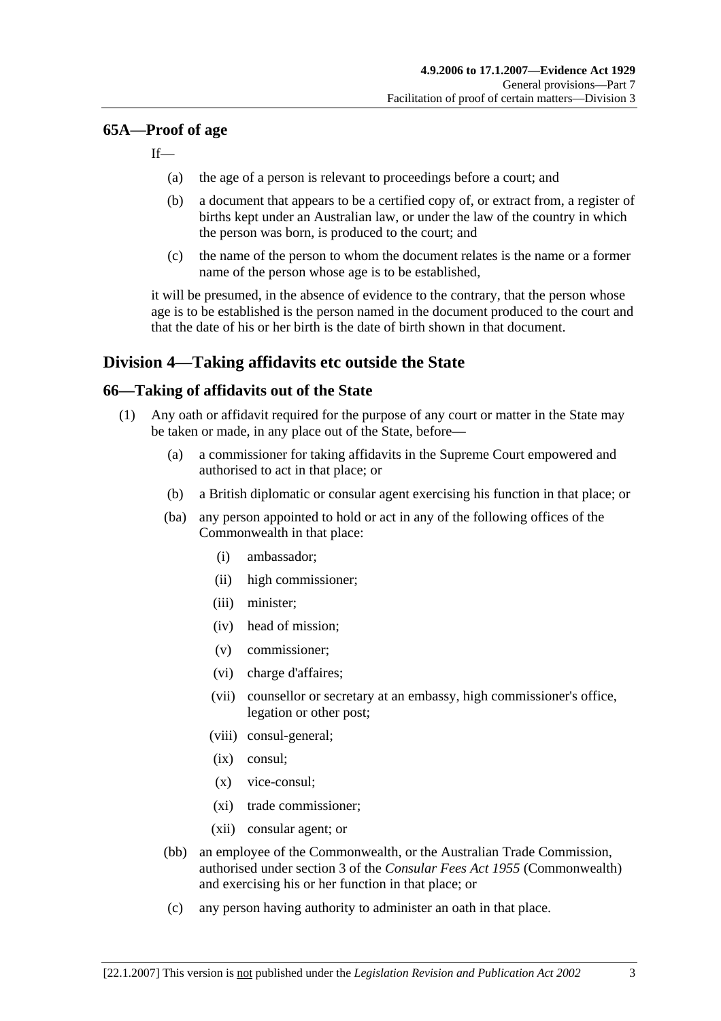#### **65A—Proof of age**

 $If$ 

- (a) the age of a person is relevant to proceedings before a court; and
- (b) a document that appears to be a certified copy of, or extract from, a register of births kept under an Australian law, or under the law of the country in which the person was born, is produced to the court; and
- (c) the name of the person to whom the document relates is the name or a former name of the person whose age is to be established,

it will be presumed, in the absence of evidence to the contrary, that the person whose age is to be established is the person named in the document produced to the court and that the date of his or her birth is the date of birth shown in that document.

## **Division 4—Taking affidavits etc outside the State**

#### **66—Taking of affidavits out of the State**

- (1) Any oath or affidavit required for the purpose of any court or matter in the State may be taken or made, in any place out of the State, before—
	- (a) a commissioner for taking affidavits in the Supreme Court empowered and authorised to act in that place; or
	- (b) a British diplomatic or consular agent exercising his function in that place; or
	- (ba) any person appointed to hold or act in any of the following offices of the Commonwealth in that place:
		- (i) ambassador;
		- (ii) high commissioner;
		- (iii) minister;
		- (iv) head of mission;
		- (v) commissioner;
		- (vi) charge d'affaires;
		- (vii) counsellor or secretary at an embassy, high commissioner's office, legation or other post;
		- (viii) consul-general;
		- (ix) consul;
		- (x) vice-consul;
		- (xi) trade commissioner;
		- (xii) consular agent; or
	- (bb) an employee of the Commonwealth, or the Australian Trade Commission, authorised under section 3 of the *Consular Fees Act 1955* (Commonwealth) and exercising his or her function in that place; or
	- (c) any person having authority to administer an oath in that place.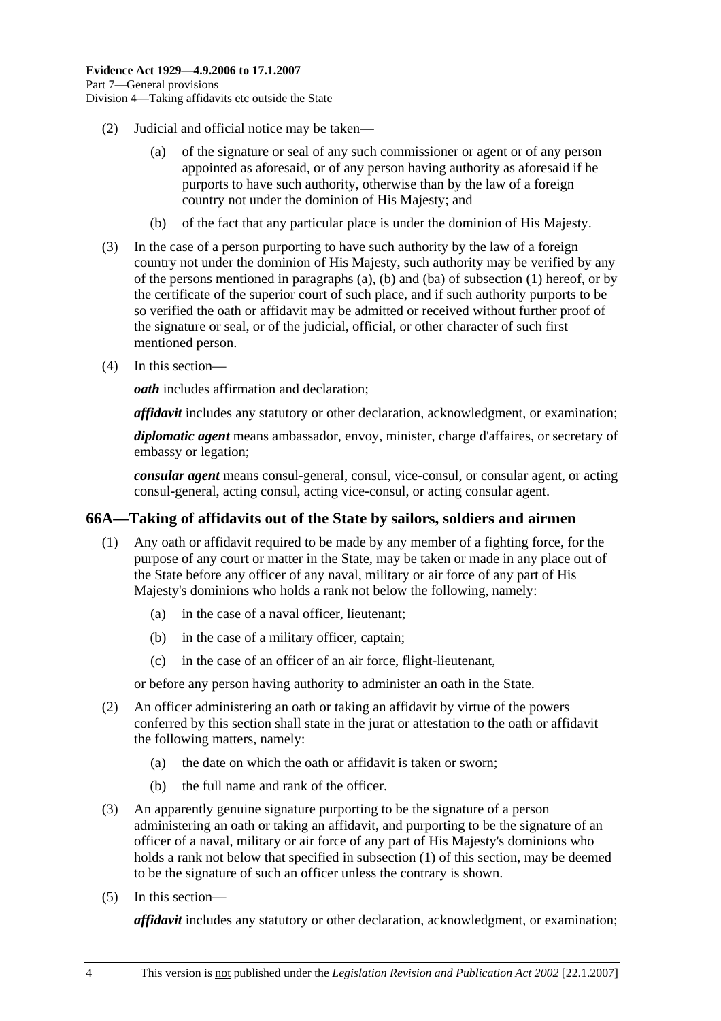- (2) Judicial and official notice may be taken—
	- (a) of the signature or seal of any such commissioner or agent or of any person appointed as aforesaid, or of any person having authority as aforesaid if he purports to have such authority, otherwise than by the law of a foreign country not under the dominion of His Majesty; and
	- (b) of the fact that any particular place is under the dominion of His Majesty.
- (3) In the case of a person purporting to have such authority by the law of a foreign country not under the dominion of His Majesty, such authority may be verified by any of the persons mentioned in paragraphs (a), (b) and (ba) of subsection (1) hereof, or by the certificate of the superior court of such place, and if such authority purports to be so verified the oath or affidavit may be admitted or received without further proof of the signature or seal, or of the judicial, official, or other character of such first mentioned person.
- (4) In this section—

*oath* includes affirmation and declaration;

*affidavit* includes any statutory or other declaration, acknowledgment, or examination;

*diplomatic agent* means ambassador, envoy, minister, charge d'affaires, or secretary of embassy or legation;

*consular agent* means consul-general, consul, vice-consul, or consular agent, or acting consul-general, acting consul, acting vice-consul, or acting consular agent.

#### **66A—Taking of affidavits out of the State by sailors, soldiers and airmen**

- (1) Any oath or affidavit required to be made by any member of a fighting force, for the purpose of any court or matter in the State, may be taken or made in any place out of the State before any officer of any naval, military or air force of any part of His Majesty's dominions who holds a rank not below the following, namely:
	- (a) in the case of a naval officer, lieutenant;
	- (b) in the case of a military officer, captain;
	- (c) in the case of an officer of an air force, flight-lieutenant,

or before any person having authority to administer an oath in the State.

- (2) An officer administering an oath or taking an affidavit by virtue of the powers conferred by this section shall state in the jurat or attestation to the oath or affidavit the following matters, namely:
	- (a) the date on which the oath or affidavit is taken or sworn;
	- (b) the full name and rank of the officer.
- (3) An apparently genuine signature purporting to be the signature of a person administering an oath or taking an affidavit, and purporting to be the signature of an officer of a naval, military or air force of any part of His Majesty's dominions who holds a rank not below that specified in subsection (1) of this section, may be deemed to be the signature of such an officer unless the contrary is shown.
- (5) In this section—

*affidavit* includes any statutory or other declaration, acknowledgment, or examination;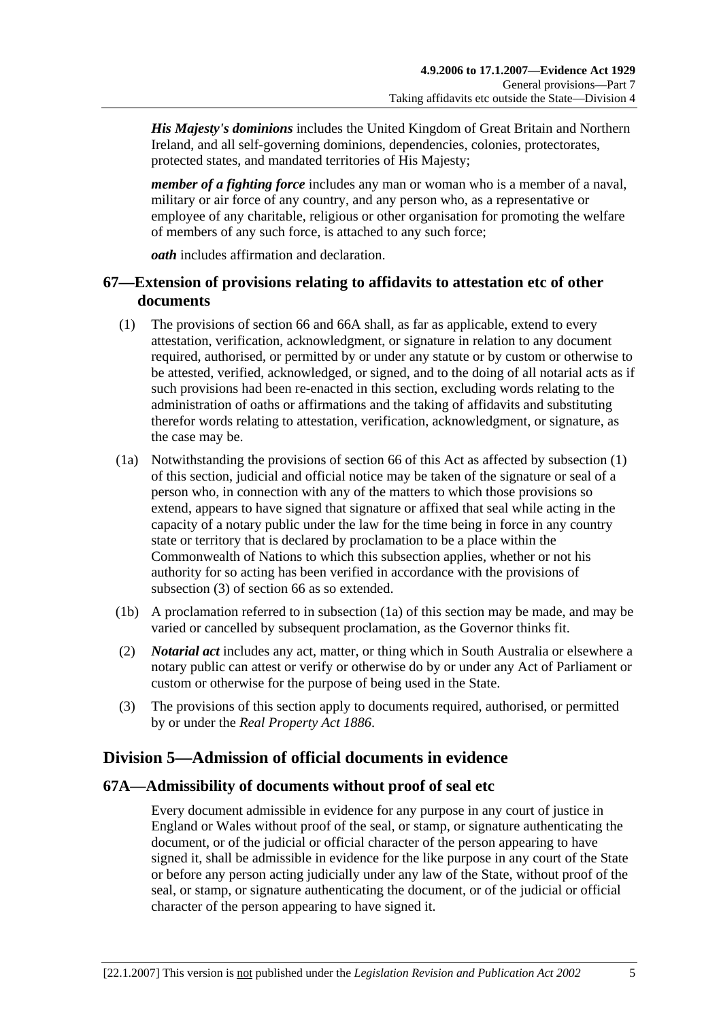*His Majesty's dominions* includes the United Kingdom of Great Britain and Northern Ireland, and all self-governing dominions, dependencies, colonies, protectorates, protected states, and mandated territories of His Majesty;

*member of a fighting force* includes any man or woman who is a member of a naval, military or air force of any country, and any person who, as a representative or employee of any charitable, religious or other organisation for promoting the welfare of members of any such force, is attached to any such force;

*oath* includes affirmation and declaration.

## **67—Extension of provisions relating to affidavits to attestation etc of other documents**

- (1) The provisions of section 66 and 66A shall, as far as applicable, extend to every attestation, verification, acknowledgment, or signature in relation to any document required, authorised, or permitted by or under any statute or by custom or otherwise to be attested, verified, acknowledged, or signed, and to the doing of all notarial acts as if such provisions had been re-enacted in this section, excluding words relating to the administration of oaths or affirmations and the taking of affidavits and substituting therefor words relating to attestation, verification, acknowledgment, or signature, as the case may be.
- (1a) Notwithstanding the provisions of section 66 of this Act as affected by subsection (1) of this section, judicial and official notice may be taken of the signature or seal of a person who, in connection with any of the matters to which those provisions so extend, appears to have signed that signature or affixed that seal while acting in the capacity of a notary public under the law for the time being in force in any country state or territory that is declared by proclamation to be a place within the Commonwealth of Nations to which this subsection applies, whether or not his authority for so acting has been verified in accordance with the provisions of subsection (3) of section 66 as so extended.
- (1b) A proclamation referred to in subsection (1a) of this section may be made, and may be varied or cancelled by subsequent proclamation, as the Governor thinks fit.
- (2) *Notarial act* includes any act, matter, or thing which in South Australia or elsewhere a notary public can attest or verify or otherwise do by or under any Act of Parliament or custom or otherwise for the purpose of being used in the State.
- (3) The provisions of this section apply to documents required, authorised, or permitted by or under the *Real Property Act 1886*.

# **Division 5—Admission of official documents in evidence**

#### **67A—Admissibility of documents without proof of seal etc**

Every document admissible in evidence for any purpose in any court of justice in England or Wales without proof of the seal, or stamp, or signature authenticating the document, or of the judicial or official character of the person appearing to have signed it, shall be admissible in evidence for the like purpose in any court of the State or before any person acting judicially under any law of the State, without proof of the seal, or stamp, or signature authenticating the document, or of the judicial or official character of the person appearing to have signed it.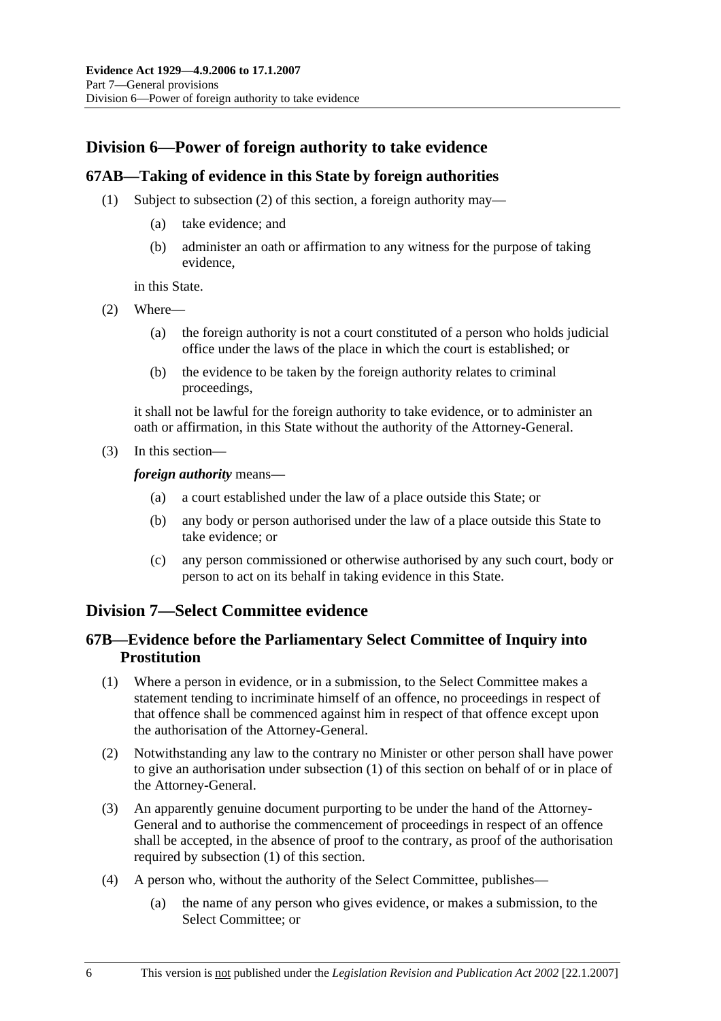## **Division 6—Power of foreign authority to take evidence**

#### **67AB—Taking of evidence in this State by foreign authorities**

- (1) Subject to subsection (2) of this section, a foreign authority may—
	- (a) take evidence; and
	- (b) administer an oath or affirmation to any witness for the purpose of taking evidence,

in this State.

- (2) Where—
	- (a) the foreign authority is not a court constituted of a person who holds judicial office under the laws of the place in which the court is established; or
	- (b) the evidence to be taken by the foreign authority relates to criminal proceedings,

it shall not be lawful for the foreign authority to take evidence, or to administer an oath or affirmation, in this State without the authority of the Attorney-General.

(3) In this section—

*foreign authority* means—

- (a) a court established under the law of a place outside this State; or
- (b) any body or person authorised under the law of a place outside this State to take evidence; or
- (c) any person commissioned or otherwise authorised by any such court, body or person to act on its behalf in taking evidence in this State.

## **Division 7—Select Committee evidence**

## **67B—Evidence before the Parliamentary Select Committee of Inquiry into Prostitution**

- (1) Where a person in evidence, or in a submission, to the Select Committee makes a statement tending to incriminate himself of an offence, no proceedings in respect of that offence shall be commenced against him in respect of that offence except upon the authorisation of the Attorney-General.
- (2) Notwithstanding any law to the contrary no Minister or other person shall have power to give an authorisation under subsection (1) of this section on behalf of or in place of the Attorney-General.
- (3) An apparently genuine document purporting to be under the hand of the Attorney-General and to authorise the commencement of proceedings in respect of an offence shall be accepted, in the absence of proof to the contrary, as proof of the authorisation required by subsection (1) of this section.
- (4) A person who, without the authority of the Select Committee, publishes—
	- (a) the name of any person who gives evidence, or makes a submission, to the Select Committee; or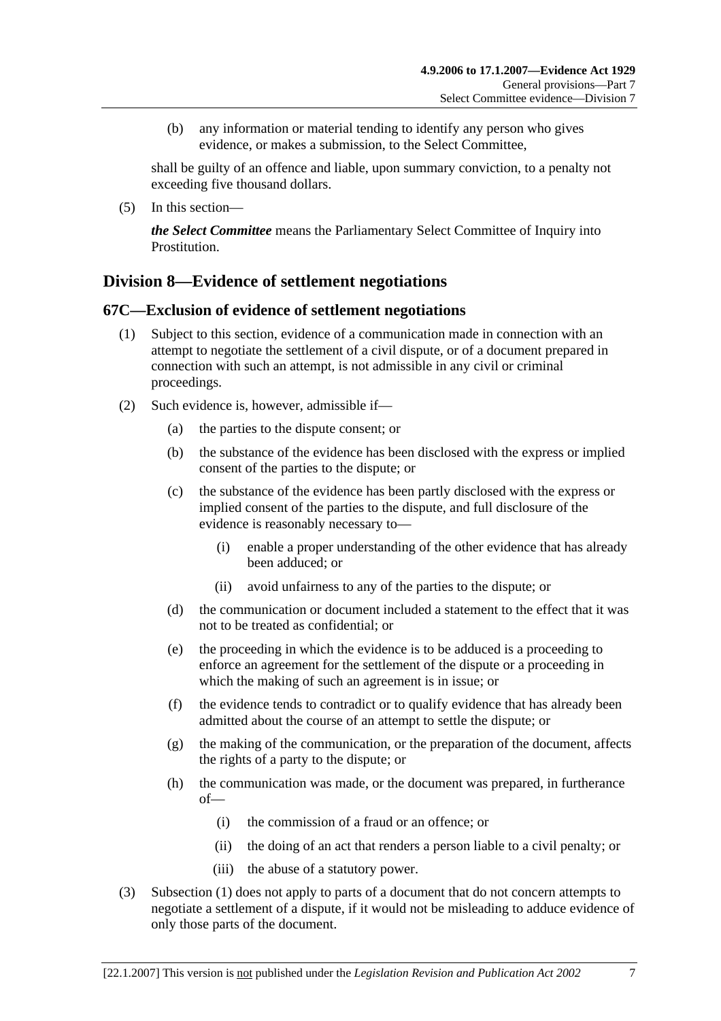(b) any information or material tending to identify any person who gives evidence, or makes a submission, to the Select Committee,

shall be guilty of an offence and liable, upon summary conviction, to a penalty not exceeding five thousand dollars.

(5) In this section—

*the Select Committee* means the Parliamentary Select Committee of Inquiry into Prostitution.

## **Division 8—Evidence of settlement negotiations**

#### **67C—Exclusion of evidence of settlement negotiations**

- (1) Subject to this section, evidence of a communication made in connection with an attempt to negotiate the settlement of a civil dispute, or of a document prepared in connection with such an attempt, is not admissible in any civil or criminal proceedings.
- (2) Such evidence is, however, admissible if—
	- (a) the parties to the dispute consent; or
	- (b) the substance of the evidence has been disclosed with the express or implied consent of the parties to the dispute; or
	- (c) the substance of the evidence has been partly disclosed with the express or implied consent of the parties to the dispute, and full disclosure of the evidence is reasonably necessary to—
		- (i) enable a proper understanding of the other evidence that has already been adduced; or
		- (ii) avoid unfairness to any of the parties to the dispute; or
	- (d) the communication or document included a statement to the effect that it was not to be treated as confidential; or
	- (e) the proceeding in which the evidence is to be adduced is a proceeding to enforce an agreement for the settlement of the dispute or a proceeding in which the making of such an agreement is in issue; or
	- (f) the evidence tends to contradict or to qualify evidence that has already been admitted about the course of an attempt to settle the dispute; or
	- (g) the making of the communication, or the preparation of the document, affects the rights of a party to the dispute; or
	- (h) the communication was made, or the document was prepared, in furtherance of—
		- (i) the commission of a fraud or an offence; or
		- (ii) the doing of an act that renders a person liable to a civil penalty; or
		- (iii) the abuse of a statutory power.
- (3) Subsection (1) does not apply to parts of a document that do not concern attempts to negotiate a settlement of a dispute, if it would not be misleading to adduce evidence of only those parts of the document.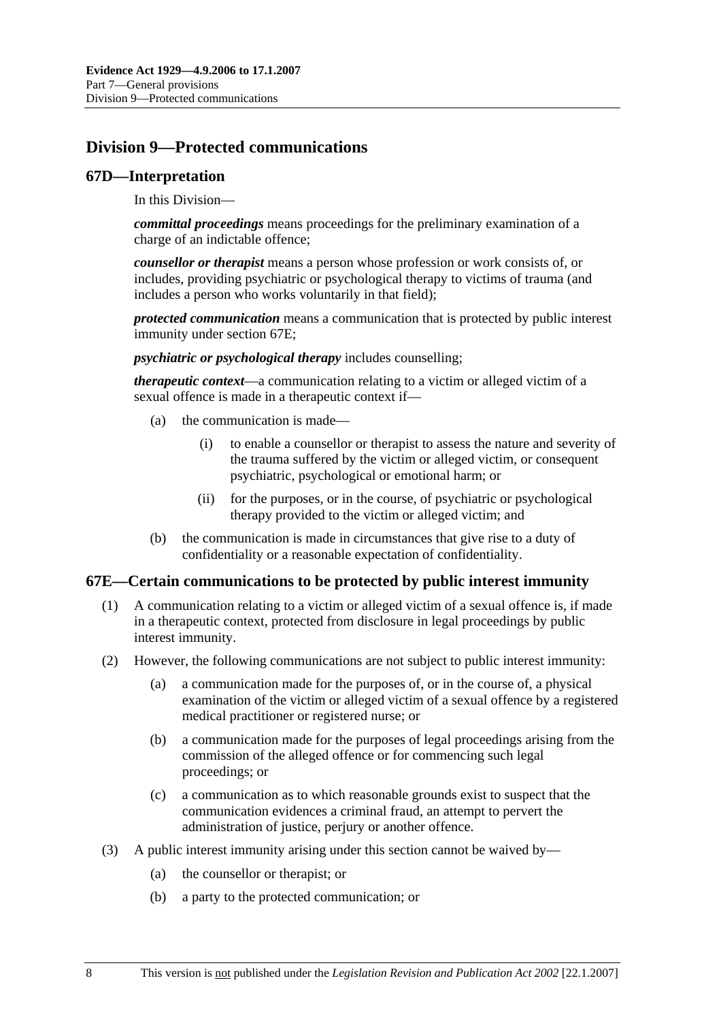# **Division 9—Protected communications**

#### **67D—Interpretation**

In this Division—

*committal proceedings* means proceedings for the preliminary examination of a charge of an indictable offence;

*counsellor or therapist* means a person whose profession or work consists of, or includes, providing psychiatric or psychological therapy to victims of trauma (and includes a person who works voluntarily in that field);

*protected communication* means a communication that is protected by public interest immunity under section 67E;

*psychiatric or psychological therapy* includes counselling;

*therapeutic context*—a communication relating to a victim or alleged victim of a sexual offence is made in a therapeutic context if—

- (a) the communication is made—
	- (i) to enable a counsellor or therapist to assess the nature and severity of the trauma suffered by the victim or alleged victim, or consequent psychiatric, psychological or emotional harm; or
	- (ii) for the purposes, or in the course, of psychiatric or psychological therapy provided to the victim or alleged victim; and
- (b) the communication is made in circumstances that give rise to a duty of confidentiality or a reasonable expectation of confidentiality.

#### **67E—Certain communications to be protected by public interest immunity**

- (1) A communication relating to a victim or alleged victim of a sexual offence is, if made in a therapeutic context, protected from disclosure in legal proceedings by public interest immunity.
- (2) However, the following communications are not subject to public interest immunity:
	- (a) a communication made for the purposes of, or in the course of, a physical examination of the victim or alleged victim of a sexual offence by a registered medical practitioner or registered nurse; or
	- (b) a communication made for the purposes of legal proceedings arising from the commission of the alleged offence or for commencing such legal proceedings; or
	- (c) a communication as to which reasonable grounds exist to suspect that the communication evidences a criminal fraud, an attempt to pervert the administration of justice, perjury or another offence.
- (3) A public interest immunity arising under this section cannot be waived by—
	- (a) the counsellor or therapist; or
	- (b) a party to the protected communication; or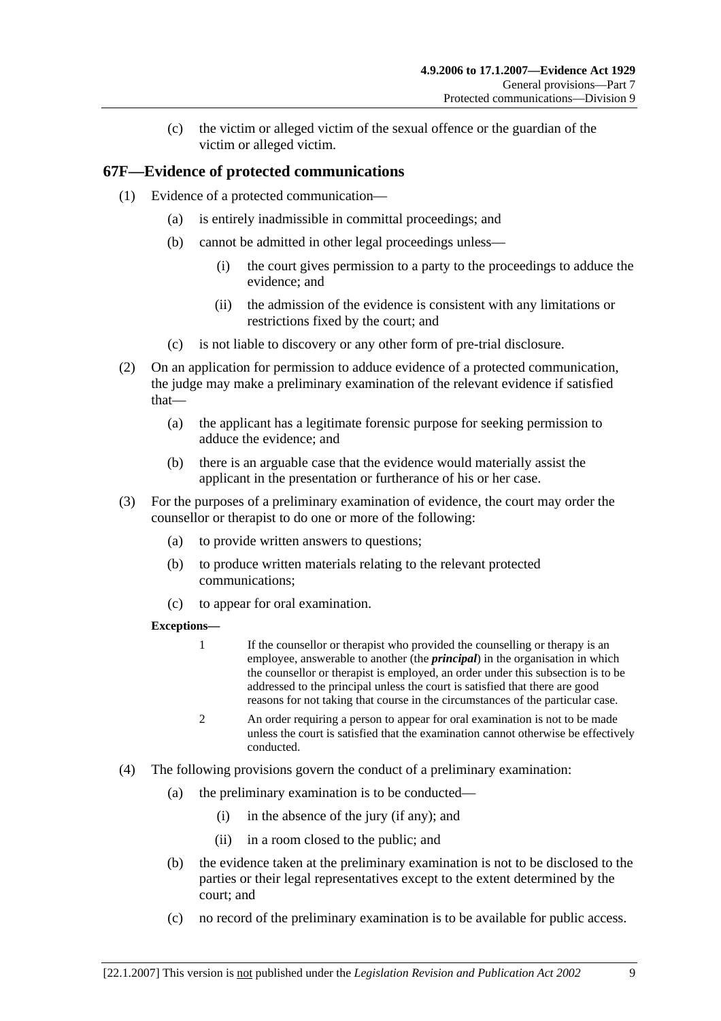(c) the victim or alleged victim of the sexual offence or the guardian of the victim or alleged victim.

## **67F—Evidence of protected communications**

- (1) Evidence of a protected communication—
	- (a) is entirely inadmissible in committal proceedings; and
	- (b) cannot be admitted in other legal proceedings unless—
		- (i) the court gives permission to a party to the proceedings to adduce the evidence; and
		- (ii) the admission of the evidence is consistent with any limitations or restrictions fixed by the court; and
	- (c) is not liable to discovery or any other form of pre-trial disclosure.
- (2) On an application for permission to adduce evidence of a protected communication, the judge may make a preliminary examination of the relevant evidence if satisfied that—
	- (a) the applicant has a legitimate forensic purpose for seeking permission to adduce the evidence; and
	- (b) there is an arguable case that the evidence would materially assist the applicant in the presentation or furtherance of his or her case.
- (3) For the purposes of a preliminary examination of evidence, the court may order the counsellor or therapist to do one or more of the following:
	- (a) to provide written answers to questions;
	- (b) to produce written materials relating to the relevant protected communications;
	- (c) to appear for oral examination.

#### **Exceptions—**

- 1 If the counsellor or therapist who provided the counselling or therapy is an employee, answerable to another (the *principal*) in the organisation in which the counsellor or therapist is employed, an order under this subsection is to be addressed to the principal unless the court is satisfied that there are good reasons for not taking that course in the circumstances of the particular case.
- 2 An order requiring a person to appear for oral examination is not to be made unless the court is satisfied that the examination cannot otherwise be effectively conducted.
- (4) The following provisions govern the conduct of a preliminary examination:
	- (a) the preliminary examination is to be conducted—
		- (i) in the absence of the jury (if any); and
		- (ii) in a room closed to the public; and
	- (b) the evidence taken at the preliminary examination is not to be disclosed to the parties or their legal representatives except to the extent determined by the court; and
	- (c) no record of the preliminary examination is to be available for public access.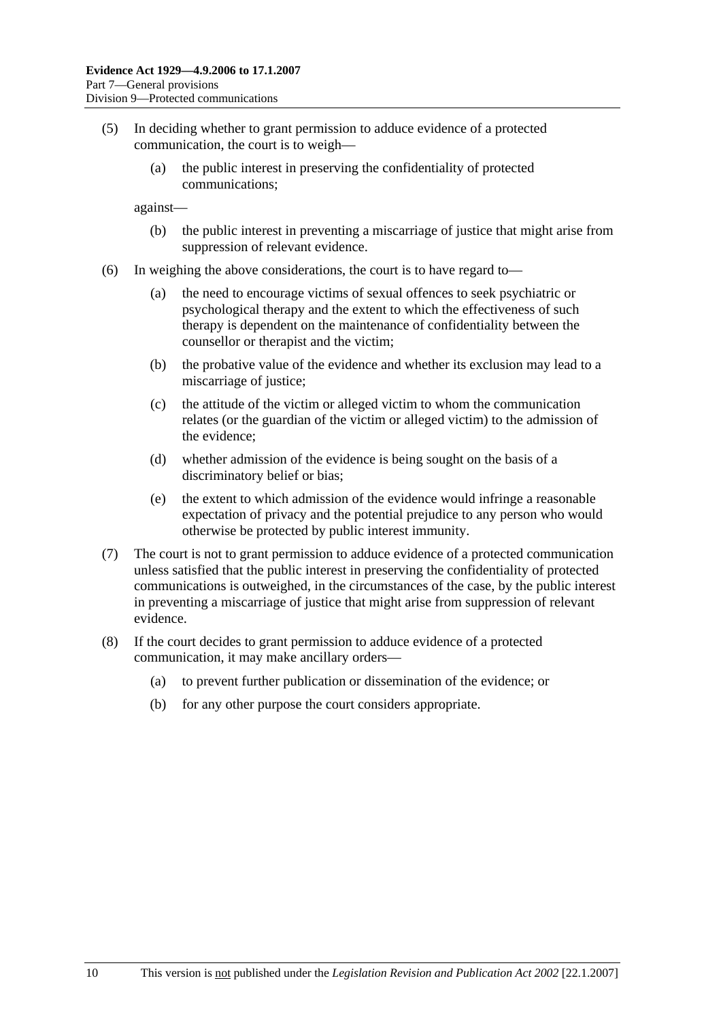- (5) In deciding whether to grant permission to adduce evidence of a protected communication, the court is to weigh—
	- (a) the public interest in preserving the confidentiality of protected communications;

against—

- (b) the public interest in preventing a miscarriage of justice that might arise from suppression of relevant evidence.
- (6) In weighing the above considerations, the court is to have regard to—
	- (a) the need to encourage victims of sexual offences to seek psychiatric or psychological therapy and the extent to which the effectiveness of such therapy is dependent on the maintenance of confidentiality between the counsellor or therapist and the victim;
	- (b) the probative value of the evidence and whether its exclusion may lead to a miscarriage of justice;
	- (c) the attitude of the victim or alleged victim to whom the communication relates (or the guardian of the victim or alleged victim) to the admission of the evidence;
	- (d) whether admission of the evidence is being sought on the basis of a discriminatory belief or bias;
	- (e) the extent to which admission of the evidence would infringe a reasonable expectation of privacy and the potential prejudice to any person who would otherwise be protected by public interest immunity.
- (7) The court is not to grant permission to adduce evidence of a protected communication unless satisfied that the public interest in preserving the confidentiality of protected communications is outweighed, in the circumstances of the case, by the public interest in preventing a miscarriage of justice that might arise from suppression of relevant evidence.
- (8) If the court decides to grant permission to adduce evidence of a protected communication, it may make ancillary orders—
	- (a) to prevent further publication or dissemination of the evidence; or
	- (b) for any other purpose the court considers appropriate.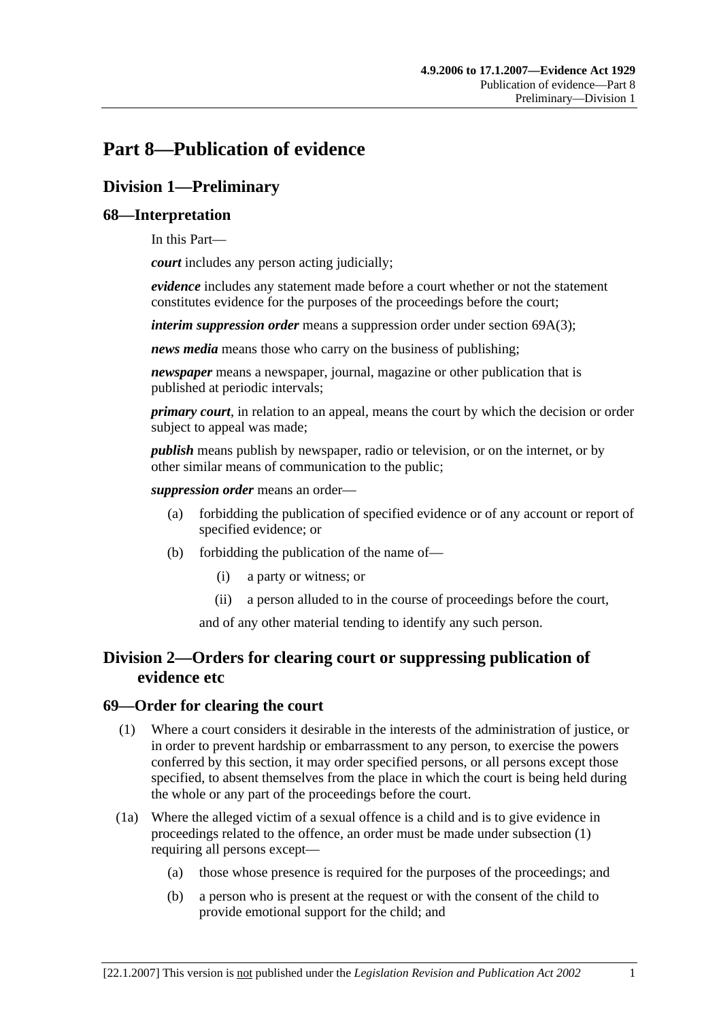# **Part 8—Publication of evidence**

# **Division 1—Preliminary**

## **68—Interpretation**

In this Part—

*court* includes any person acting judicially;

*evidence* includes any statement made before a court whether or not the statement constitutes evidence for the purposes of the proceedings before the court;

*interim suppression order* means a suppression order under section 69A(3);

*news media* means those who carry on the business of publishing;

*newspaper* means a newspaper, journal, magazine or other publication that is published at periodic intervals;

*primary court*, in relation to an appeal, means the court by which the decision or order subject to appeal was made;

*publish* means publish by newspaper, radio or television, or on the internet, or by other similar means of communication to the public;

*suppression order* means an order—

- (a) forbidding the publication of specified evidence or of any account or report of specified evidence; or
- (b) forbidding the publication of the name of—
	- (i) a party or witness; or
	- (ii) a person alluded to in the course of proceedings before the court,

and of any other material tending to identify any such person.

## **Division 2—Orders for clearing court or suppressing publication of evidence etc**

#### **69—Order for clearing the court**

- (1) Where a court considers it desirable in the interests of the administration of justice, or in order to prevent hardship or embarrassment to any person, to exercise the powers conferred by this section, it may order specified persons, or all persons except those specified, to absent themselves from the place in which the court is being held during the whole or any part of the proceedings before the court.
- (1a) Where the alleged victim of a sexual offence is a child and is to give evidence in proceedings related to the offence, an order must be made under subsection (1) requiring all persons except—
	- (a) those whose presence is required for the purposes of the proceedings; and
	- (b) a person who is present at the request or with the consent of the child to provide emotional support for the child; and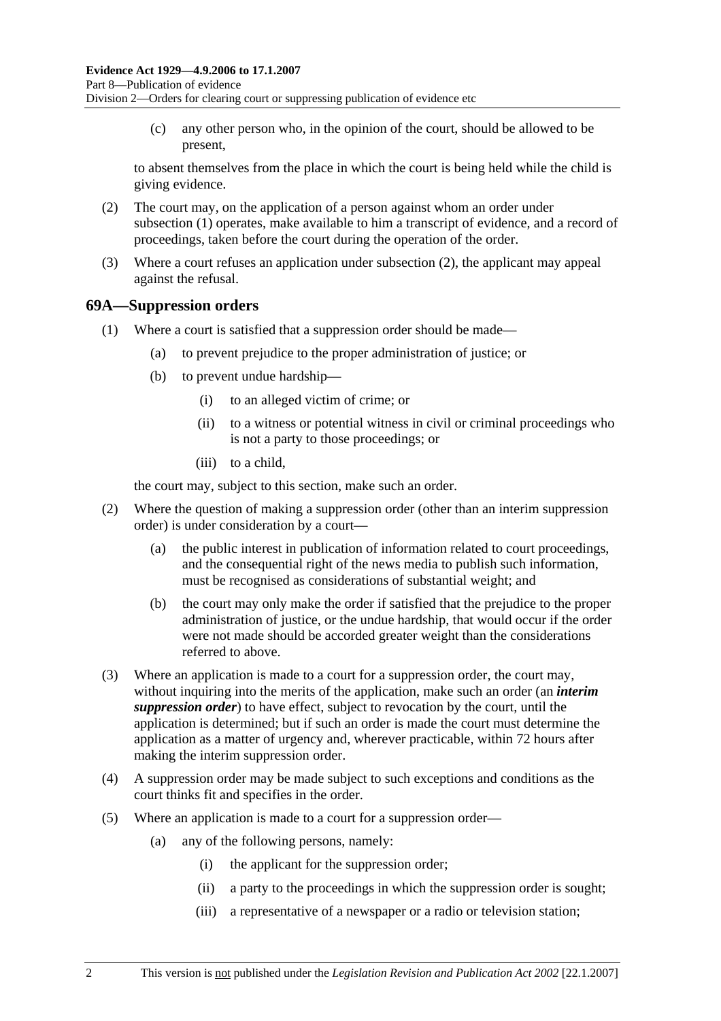(c) any other person who, in the opinion of the court, should be allowed to be present,

to absent themselves from the place in which the court is being held while the child is giving evidence.

- (2) The court may, on the application of a person against whom an order under subsection (1) operates, make available to him a transcript of evidence, and a record of proceedings, taken before the court during the operation of the order.
- (3) Where a court refuses an application under subsection (2), the applicant may appeal against the refusal.

#### **69A—Suppression orders**

- (1) Where a court is satisfied that a suppression order should be made—
	- (a) to prevent prejudice to the proper administration of justice; or
	- (b) to prevent undue hardship—
		- (i) to an alleged victim of crime; or
		- (ii) to a witness or potential witness in civil or criminal proceedings who is not a party to those proceedings; or
		- (iii) to a child,

the court may, subject to this section, make such an order.

- (2) Where the question of making a suppression order (other than an interim suppression order) is under consideration by a court—
	- (a) the public interest in publication of information related to court proceedings, and the consequential right of the news media to publish such information, must be recognised as considerations of substantial weight; and
	- (b) the court may only make the order if satisfied that the prejudice to the proper administration of justice, or the undue hardship, that would occur if the order were not made should be accorded greater weight than the considerations referred to above.
- (3) Where an application is made to a court for a suppression order, the court may, without inquiring into the merits of the application, make such an order (an *interim suppression order*) to have effect, subject to revocation by the court, until the application is determined; but if such an order is made the court must determine the application as a matter of urgency and, wherever practicable, within 72 hours after making the interim suppression order.
- (4) A suppression order may be made subject to such exceptions and conditions as the court thinks fit and specifies in the order.
- (5) Where an application is made to a court for a suppression order—
	- (a) any of the following persons, namely:
		- (i) the applicant for the suppression order;
		- (ii) a party to the proceedings in which the suppression order is sought;
		- (iii) a representative of a newspaper or a radio or television station;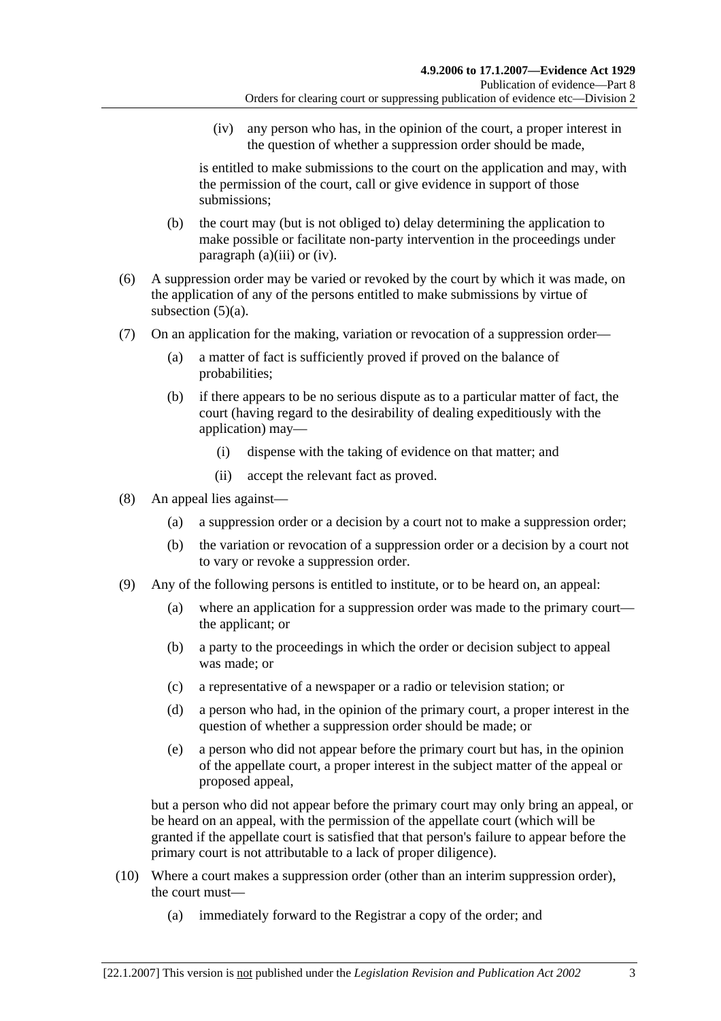(iv) any person who has, in the opinion of the court, a proper interest in the question of whether a suppression order should be made,

is entitled to make submissions to the court on the application and may, with the permission of the court, call or give evidence in support of those submissions;

- (b) the court may (but is not obliged to) delay determining the application to make possible or facilitate non-party intervention in the proceedings under paragraph (a)(iii) or (iv).
- (6) A suppression order may be varied or revoked by the court by which it was made, on the application of any of the persons entitled to make submissions by virtue of subsection  $(5)(a)$ .
- (7) On an application for the making, variation or revocation of a suppression order—
	- (a) a matter of fact is sufficiently proved if proved on the balance of probabilities;
	- (b) if there appears to be no serious dispute as to a particular matter of fact, the court (having regard to the desirability of dealing expeditiously with the application) may—
		- (i) dispense with the taking of evidence on that matter; and
		- (ii) accept the relevant fact as proved.
- (8) An appeal lies against—
	- (a) a suppression order or a decision by a court not to make a suppression order;
	- (b) the variation or revocation of a suppression order or a decision by a court not to vary or revoke a suppression order.
- (9) Any of the following persons is entitled to institute, or to be heard on, an appeal:
	- (a) where an application for a suppression order was made to the primary court the applicant; or
	- (b) a party to the proceedings in which the order or decision subject to appeal was made; or
	- (c) a representative of a newspaper or a radio or television station; or
	- (d) a person who had, in the opinion of the primary court, a proper interest in the question of whether a suppression order should be made; or
	- (e) a person who did not appear before the primary court but has, in the opinion of the appellate court, a proper interest in the subject matter of the appeal or proposed appeal,

but a person who did not appear before the primary court may only bring an appeal, or be heard on an appeal, with the permission of the appellate court (which will be granted if the appellate court is satisfied that that person's failure to appear before the primary court is not attributable to a lack of proper diligence).

- (10) Where a court makes a suppression order (other than an interim suppression order), the court must—
	- (a) immediately forward to the Registrar a copy of the order; and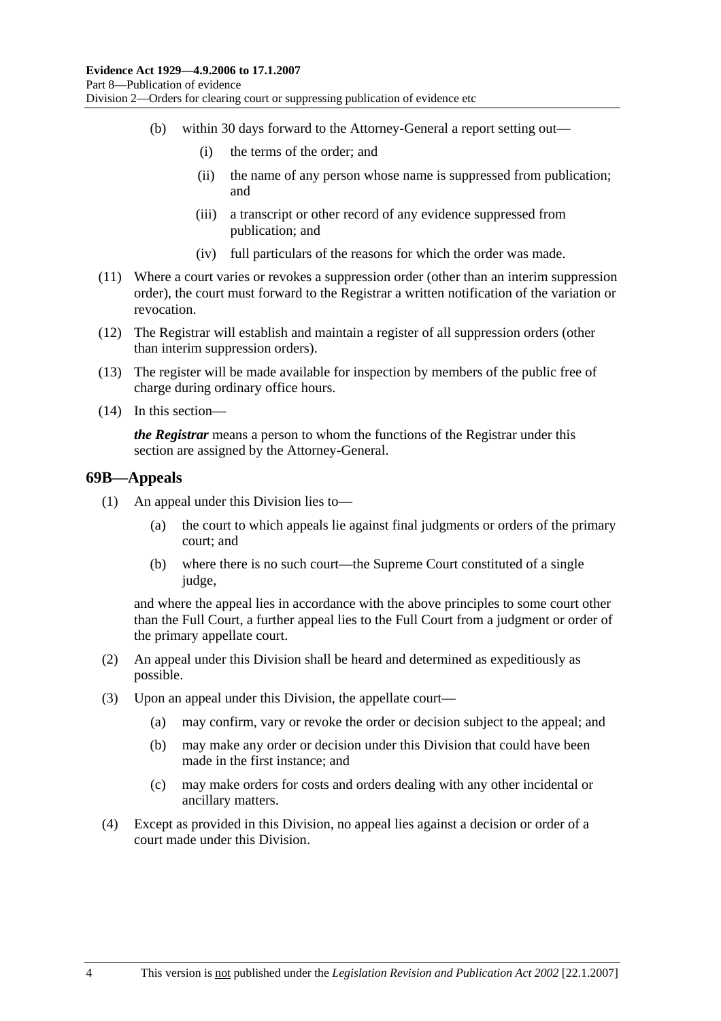- (b) within 30 days forward to the Attorney-General a report setting out—
	- (i) the terms of the order; and
	- (ii) the name of any person whose name is suppressed from publication; and
	- (iii) a transcript or other record of any evidence suppressed from publication; and
	- (iv) full particulars of the reasons for which the order was made.
- (11) Where a court varies or revokes a suppression order (other than an interim suppression order), the court must forward to the Registrar a written notification of the variation or revocation.
- (12) The Registrar will establish and maintain a register of all suppression orders (other than interim suppression orders).
- (13) The register will be made available for inspection by members of the public free of charge during ordinary office hours.
- (14) In this section—

*the Registrar* means a person to whom the functions of the Registrar under this section are assigned by the Attorney-General.

#### **69B—Appeals**

- (1) An appeal under this Division lies to—
	- (a) the court to which appeals lie against final judgments or orders of the primary court; and
	- (b) where there is no such court—the Supreme Court constituted of a single judge.

and where the appeal lies in accordance with the above principles to some court other than the Full Court, a further appeal lies to the Full Court from a judgment or order of the primary appellate court.

- (2) An appeal under this Division shall be heard and determined as expeditiously as possible.
- (3) Upon an appeal under this Division, the appellate court—
	- (a) may confirm, vary or revoke the order or decision subject to the appeal; and
	- (b) may make any order or decision under this Division that could have been made in the first instance; and
	- (c) may make orders for costs and orders dealing with any other incidental or ancillary matters.
- (4) Except as provided in this Division, no appeal lies against a decision or order of a court made under this Division.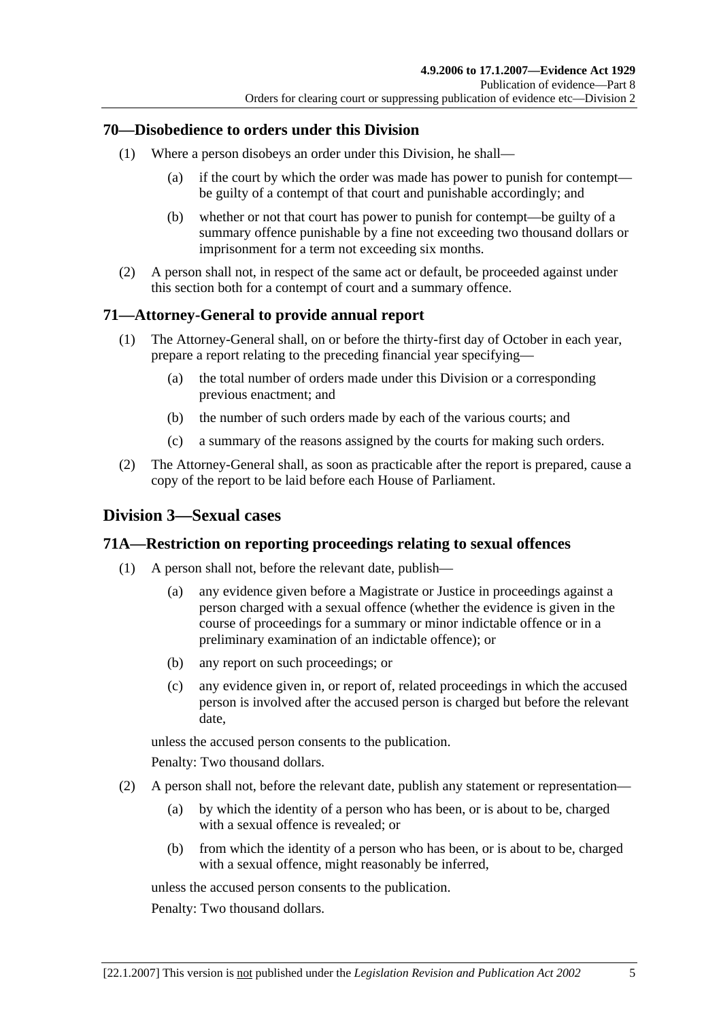#### **70—Disobedience to orders under this Division**

- (1) Where a person disobeys an order under this Division, he shall—
	- (a) if the court by which the order was made has power to punish for contempt be guilty of a contempt of that court and punishable accordingly; and
	- (b) whether or not that court has power to punish for contempt—be guilty of a summary offence punishable by a fine not exceeding two thousand dollars or imprisonment for a term not exceeding six months.
- (2) A person shall not, in respect of the same act or default, be proceeded against under this section both for a contempt of court and a summary offence.

## **71—Attorney-General to provide annual report**

- (1) The Attorney-General shall, on or before the thirty-first day of October in each year, prepare a report relating to the preceding financial year specifying—
	- (a) the total number of orders made under this Division or a corresponding previous enactment; and
	- (b) the number of such orders made by each of the various courts; and
	- (c) a summary of the reasons assigned by the courts for making such orders.
- (2) The Attorney-General shall, as soon as practicable after the report is prepared, cause a copy of the report to be laid before each House of Parliament.

#### **Division 3—Sexual cases**

#### **71A—Restriction on reporting proceedings relating to sexual offences**

- (1) A person shall not, before the relevant date, publish—
	- (a) any evidence given before a Magistrate or Justice in proceedings against a person charged with a sexual offence (whether the evidence is given in the course of proceedings for a summary or minor indictable offence or in a preliminary examination of an indictable offence); or
	- (b) any report on such proceedings; or
	- (c) any evidence given in, or report of, related proceedings in which the accused person is involved after the accused person is charged but before the relevant date,

unless the accused person consents to the publication.

Penalty: Two thousand dollars.

- (2) A person shall not, before the relevant date, publish any statement or representation—
	- (a) by which the identity of a person who has been, or is about to be, charged with a sexual offence is revealed; or
	- (b) from which the identity of a person who has been, or is about to be, charged with a sexual offence, might reasonably be inferred,

unless the accused person consents to the publication.

Penalty: Two thousand dollars.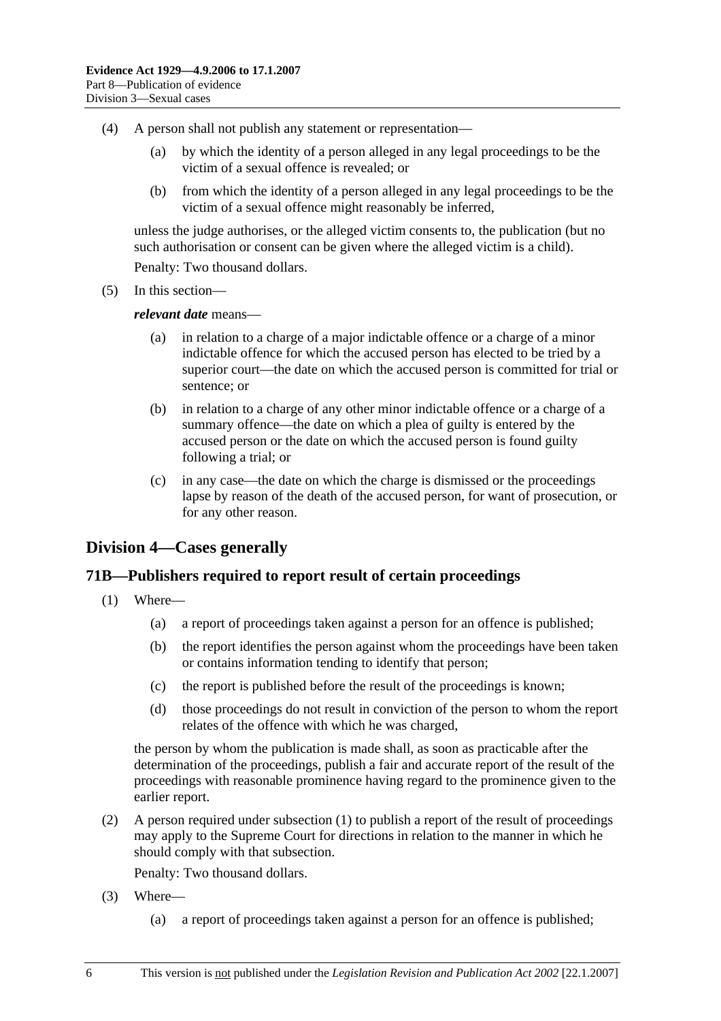- (4) A person shall not publish any statement or representation—
	- (a) by which the identity of a person alleged in any legal proceedings to be the victim of a sexual offence is revealed; or
	- (b) from which the identity of a person alleged in any legal proceedings to be the victim of a sexual offence might reasonably be inferred,

unless the judge authorises, or the alleged victim consents to, the publication (but no such authorisation or consent can be given where the alleged victim is a child).

Penalty: Two thousand dollars.

(5) In this section—

*relevant date* means—

- (a) in relation to a charge of a major indictable offence or a charge of a minor indictable offence for which the accused person has elected to be tried by a superior court—the date on which the accused person is committed for trial or sentence; or
- (b) in relation to a charge of any other minor indictable offence or a charge of a summary offence—the date on which a plea of guilty is entered by the accused person or the date on which the accused person is found guilty following a trial; or
- (c) in any case—the date on which the charge is dismissed or the proceedings lapse by reason of the death of the accused person, for want of prosecution, or for any other reason.

## **Division 4—Cases generally**

#### **71B—Publishers required to report result of certain proceedings**

- (1) Where—
	- (a) a report of proceedings taken against a person for an offence is published;
	- (b) the report identifies the person against whom the proceedings have been taken or contains information tending to identify that person;
	- (c) the report is published before the result of the proceedings is known;
	- (d) those proceedings do not result in conviction of the person to whom the report relates of the offence with which he was charged,

the person by whom the publication is made shall, as soon as practicable after the determination of the proceedings, publish a fair and accurate report of the result of the proceedings with reasonable prominence having regard to the prominence given to the earlier report.

 (2) A person required under subsection (1) to publish a report of the result of proceedings may apply to the Supreme Court for directions in relation to the manner in which he should comply with that subsection.

Penalty: Two thousand dollars.

- (3) Where—
	- (a) a report of proceedings taken against a person for an offence is published;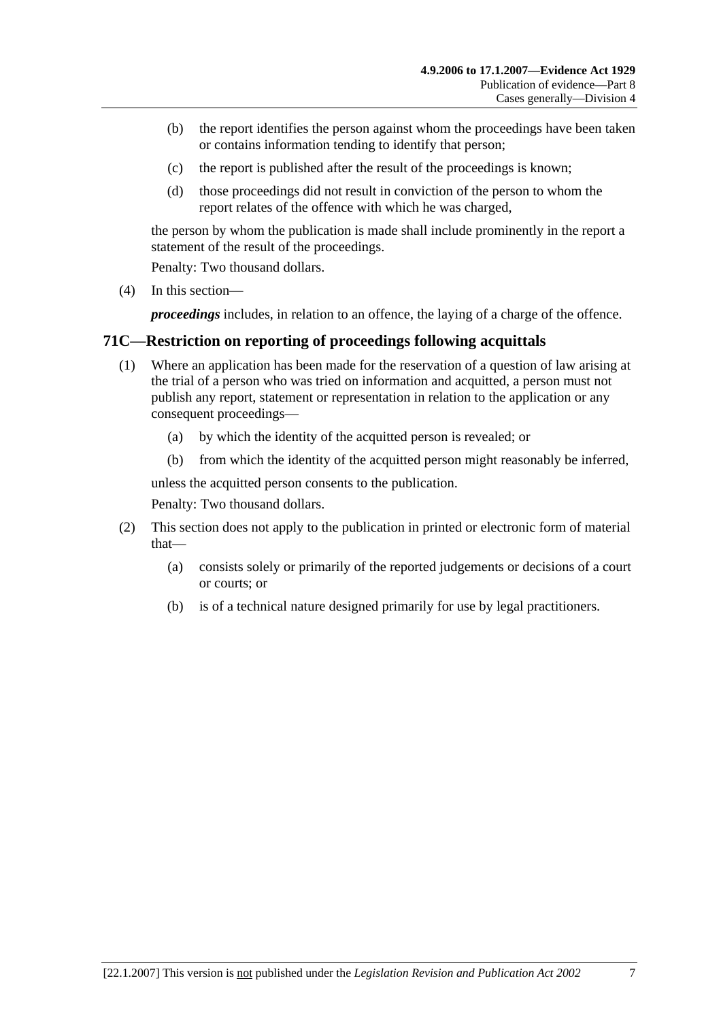- (b) the report identifies the person against whom the proceedings have been taken or contains information tending to identify that person;
- (c) the report is published after the result of the proceedings is known;
- (d) those proceedings did not result in conviction of the person to whom the report relates of the offence with which he was charged,

the person by whom the publication is made shall include prominently in the report a statement of the result of the proceedings.

Penalty: Two thousand dollars.

(4) In this section—

*proceedings* includes, in relation to an offence, the laying of a charge of the offence.

#### **71C—Restriction on reporting of proceedings following acquittals**

- (1) Where an application has been made for the reservation of a question of law arising at the trial of a person who was tried on information and acquitted, a person must not publish any report, statement or representation in relation to the application or any consequent proceedings—
	- (a) by which the identity of the acquitted person is revealed; or
	- (b) from which the identity of the acquitted person might reasonably be inferred,

unless the acquitted person consents to the publication.

Penalty: Two thousand dollars.

- (2) This section does not apply to the publication in printed or electronic form of material that—
	- (a) consists solely or primarily of the reported judgements or decisions of a court or courts; or
	- (b) is of a technical nature designed primarily for use by legal practitioners.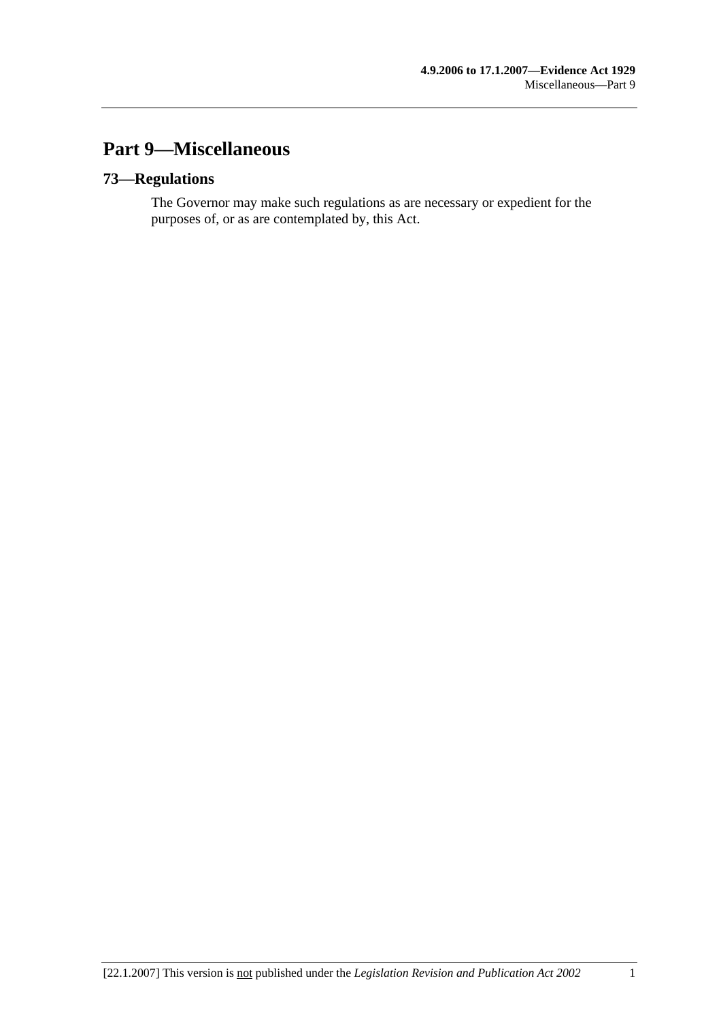# **Part 9—Miscellaneous**

## **73—Regulations**

The Governor may make such regulations as are necessary or expedient for the purposes of, or as are contemplated by, this Act.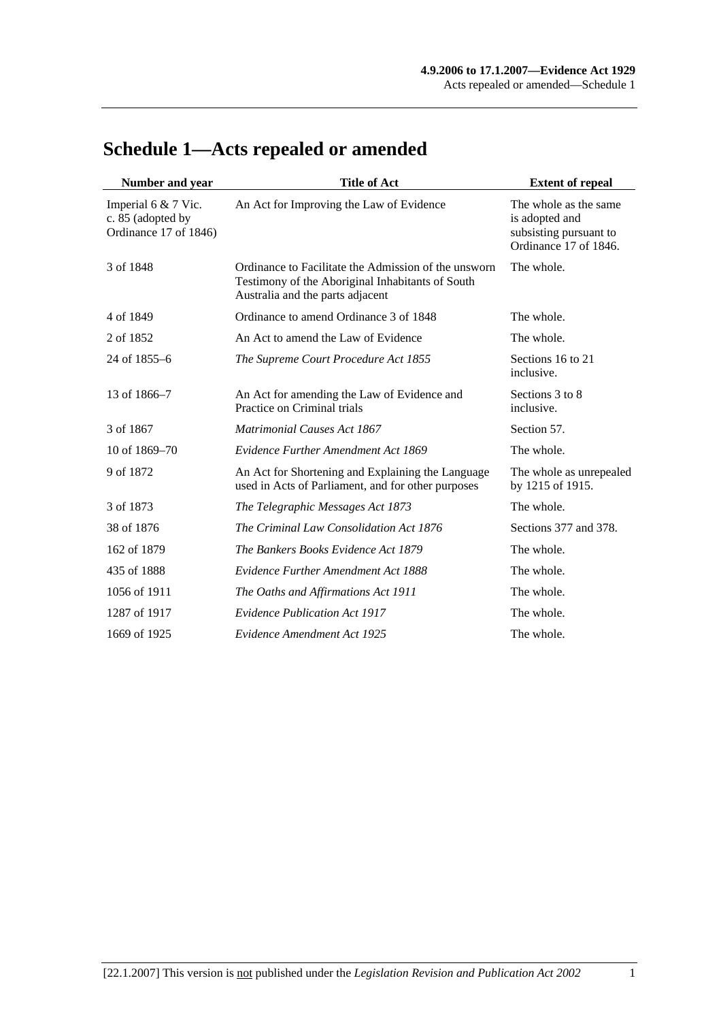| Number and year                                                   | <b>Title of Act</b>                                                                                                                          | <b>Extent of repeal</b>                                                                    |
|-------------------------------------------------------------------|----------------------------------------------------------------------------------------------------------------------------------------------|--------------------------------------------------------------------------------------------|
| Imperial 6 & 7 Vic.<br>c. 85 (adopted by<br>Ordinance 17 of 1846) | An Act for Improving the Law of Evidence                                                                                                     | The whole as the same<br>is adopted and<br>subsisting pursuant to<br>Ordinance 17 of 1846. |
| 3 of 1848                                                         | Ordinance to Facilitate the Admission of the unsworn<br>Testimony of the Aboriginal Inhabitants of South<br>Australia and the parts adjacent | The whole.                                                                                 |
| 4 of 1849                                                         | Ordinance to amend Ordinance 3 of 1848                                                                                                       | The whole.                                                                                 |
| 2 of 1852                                                         | An Act to amend the Law of Evidence                                                                                                          | The whole.                                                                                 |
| 24 of 1855–6                                                      | The Supreme Court Procedure Act 1855                                                                                                         | Sections 16 to 21<br>inclusive.                                                            |
| 13 of 1866–7                                                      | An Act for amending the Law of Evidence and<br>Practice on Criminal trials                                                                   | Sections 3 to 8<br>inclusive.                                                              |
| 3 of 1867                                                         | <b>Matrimonial Causes Act 1867</b>                                                                                                           | Section 57.                                                                                |
| 10 of 1869–70                                                     | Evidence Further Amendment Act 1869                                                                                                          | The whole.                                                                                 |
| 9 of 1872                                                         | An Act for Shortening and Explaining the Language<br>used in Acts of Parliament, and for other purposes                                      | The whole as unrepealed<br>by 1215 of 1915.                                                |
| 3 of 1873                                                         | The Telegraphic Messages Act 1873                                                                                                            | The whole.                                                                                 |
| 38 of 1876                                                        | The Criminal Law Consolidation Act 1876                                                                                                      | Sections 377 and 378.                                                                      |
| 162 of 1879                                                       | The Bankers Books Evidence Act 1879                                                                                                          | The whole.                                                                                 |
| 435 of 1888                                                       | Evidence Further Amendment Act 1888                                                                                                          | The whole.                                                                                 |
| 1056 of 1911                                                      | The Oaths and Affirmations Act 1911                                                                                                          | The whole.                                                                                 |
| 1287 of 1917                                                      | <b>Evidence Publication Act 1917</b>                                                                                                         | The whole.                                                                                 |
| 1669 of 1925                                                      | Evidence Amendment Act 1925                                                                                                                  | The whole.                                                                                 |

# **Schedule 1—Acts repealed or amended**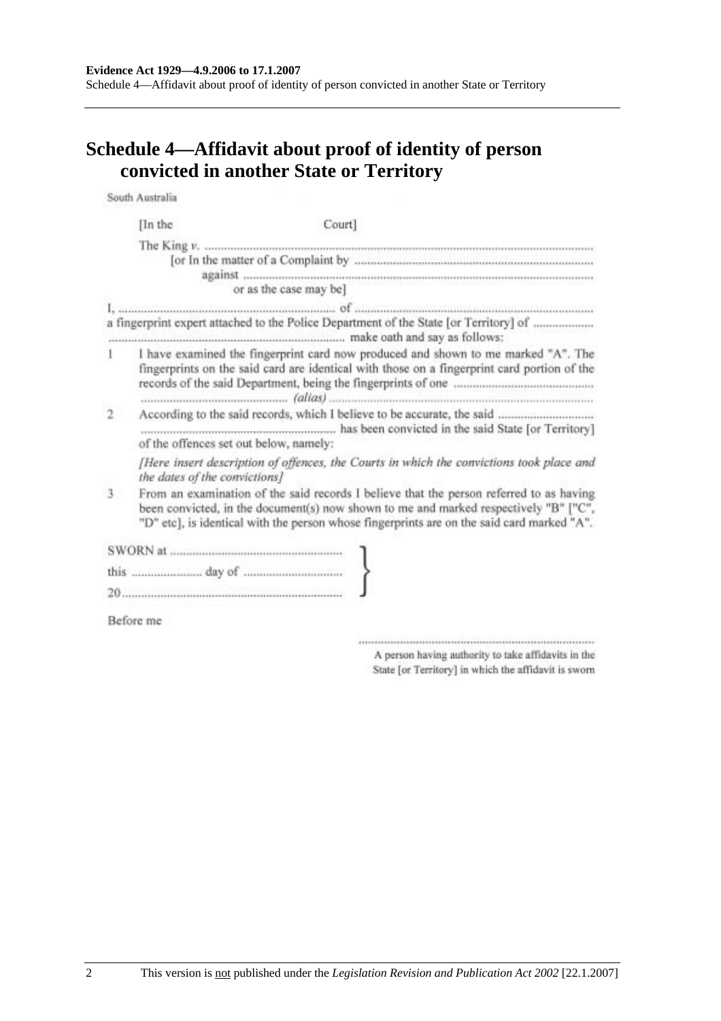# **Schedule 4—Affidavit about proof of identity of person convicted in another State or Territory**

South Australia

|              | [In the                                                                                                                                                                          | Court]                                                                                                                                                                                                                                                                        |
|--------------|----------------------------------------------------------------------------------------------------------------------------------------------------------------------------------|-------------------------------------------------------------------------------------------------------------------------------------------------------------------------------------------------------------------------------------------------------------------------------|
|              |                                                                                                                                                                                  |                                                                                                                                                                                                                                                                               |
|              |                                                                                                                                                                                  | or as the case may be]                                                                                                                                                                                                                                                        |
|              |                                                                                                                                                                                  | a fingerprint expert attached to the Police Department of the State [or Territory] of                                                                                                                                                                                         |
|              | I have examined the fingerprint card now produced and shown to me marked "A". The<br>fingerprints on the said card are identical with those on a fingerprint card portion of the |                                                                                                                                                                                                                                                                               |
| $\mathbf{2}$ |                                                                                                                                                                                  | of the offences set out below, namely:                                                                                                                                                                                                                                        |
|              |                                                                                                                                                                                  | [Here insert description of offences, the Courts in which the convictions took place and<br>the dates of the convictions]                                                                                                                                                     |
| 3            |                                                                                                                                                                                  | From an examination of the said records I believe that the person referred to as having<br>been convicted, in the document(s) now shown to me and marked respectively "B" ["C",<br>"D" etc], is identical with the person whose fingerprints are on the said card marked "A". |
|              |                                                                                                                                                                                  |                                                                                                                                                                                                                                                                               |
|              |                                                                                                                                                                                  |                                                                                                                                                                                                                                                                               |
|              |                                                                                                                                                                                  |                                                                                                                                                                                                                                                                               |
|              | Before me                                                                                                                                                                        |                                                                                                                                                                                                                                                                               |

 $\begin{minipage}{0.9\linewidth} \begin{minipage}{0.9\linewidth} \begin{minipage}{0.9\linewidth} \end{minipage} \begin{minipage}{0.9\linewidth} \begin{minipage}{0.9\linewidth} \end{minipage} \begin{minipage}{0.9\linewidth} \end{minipage} \begin{minipage}{0.9\linewidth} \end{minipage} \begin{minipage}{0.9\linewidth} \end{minipage} \begin{minipage}{0.9\linewidth} \end{minipage} \begin{minipage}{0.9\linewidth} \end{minipage} \begin{minipage}{0.9\linewidth} \end{minipage} \begin{minipage}{0.9\linewidth} \end{minipage} \$ A person having authority to take affidavits in the State [or Territory] in which the affidavit is sworn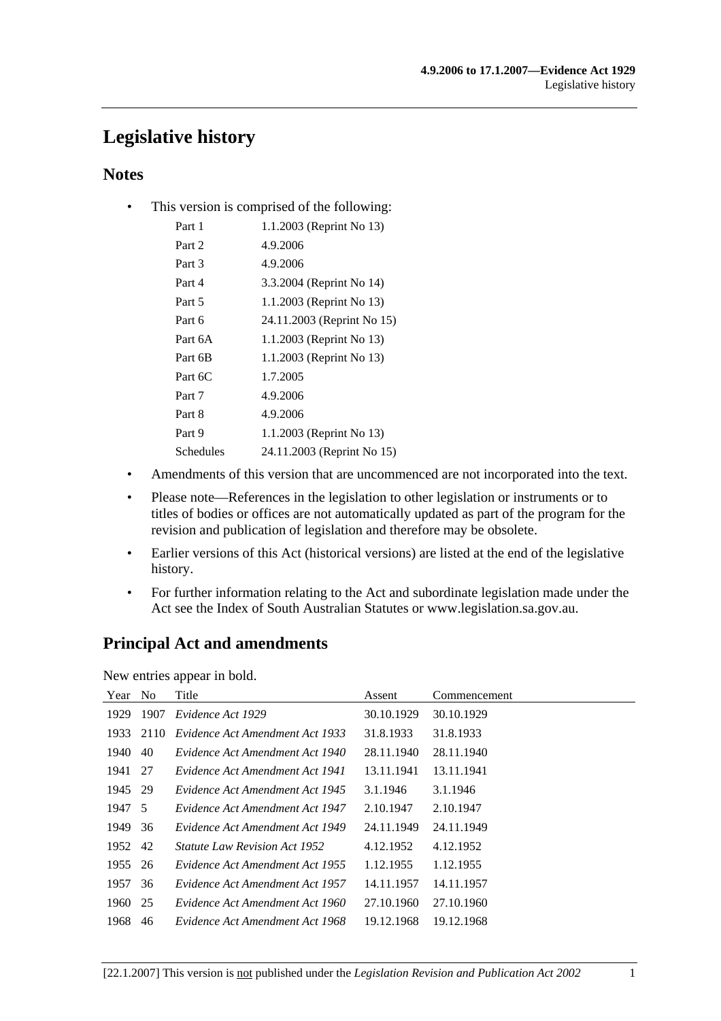# **Legislative history**

## **Notes**

• This version is comprised of the following:

| Part 1    | 1.1.2003 (Reprint No 13)   |
|-----------|----------------------------|
| Part 2    | 4.9.2006                   |
| Part 3    | 4.9.2006                   |
| Part 4    | 3.3.2004 (Reprint No 14)   |
| Part 5    | 1.1.2003 (Reprint No 13)   |
| Part 6    | 24.11.2003 (Reprint No 15) |
| Part 6A   | 1.1.2003 (Reprint No 13)   |
| Part 6B   | 1.1.2003 (Reprint No 13)   |
| Part 6C   | 1.7.2005                   |
| Part 7    | 4.9.2006                   |
| Part 8    | 4.9.2006                   |
| Part 9    | 1.1.2003 (Reprint No 13)   |
| Schedules | 24.11.2003 (Reprint No 15) |
|           |                            |

- Amendments of this version that are uncommenced are not incorporated into the text.
- Please note—References in the legislation to other legislation or instruments or to titles of bodies or offices are not automatically updated as part of the program for the revision and publication of legislation and therefore may be obsolete.
- Earlier versions of this Act (historical versions) are listed at the end of the legislative history.
- For further information relating to the Act and subordinate legislation made under the Act see the Index of South Australian Statutes or www.legislation.sa.gov.au.

# **Principal Act and amendments**

New entries appear in bold.

| Year No |      | Title                                | Assent     | Commencement |
|---------|------|--------------------------------------|------------|--------------|
| 1929    | 1907 | Evidence Act 1929                    | 30.10.1929 | 30.10.1929   |
| 1933    | 2110 | Evidence Act Amendment Act 1933      | 31.8.1933  | 31.8.1933    |
| 1940    | -40  | Evidence Act Amendment Act 1940      | 28.11.1940 | 28.11.1940   |
| 1941 27 |      | Evidence Act Amendment Act 1941      | 13.11.1941 | 13.11.1941   |
| 1945 29 |      | Evidence Act Amendment Act 1945      | 3.1.1946   | 3.1.1946     |
| 1947 5  |      | Evidence Act Amendment Act 1947      | 2.10.1947  | 2.10.1947    |
| 1949    | 36   | Evidence Act Amendment Act 1949      | 24.11.1949 | 24.11.1949   |
| 1952 42 |      | <i>Statute Law Revision Act 1952</i> | 4.12.1952  | 4.12.1952    |
| 1955    | 26   | Evidence Act Amendment Act 1955      | 1.12.1955  | 1.12.1955    |
| 1957    | 36   | Evidence Act Amendment Act 1957      | 14.11.1957 | 14.11.1957   |
| 1960    | 25   | Evidence Act Amendment Act 1960      | 27.10.1960 | 27.10.1960   |
| 1968    | 46   | Evidence Act Amendment Act 1968      | 19.12.1968 | 19.12.1968   |
|         |      |                                      |            |              |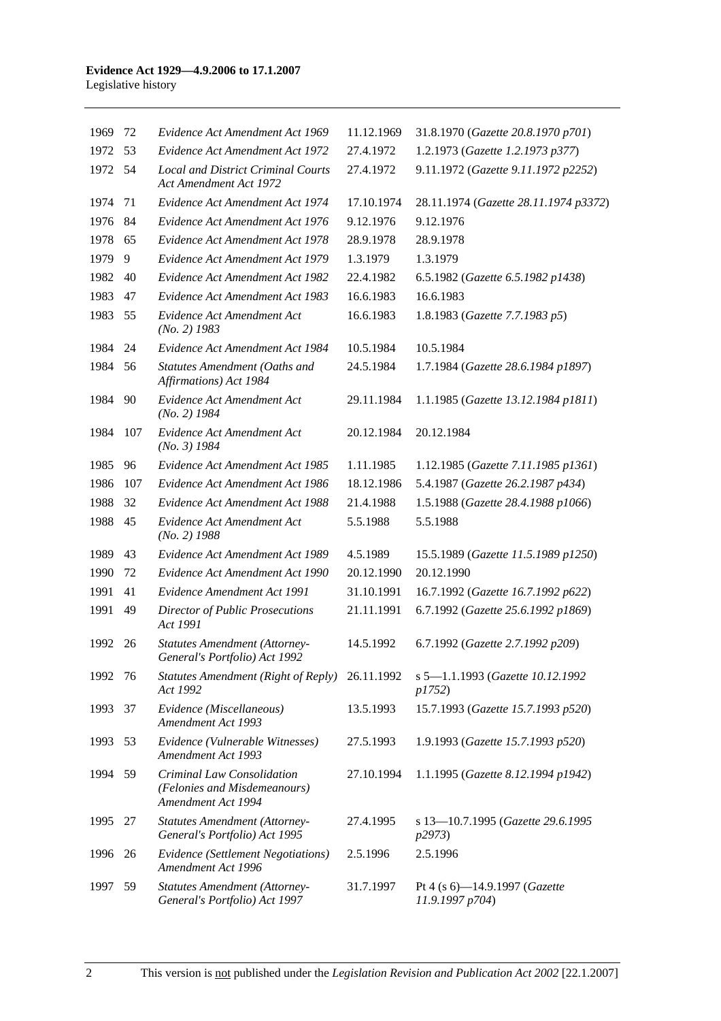| 1969    | 72  | Evidence Act Amendment Act 1969                                                  | 11.12.1969 | 31.8.1970 (Gazette 20.8.1970 p701)                  |
|---------|-----|----------------------------------------------------------------------------------|------------|-----------------------------------------------------|
| 1972    | 53  | Evidence Act Amendment Act 1972                                                  | 27.4.1972  | 1.2.1973 (Gazette 1.2.1973 p377)                    |
| 1972    | 54  | <b>Local and District Criminal Courts</b><br>Act Amendment Act 1972              | 27.4.1972  | 9.11.1972 (Gazette 9.11.1972 p2252)                 |
| 1974    | 71  | Evidence Act Amendment Act 1974                                                  | 17.10.1974 | 28.11.1974 (Gazette 28.11.1974 p3372)               |
| 1976    | 84  | Evidence Act Amendment Act 1976                                                  | 9.12.1976  | 9.12.1976                                           |
| 1978    | 65  | Evidence Act Amendment Act 1978                                                  | 28.9.1978  | 28.9.1978                                           |
| 1979    | 9   | Evidence Act Amendment Act 1979                                                  | 1.3.1979   | 1.3.1979                                            |
| 1982    | 40  | Evidence Act Amendment Act 1982                                                  | 22.4.1982  | 6.5.1982 (Gazette 6.5.1982 p1438)                   |
| 1983    | 47  | Evidence Act Amendment Act 1983                                                  | 16.6.1983  | 16.6.1983                                           |
| 1983    | 55  | Evidence Act Amendment Act<br>$(No. 2)$ 1983                                     | 16.6.1983  | 1.8.1983 (Gazette 7.7.1983 p5)                      |
| 1984    | 24  | Evidence Act Amendment Act 1984                                                  | 10.5.1984  | 10.5.1984                                           |
| 1984    | 56  | Statutes Amendment (Oaths and<br>Affirmations) Act 1984                          | 24.5.1984  | 1.7.1984 (Gazette 28.6.1984 p1897)                  |
| 1984    | 90  | Evidence Act Amendment Act<br>$(No. 2)$ 1984                                     | 29.11.1984 | 1.1.1985 (Gazette 13.12.1984 p1811)                 |
| 1984    | 107 | Evidence Act Amendment Act<br>$(No. 3)$ 1984                                     | 20.12.1984 | 20.12.1984                                          |
| 1985    | 96  | Evidence Act Amendment Act 1985                                                  | 1.11.1985  | 1.12.1985 (Gazette 7.11.1985 p1361)                 |
| 1986    | 107 | Evidence Act Amendment Act 1986                                                  | 18.12.1986 | 5.4.1987 (Gazette 26.2.1987 p434)                   |
| 1988    | 32  | Evidence Act Amendment Act 1988                                                  | 21.4.1988  | 1.5.1988 (Gazette 28.4.1988 p1066)                  |
| 1988    | 45  | Evidence Act Amendment Act<br>$(No. 2)$ 1988                                     | 5.5.1988   | 5.5.1988                                            |
| 1989    | 43  | Evidence Act Amendment Act 1989                                                  | 4.5.1989   | 15.5.1989 (Gazette 11.5.1989 p1250)                 |
| 1990    | 72  | Evidence Act Amendment Act 1990                                                  | 20.12.1990 | 20.12.1990                                          |
| 1991    | 41  | Evidence Amendment Act 1991                                                      | 31.10.1991 | 16.7.1992 (Gazette 16.7.1992 p622)                  |
| 1991    | 49  | Director of Public Prosecutions<br>Act 1991                                      | 21.11.1991 | 6.7.1992 (Gazette 25.6.1992 p1869)                  |
| 1992    | 26  | <b>Statutes Amendment (Attorney-</b><br>General's Portfolio) Act 1992            | 14.5.1992  | 6.7.1992 (Gazette 2.7.1992 p209)                    |
| 1992 76 |     | <b>Statutes Amendment (Right of Reply)</b><br>Act 1992                           | 26.11.1992 | s 5-1.1.1993 (Gazette 10.12.1992<br><i>p1752</i> )  |
| 1993    | 37  | Evidence (Miscellaneous)<br>Amendment Act 1993                                   | 13.5.1993  | 15.7.1993 (Gazette 15.7.1993 p520)                  |
| 1993    | 53  | Evidence (Vulnerable Witnesses)<br>Amendment Act 1993                            | 27.5.1993  | 1.9.1993 (Gazette 15.7.1993 p520)                   |
| 1994    | 59  | Criminal Law Consolidation<br>(Felonies and Misdemeanours)<br>Amendment Act 1994 | 27.10.1994 | 1.1.1995 (Gazette 8.12.1994 p1942)                  |
| 1995    | 27  | <b>Statutes Amendment (Attorney-</b><br>General's Portfolio) Act 1995            | 27.4.1995  | s 13-10.7.1995 (Gazette 29.6.1995<br><i>p</i> 2973) |
| 1996    | 26  | Evidence (Settlement Negotiations)<br>Amendment Act 1996                         | 2.5.1996   | 2.5.1996                                            |
| 1997    | 59  | <b>Statutes Amendment (Attorney-</b><br>General's Portfolio) Act 1997            | 31.7.1997  | Pt 4 (s 6)-14.9.1997 (Gazette<br>11.9.1997 p704)    |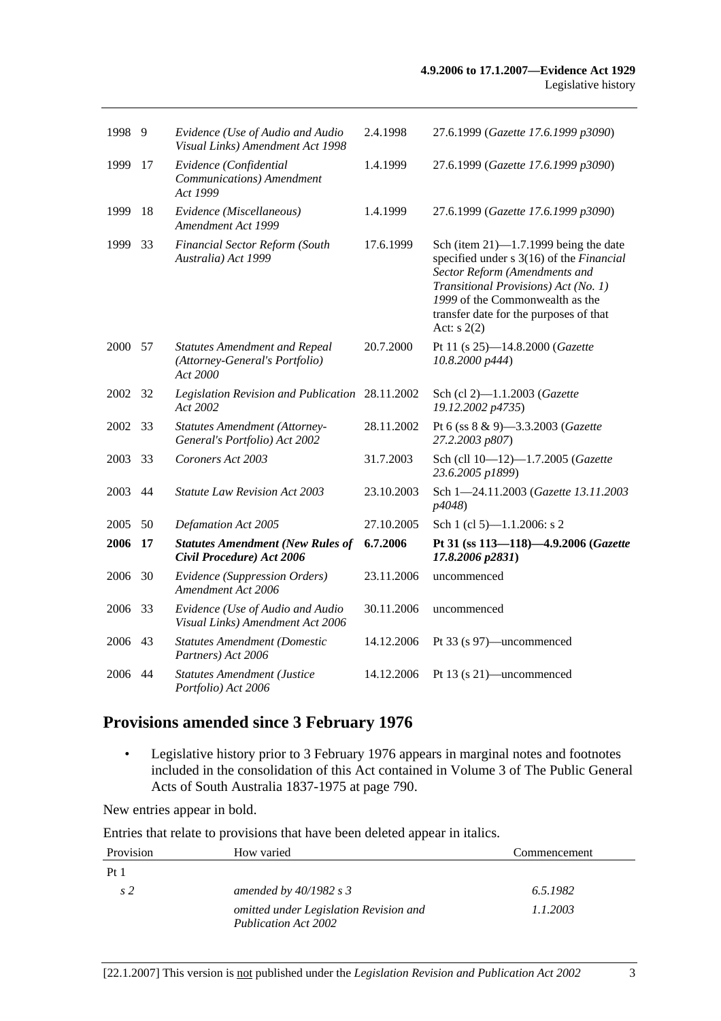| 1998 | 9    | Evidence (Use of Audio and Audio<br>Visual Links) Amendment Act 1998               | 2.4.1998   | 27.6.1999 (Gazette 17.6.1999 p3090)                                                                                                                                                                                                                         |
|------|------|------------------------------------------------------------------------------------|------------|-------------------------------------------------------------------------------------------------------------------------------------------------------------------------------------------------------------------------------------------------------------|
| 1999 | 17   | Evidence (Confidential<br>Communications) Amendment<br>Act 1999                    | 1.4.1999   | 27.6.1999 (Gazette 17.6.1999 p3090)                                                                                                                                                                                                                         |
| 1999 | 18   | Evidence (Miscellaneous)<br>Amendment Act 1999                                     | 1.4.1999   | 27.6.1999 (Gazette 17.6.1999 p3090)                                                                                                                                                                                                                         |
| 1999 | 33   | Financial Sector Reform (South<br>Australia) Act 1999                              | 17.6.1999  | Sch (item $21$ )—1.7.1999 being the date<br>specified under s 3(16) of the Financial<br>Sector Reform (Amendments and<br>Transitional Provisions) Act (No. 1)<br>1999 of the Commonwealth as the<br>transfer date for the purposes of that<br>Act: $s$ 2(2) |
| 2000 | - 57 | <b>Statutes Amendment and Repeal</b><br>(Attorney-General's Portfolio)<br>Act 2000 | 20.7.2000  | Pt 11 (s 25)-14.8.2000 (Gazette<br>10.8.2000 p444)                                                                                                                                                                                                          |
| 2002 | 32   | Legislation Revision and Publication 28.11.2002<br>Act 2002                        |            | Sch (cl 2)-1.1.2003 (Gazette<br>19.12.2002 p4735)                                                                                                                                                                                                           |
| 2002 | 33   | <b>Statutes Amendment (Attorney-</b><br>General's Portfolio) Act 2002              | 28.11.2002 | Pt 6 (ss 8 & 9)-3.3.2003 (Gazette<br>27.2.2003 p807)                                                                                                                                                                                                        |
| 2003 | 33   | Coroners Act 2003                                                                  | 31.7.2003  | Sch (cll 10-12)-1.7.2005 (Gazette<br>23.6.2005 p1899)                                                                                                                                                                                                       |
| 2003 | 44   | <b>Statute Law Revision Act 2003</b>                                               | 23.10.2003 | Sch 1-24.11.2003 (Gazette 13.11.2003<br>p4048)                                                                                                                                                                                                              |
| 2005 | 50   | <b>Defamation Act 2005</b>                                                         | 27.10.2005 | Sch 1 (cl 5)-1.1.2006: s 2                                                                                                                                                                                                                                  |
| 2006 | 17   | <b>Statutes Amendment (New Rules of</b><br>Civil Procedure) Act 2006               | 6.7.2006   | Pt 31 (ss 113-118)-4.9.2006 (Gazette<br>17.8.2006 p2831)                                                                                                                                                                                                    |
| 2006 | 30   | Evidence (Suppression Orders)<br>Amendment Act 2006                                | 23.11.2006 | uncommenced                                                                                                                                                                                                                                                 |
| 2006 | 33   | Evidence (Use of Audio and Audio<br>Visual Links) Amendment Act 2006               | 30.11.2006 | uncommenced                                                                                                                                                                                                                                                 |
| 2006 | 43   | <b>Statutes Amendment (Domestic</b><br>Partners) Act 2006                          | 14.12.2006 | Pt 33 (s 97)—uncommenced                                                                                                                                                                                                                                    |
| 2006 | 44   | <b>Statutes Amendment (Justice</b><br>Portfolio) Act 2006                          | 14.12.2006 | Pt 13 (s 21)—uncommenced                                                                                                                                                                                                                                    |

# **Provisions amended since 3 February 1976**

 • Legislative history prior to 3 February 1976 appears in marginal notes and footnotes included in the consolidation of this Act contained in Volume 3 of The Public General Acts of South Australia 1837-1975 at page 790.

New entries appear in bold.

Entries that relate to provisions that have been deleted appear in italics.

| Provision       | How varied                                                            | Commencement |
|-----------------|-----------------------------------------------------------------------|--------------|
| Pt <sub>1</sub> |                                                                       |              |
| s2              | amended by $40/1982$ s 3                                              | 6.5.1982     |
|                 | omitted under Legislation Revision and<br><b>Publication Act 2002</b> | 1.1.2003     |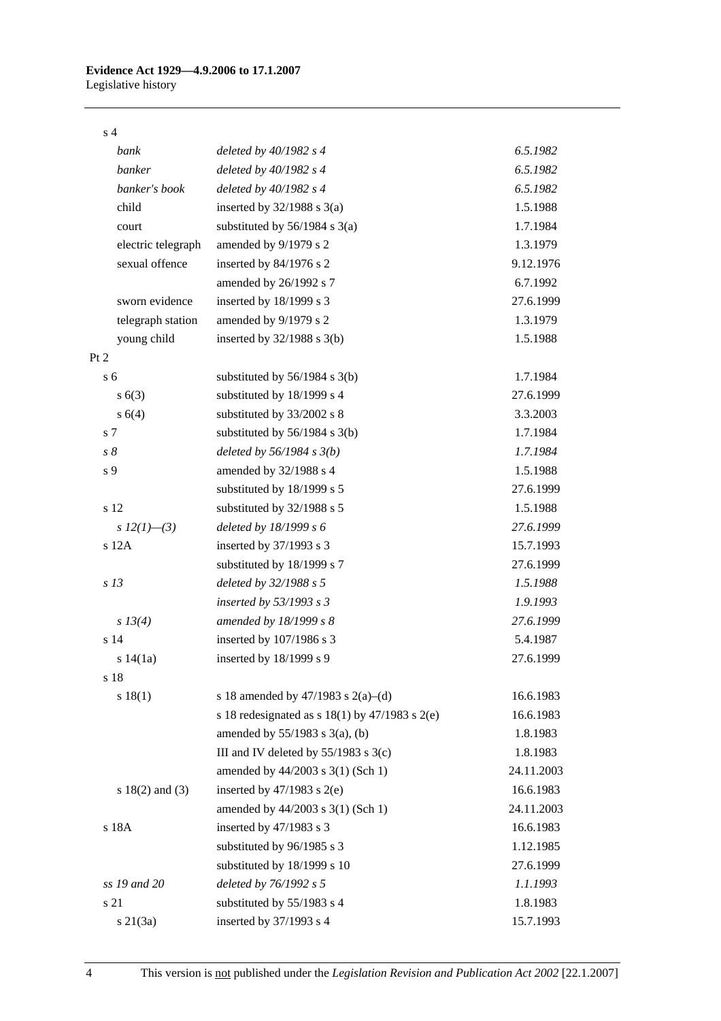#### s 4

| bank                | deleted by $40/1982$ s 4                             | 6.5.1982   |
|---------------------|------------------------------------------------------|------------|
| banker              | deleted by $40/1982$ s 4                             | 6.5.1982   |
| banker's book       | deleted by $40/1982$ s 4                             | 6.5.1982   |
| child               | inserted by $32/1988$ s $3(a)$                       | 1.5.1988   |
| court               | substituted by $56/1984$ s $3(a)$                    | 1.7.1984   |
| electric telegraph  | amended by 9/1979 s 2                                | 1.3.1979   |
| sexual offence      | inserted by 84/1976 s 2                              | 9.12.1976  |
|                     | amended by 26/1992 s 7                               | 6.7.1992   |
| sworn evidence      | inserted by 18/1999 s 3                              | 27.6.1999  |
| telegraph station   | amended by 9/1979 s 2                                | 1.3.1979   |
| young child         | inserted by $32/1988$ s $3(b)$                       | 1.5.1988   |
| Pt 2                |                                                      |            |
| s <sub>6</sub>      | substituted by $56/1984$ s $3(b)$                    | 1.7.1984   |
| s(6(3))             | substituted by 18/1999 s 4                           | 27.6.1999  |
| s(4)                | substituted by 33/2002 s 8                           | 3.3.2003   |
| s 7                 | substituted by $56/1984$ s 3(b)                      | 1.7.1984   |
| $s\,\delta$         | deleted by $56/1984 s 3(b)$                          | 1.7.1984   |
| s 9                 | amended by 32/1988 s 4                               | 1.5.1988   |
|                     | substituted by 18/1999 s 5                           | 27.6.1999  |
| s 12                | substituted by 32/1988 s 5                           | 1.5.1988   |
| s $12(1)$ —(3)      | deleted by $18/1999 s 6$                             | 27.6.1999  |
| $s$ 12 $A$          | inserted by 37/1993 s 3                              | 15.7.1993  |
|                     | substituted by 18/1999 s 7                           | 27.6.1999  |
| s <sub>13</sub>     | deleted by 32/1988 s 5                               | 1.5.1988   |
|                     | inserted by $53/1993$ s 3                            | 1.9.1993   |
| s 13(4)             | amended by 18/1999 s 8                               | 27.6.1999  |
| s 14                | inserted by 107/1986 s 3                             | 5.4.1987   |
| s 14(1a)            | inserted by 18/1999 s 9                              | 27.6.1999  |
| s 18                |                                                      |            |
| s 18(1)             | s 18 amended by 47/1983 s 2(a)–(d)                   | 16.6.1983  |
|                     | s 18 redesignated as s $18(1)$ by $47/1983$ s $2(e)$ | 16.6.1983  |
|                     | amended by $55/1983$ s $3(a)$ , (b)                  | 1.8.1983   |
|                     | III and IV deleted by $55/1983$ s $3(c)$             | 1.8.1983   |
|                     | amended by 44/2003 s 3(1) (Sch 1)                    | 24.11.2003 |
| s $18(2)$ and $(3)$ | inserted by $47/1983$ s $2(e)$                       | 16.6.1983  |
|                     | amended by 44/2003 s 3(1) (Sch 1)                    | 24.11.2003 |
| s 18A               | inserted by 47/1983 s 3                              | 16.6.1983  |
|                     | substituted by 96/1985 s 3                           | 1.12.1985  |
|                     | substituted by 18/1999 s 10                          | 27.6.1999  |
| ss 19 and 20        | deleted by 76/1992 s 5                               | 1.1.1993   |
| s 21                | substituted by 55/1983 s 4                           | 1.8.1983   |
| $s \, 21(3a)$       | inserted by 37/1993 s 4                              | 15.7.1993  |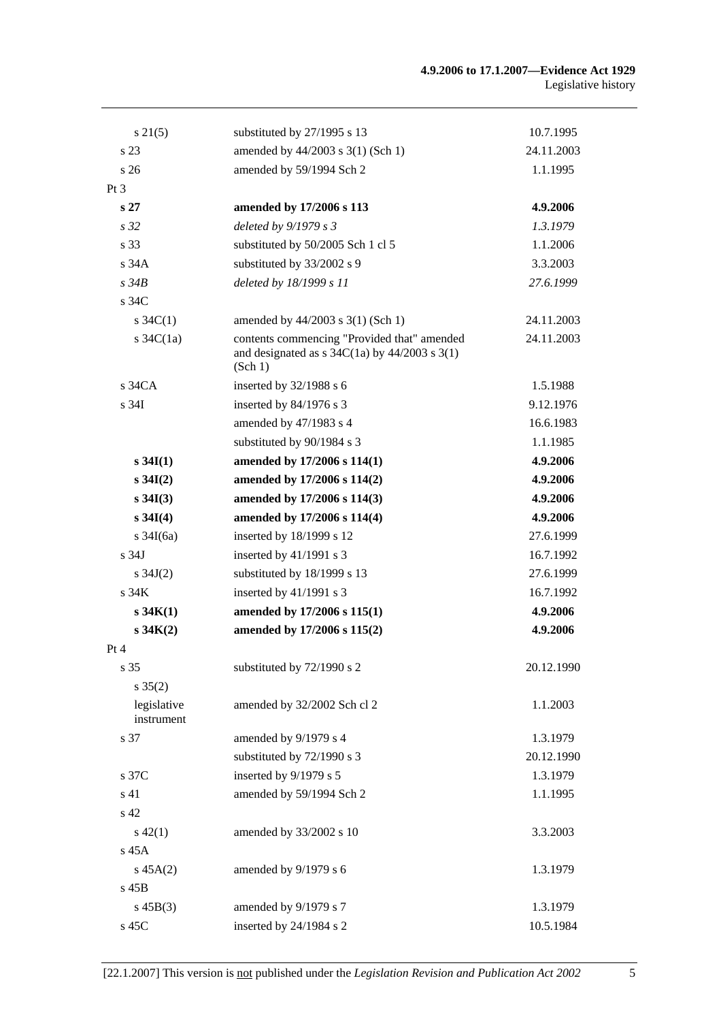| $s \, 21(5)$              | substituted by 27/1995 s 13                                                                                                                      | 10.7.1995  |
|---------------------------|--------------------------------------------------------------------------------------------------------------------------------------------------|------------|
| s 23                      | amended by 44/2003 s 3(1) (Sch 1)                                                                                                                | 24.11.2003 |
| s <sub>26</sub>           | amended by 59/1994 Sch 2                                                                                                                         | 1.1.1995   |
| Pt <sub>3</sub>           |                                                                                                                                                  |            |
| s <sub>27</sub>           | amended by 17/2006 s 113                                                                                                                         | 4.9.2006   |
| s <sub>32</sub>           | deleted by $9/1979 s 3$                                                                                                                          | 1.3.1979   |
| s 33                      | substituted by 50/2005 Sch 1 cl 5                                                                                                                | 1.1.2006   |
| s 34A                     | substituted by 33/2002 s 9                                                                                                                       | 3.3.2003   |
| s34B                      | deleted by 18/1999 s 11                                                                                                                          | 27.6.1999  |
| s 34C                     |                                                                                                                                                  |            |
| $s \, 34C(1)$             | amended by 44/2003 s 3(1) (Sch 1)                                                                                                                | 24.11.2003 |
| s $34C(1a)$               | contents commencing "Provided that" amended<br>and designated as $s \frac{34C(1a)}{9}$ by $\frac{44}{2003} \frac{s \cdot 3(1)}{2(1)}$<br>(Sch 1) | 24.11.2003 |
| $s\,34CA$                 | inserted by $32/1988$ s 6                                                                                                                        | 1.5.1988   |
| s <sub>34I</sub>          | inserted by $84/1976$ s 3                                                                                                                        | 9.12.1976  |
|                           | amended by 47/1983 s 4                                                                                                                           | 16.6.1983  |
|                           | substituted by 90/1984 s 3                                                                                                                       | 1.1.1985   |
| $s \, 34I(1)$             | amended by 17/2006 s 114(1)                                                                                                                      | 4.9.2006   |
| $s \, 34I(2)$             | amended by 17/2006 s 114(2)                                                                                                                      | 4.9.2006   |
| $s \, 34I(3)$             | amended by 17/2006 s 114(3)                                                                                                                      | 4.9.2006   |
| $s \, 34I(4)$             | amended by 17/2006 s 114(4)                                                                                                                      | 4.9.2006   |
| s $34I(6a)$               | inserted by 18/1999 s 12                                                                                                                         | 27.6.1999  |
| s 34J                     | inserted by $41/1991$ s 3                                                                                                                        | 16.7.1992  |
| s $34J(2)$                | substituted by 18/1999 s 13                                                                                                                      | 27.6.1999  |
| s <sub>34K</sub>          | inserted by $41/1991$ s 3                                                                                                                        | 16.7.1992  |
| s 34K(1)                  | amended by 17/2006 s 115(1)                                                                                                                      | 4.9.2006   |
| s 34K(2)                  | amended by 17/2006 s 115(2)                                                                                                                      | 4.9.2006   |
| Pt 4                      |                                                                                                                                                  |            |
| s 35                      | substituted by 72/1990 s 2                                                                                                                       | 20.12.1990 |
| $s \; 35(2)$              |                                                                                                                                                  |            |
| legislative<br>instrument | amended by 32/2002 Sch cl 2                                                                                                                      | 1.1.2003   |
| s 37                      | amended by 9/1979 s 4                                                                                                                            | 1.3.1979   |
|                           | substituted by 72/1990 s 3                                                                                                                       | 20.12.1990 |
| s 37C                     | inserted by 9/1979 s 5                                                                                                                           | 1.3.1979   |
| s 41                      | amended by 59/1994 Sch 2                                                                                                                         | 1.1.1995   |
| s 42                      |                                                                                                                                                  |            |
| $s\ 42(1)$                | amended by 33/2002 s 10                                                                                                                          | 3.3.2003   |
| s 45A                     |                                                                                                                                                  |            |
| $s\,45A(2)$               | amended by 9/1979 s 6                                                                                                                            | 1.3.1979   |
| $s$ 45B                   |                                                                                                                                                  |            |
| $s\,45B(3)$               | amended by 9/1979 s 7                                                                                                                            | 1.3.1979   |
| s 45C                     | inserted by 24/1984 s 2                                                                                                                          | 10.5.1984  |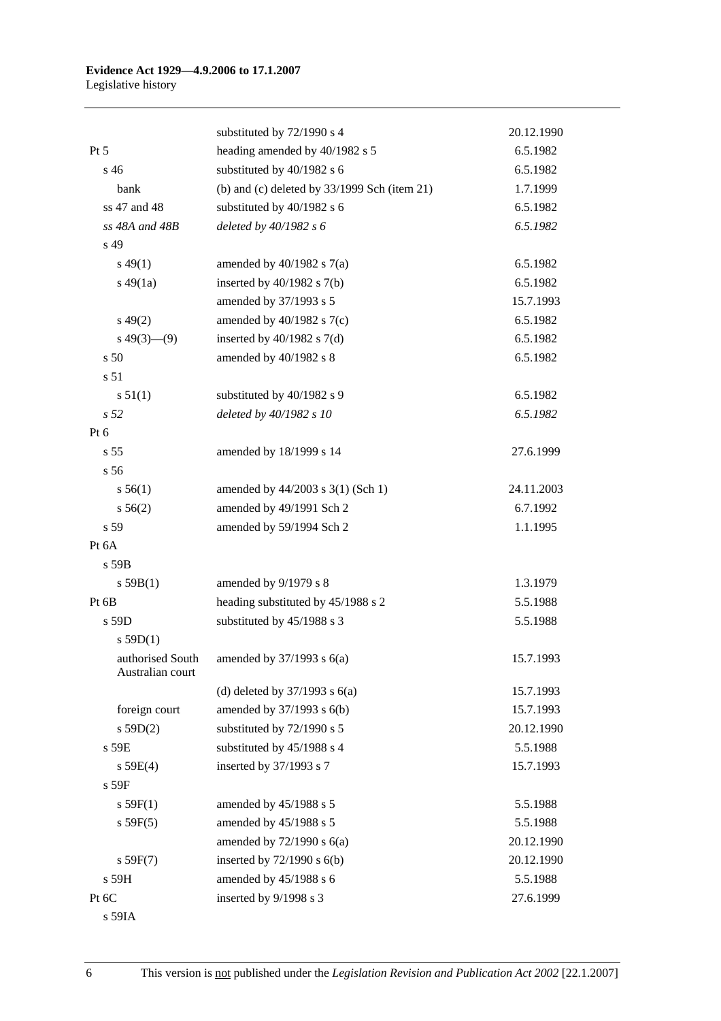|                                      | substituted by 72/1990 s 4                     | 20.12.1990 |
|--------------------------------------|------------------------------------------------|------------|
| $Pt\,5$                              | heading amended by 40/1982 s 5                 | 6.5.1982   |
| $s\,46$                              | substituted by 40/1982 s 6                     | 6.5.1982   |
| bank                                 | (b) and (c) deleted by $33/1999$ Sch (item 21) | 1.7.1999   |
| ss 47 and 48                         | substituted by 40/1982 s 6                     | 6.5.1982   |
| ss 48A and 48B                       | deleted by 40/1982 s 6                         | 6.5.1982   |
| s 49                                 |                                                |            |
| $s\,49(1)$                           | amended by $40/1982$ s $7(a)$                  | 6.5.1982   |
| $s\,49(1a)$                          | inserted by $40/1982$ s $7(b)$                 | 6.5.1982   |
|                                      | amended by 37/1993 s 5                         | 15.7.1993  |
| $s\,49(2)$                           | amended by $40/1982$ s $7(c)$                  | 6.5.1982   |
| $s\ 49(3)$ (9)                       | inserted by $40/1982$ s $7(d)$                 | 6.5.1982   |
| s <sub>50</sub>                      | amended by 40/1982 s 8                         | 6.5.1982   |
| s <sub>51</sub>                      |                                                |            |
| s 51(1)                              | substituted by 40/1982 s 9                     | 6.5.1982   |
| s 52                                 | deleted by 40/1982 s 10                        | 6.5.1982   |
| $Pt\ 6$                              |                                                |            |
| s <sub>55</sub>                      | amended by 18/1999 s 14                        | 27.6.1999  |
| s 56                                 |                                                |            |
| s 56(1)                              | amended by 44/2003 s 3(1) (Sch 1)              | 24.11.2003 |
| s 56(2)                              | amended by 49/1991 Sch 2                       | 6.7.1992   |
| s 59                                 | amended by 59/1994 Sch 2                       | 1.1.1995   |
| Pt 6A                                |                                                |            |
| s 59B                                |                                                |            |
| s 59B(1)                             | amended by 9/1979 s 8                          | 1.3.1979   |
| Pt 6B                                | heading substituted by 45/1988 s 2             | 5.5.1988   |
| s 59D                                | substituted by 45/1988 s 3                     | 5.5.1988   |
| s $59D(1)$                           |                                                |            |
| authorised South<br>Australian court | amended by $37/1993$ s $6(a)$                  | 15.7.1993  |
|                                      | (d) deleted by $37/1993$ s $6(a)$              | 15.7.1993  |
| foreign court                        | amended by 37/1993 s 6(b)                      | 15.7.1993  |
| s 59D(2)                             | substituted by 72/1990 s 5                     | 20.12.1990 |
| s 59E                                | substituted by 45/1988 s 4                     | 5.5.1988   |
| s 59E(4)                             | inserted by 37/1993 s 7                        | 15.7.1993  |
| s 59F                                |                                                |            |
| s 59F(1)                             | amended by 45/1988 s 5                         | 5.5.1988   |
| s 59F(5)                             | amended by 45/1988 s 5                         | 5.5.1988   |
|                                      | amended by $72/1990$ s $6(a)$                  | 20.12.1990 |
| s 59F(7)                             | inserted by $72/1990$ s $6(b)$                 | 20.12.1990 |
| s 59H                                | amended by 45/1988 s 6                         | 5.5.1988   |
| Pt 6C                                | inserted by 9/1998 s 3                         | 27.6.1999  |
| s 59IA                               |                                                |            |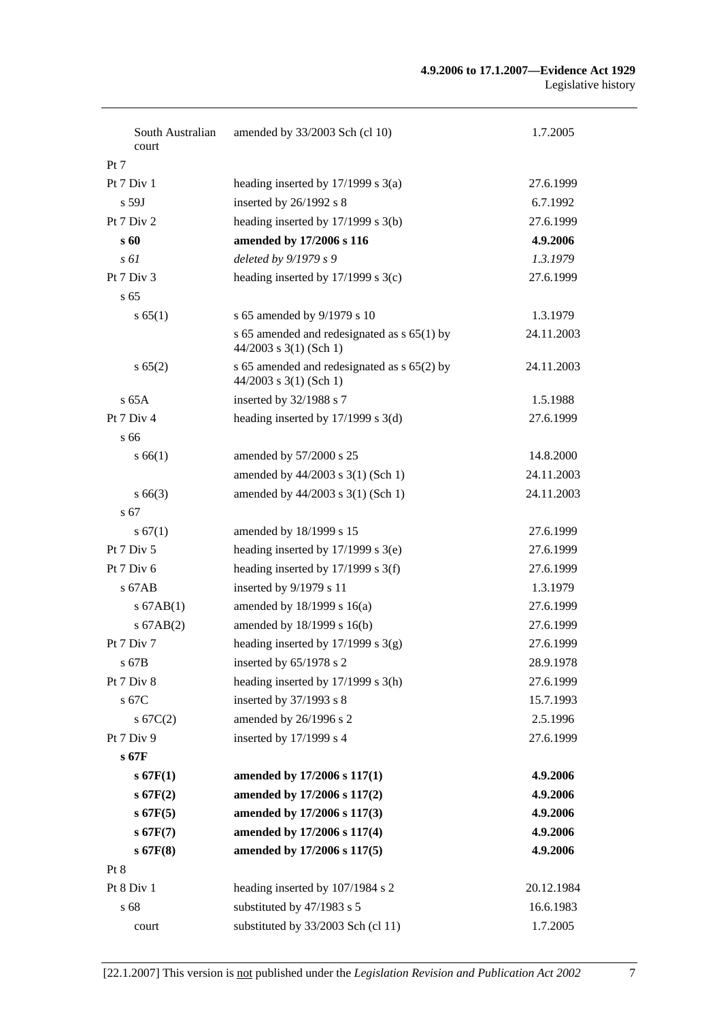| South Australian<br>court | amended by 33/2003 Sch (cl 10)                                            | 1.7.2005   |
|---------------------------|---------------------------------------------------------------------------|------------|
| Pt 7                      |                                                                           |            |
| Pt 7 Div 1                | heading inserted by $17/1999$ s $3(a)$                                    | 27.6.1999  |
| $s$ 59J                   | inserted by 26/1992 s 8                                                   | 6.7.1992   |
| Pt 7 Div 2                | heading inserted by 17/1999 s 3(b)                                        | 27.6.1999  |
| s 60                      | amended by 17/2006 s 116                                                  | 4.9.2006   |
| $s \, \delta l$           | deleted by 9/1979 s 9                                                     | 1.3.1979   |
| Pt 7 Div 3                | heading inserted by $17/1999$ s $3(c)$                                    | 27.6.1999  |
| s <sub>65</sub>           |                                                                           |            |
| s 65(1)                   | s 65 amended by 9/1979 s 10                                               | 1.3.1979   |
|                           | s 65 amended and redesignated as $s$ 65(1) by<br>$44/2003$ s 3(1) (Sch 1) | 24.11.2003 |
| s 65(2)                   | s 65 amended and redesignated as s 65(2) by<br>$44/2003$ s 3(1) (Sch 1)   | 24.11.2003 |
| $s$ 65A                   | inserted by 32/1988 s 7                                                   | 1.5.1988   |
| Pt 7 Div 4                | heading inserted by $17/1999$ s $3(d)$                                    | 27.6.1999  |
| s 66                      |                                                                           |            |
| s 66(1)                   | amended by 57/2000 s 25                                                   | 14.8.2000  |
|                           | amended by 44/2003 s 3(1) (Sch 1)                                         | 24.11.2003 |
| $s\,66(3)$                | amended by $44/2003$ s 3(1) (Sch 1)                                       | 24.11.2003 |
| s 67                      |                                                                           |            |
| s 67(1)                   | amended by 18/1999 s 15                                                   | 27.6.1999  |
| Pt 7 Div 5                | heading inserted by $17/1999$ s $3(e)$                                    | 27.6.1999  |
| Pt $7$ Div $6$            | heading inserted by 17/1999 s 3(f)                                        | 27.6.1999  |
| $s$ 67AB                  | inserted by 9/1979 s 11                                                   | 1.3.1979   |
| $s$ 67AB(1)               | amended by 18/1999 s 16(a)                                                | 27.6.1999  |
| $s$ 67AB $(2)$            | amended by 18/1999 s 16(b)                                                | 27.6.1999  |
| Pt 7 Div 7                | heading inserted by $17/1999$ s $3(g)$                                    | 27.6.1999  |
| s 67B                     | inserted by 65/1978 s 2                                                   | 28.9.1978  |
| Pt 7 Div 8                | heading inserted by 17/1999 s 3(h)                                        | 27.6.1999  |
| s 67C                     | inserted by 37/1993 s 8                                                   | 15.7.1993  |
| s 67C(2)                  | amended by 26/1996 s 2                                                    | 2.5.1996   |
| Pt 7 Div 9                | inserted by 17/1999 s 4                                                   | 27.6.1999  |
| s 67F                     |                                                                           |            |
| $s$ 67 $F(1)$             | amended by 17/2006 s 117(1)                                               | 4.9.2006   |
| $s$ 67 $F(2)$             | amended by 17/2006 s 117(2)                                               | 4.9.2006   |
| $s$ 67F(5)                | amended by 17/2006 s 117(3)                                               | 4.9.2006   |
| $s$ 67 $F(7)$             | amended by 17/2006 s 117(4)                                               | 4.9.2006   |
| $s$ 67 $F(8)$             | amended by 17/2006 s 117(5)                                               | 4.9.2006   |
| Pt 8                      |                                                                           |            |
| Pt 8 Div 1                | heading inserted by 107/1984 s 2                                          | 20.12.1984 |
| s 68                      | substituted by 47/1983 s 5                                                | 16.6.1983  |
| court                     | substituted by 33/2003 Sch (cl 11)                                        | 1.7.2005   |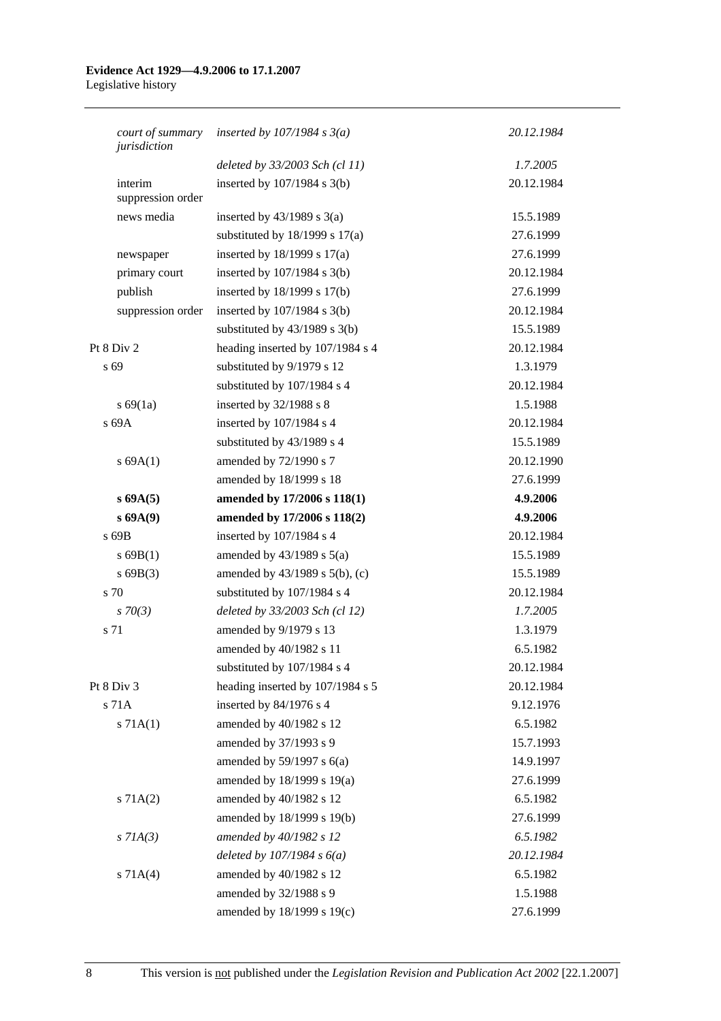#### **Evidence Act 1929—4.9.2006 to 17.1.2007**  Legislative history

| court of summary<br>jurisdiction | inserted by $107/1984$ s $3(a)$    | 20.12.1984 |
|----------------------------------|------------------------------------|------------|
|                                  | deleted by 33/2003 Sch (cl 11)     | 1.7.2005   |
| interim<br>suppression order     | inserted by $107/1984$ s $3(b)$    | 20.12.1984 |
| news media                       | inserted by $43/1989$ s $3(a)$     | 15.5.1989  |
|                                  | substituted by $18/1999$ s $17(a)$ | 27.6.1999  |
| newspaper                        | inserted by $18/1999$ s $17(a)$    | 27.6.1999  |
| primary court                    | inserted by $107/1984$ s $3(b)$    | 20.12.1984 |
| publish                          | inserted by 18/1999 s 17(b)        | 27.6.1999  |
| suppression order                | inserted by $107/1984$ s $3(b)$    | 20.12.1984 |
|                                  | substituted by $43/1989$ s $3(b)$  | 15.5.1989  |
| Pt 8 Div 2                       | heading inserted by 107/1984 s 4   | 20.12.1984 |
| s 69                             | substituted by 9/1979 s 12         | 1.3.1979   |
|                                  | substituted by 107/1984 s 4        | 20.12.1984 |
| s 69(1a)                         | inserted by 32/1988 s 8            | 1.5.1988   |
| s 69A                            | inserted by 107/1984 s 4           | 20.12.1984 |
|                                  | substituted by 43/1989 s 4         | 15.5.1989  |
| s 69A(1)                         | amended by 72/1990 s 7             | 20.12.1990 |
|                                  | amended by 18/1999 s 18            | 27.6.1999  |
| s 69A(5)                         | amended by 17/2006 s 118(1)        | 4.9.2006   |
| s 69A(9)                         | amended by 17/2006 s 118(2)        | 4.9.2006   |
| s 69B                            | inserted by 107/1984 s 4           | 20.12.1984 |
| $s$ 69B(1)                       | amended by $43/1989$ s $5(a)$      | 15.5.1989  |
| s69B(3)                          | amended by 43/1989 s 5(b), (c)     | 15.5.1989  |
| s 70                             | substituted by 107/1984 s 4        | 20.12.1984 |
| $s \, 70(3)$                     | deleted by 33/2003 Sch (cl 12)     | 1.7.2005   |
| s 71                             | amended by 9/1979 s 13             | 1.3.1979   |
|                                  | amended by 40/1982 s 11            | 6.5.1982   |
|                                  | substituted by 107/1984 s 4        | 20.12.1984 |
| Pt 8 Div 3                       | heading inserted by 107/1984 s 5   | 20.12.1984 |
| s 71A                            | inserted by 84/1976 s 4            | 9.12.1976  |
| s 71A(1)                         | amended by 40/1982 s 12            | 6.5.1982   |
|                                  | amended by 37/1993 s 9             | 15.7.1993  |
|                                  | amended by $59/1997$ s $6(a)$      | 14.9.1997  |
|                                  | amended by 18/1999 s 19(a)         | 27.6.1999  |
| s 71A(2)                         | amended by 40/1982 s 12            | 6.5.1982   |
|                                  | amended by 18/1999 s 19(b)         | 27.6.1999  |
| $s$ 71A(3)                       | amended by 40/1982 s 12            | 6.5.1982   |
|                                  | deleted by $107/1984 s 6(a)$       | 20.12.1984 |
| s 71A(4)                         | amended by 40/1982 s 12            | 6.5.1982   |
|                                  | amended by 32/1988 s 9             | 1.5.1988   |
|                                  | amended by 18/1999 s 19(c)         | 27.6.1999  |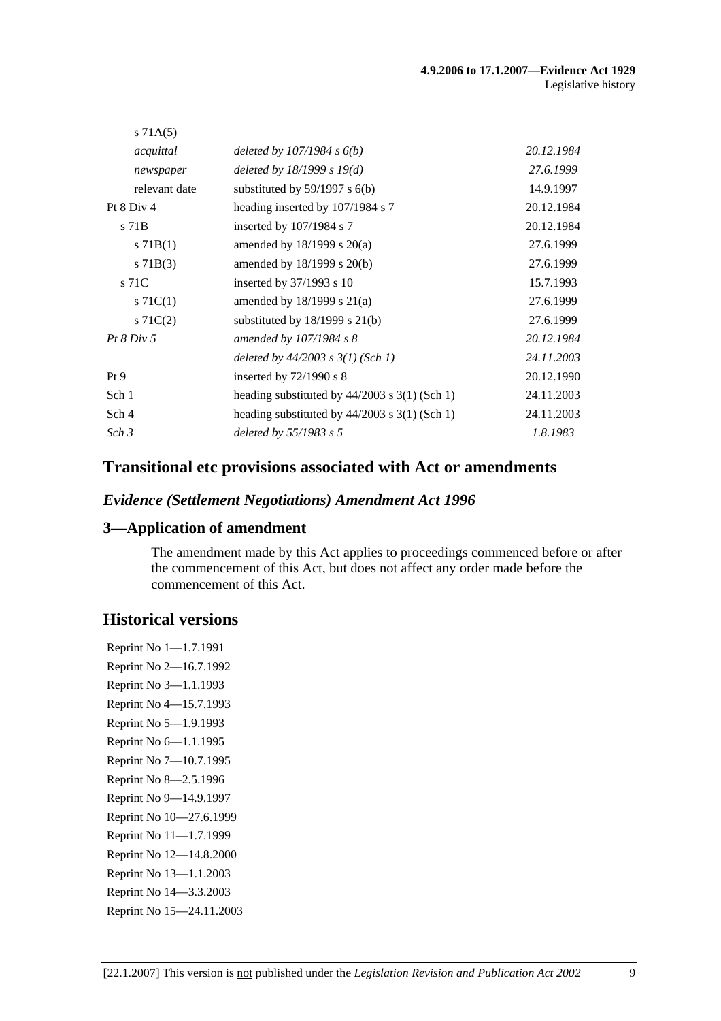| s 71A(5)          |                                                 |            |
|-------------------|-------------------------------------------------|------------|
| acquittal         | deleted by $107/1984 s 6(b)$                    | 20.12.1984 |
| newspaper         | deleted by $18/1999 s 19(d)$                    | 27.6.1999  |
| relevant date     | substituted by $59/1997$ s $6(b)$               | 14.9.1997  |
| Pt $8$ Div $4$    | heading inserted by 107/1984 s 7                | 20.12.1984 |
| s 71 <sub>B</sub> | inserted by $107/1984$ s 7                      | 20.12.1984 |
| $s$ 71B(1)        | amended by $18/1999$ s $20(a)$                  | 27.6.1999  |
| $s \, 71B(3)$     | amended by $18/1999$ s $20(b)$                  | 27.6.1999  |
| s 71C             | inserted by $37/1993$ s 10                      | 15.7.1993  |
| s $71C(1)$        | amended by $18/1999$ s $21(a)$                  | 27.6.1999  |
| $s \, 71C(2)$     | substituted by $18/1999$ s $21(b)$              | 27.6.1999  |
| Pt 8 Div 5        | amended by $107/1984$ s 8                       | 20.12.1984 |
|                   | deleted by $44/2003$ s $3(1)$ (Sch 1)           | 24.11.2003 |
| Pt9               | inserted by $72/1990$ s 8                       | 20.12.1990 |
| Sch 1             | heading substituted by $44/2003$ s 3(1) (Sch 1) | 24.11.2003 |
| Sch 4             | heading substituted by $44/2003$ s 3(1) (Sch 1) | 24.11.2003 |
| Sch 3             | deleted by $55/1983$ s 5                        | 1.8.1983   |
|                   |                                                 |            |

# **Transitional etc provisions associated with Act or amendments**

### *Evidence (Settlement Negotiations) Amendment Act 1996*

### **3—Application of amendment**

The amendment made by this Act applies to proceedings commenced before or after the commencement of this Act, but does not affect any order made before the commencement of this Act.

## **Historical versions**

Reprint No 1—1.7.1991 Reprint No 2—16.7.1992 Reprint No 3—1.1.1993 Reprint No 4—15.7.1993 Reprint No 5—1.9.1993 Reprint No 6—1.1.1995 Reprint No 7—10.7.1995 Reprint No 8—2.5.1996 Reprint No 9—14.9.1997 Reprint No 10—27.6.1999 Reprint No 11—1.7.1999 Reprint No 12—14.8.2000 Reprint No 13—1.1.2003 Reprint No 14—3.3.2003 Reprint No 15—24.11.2003